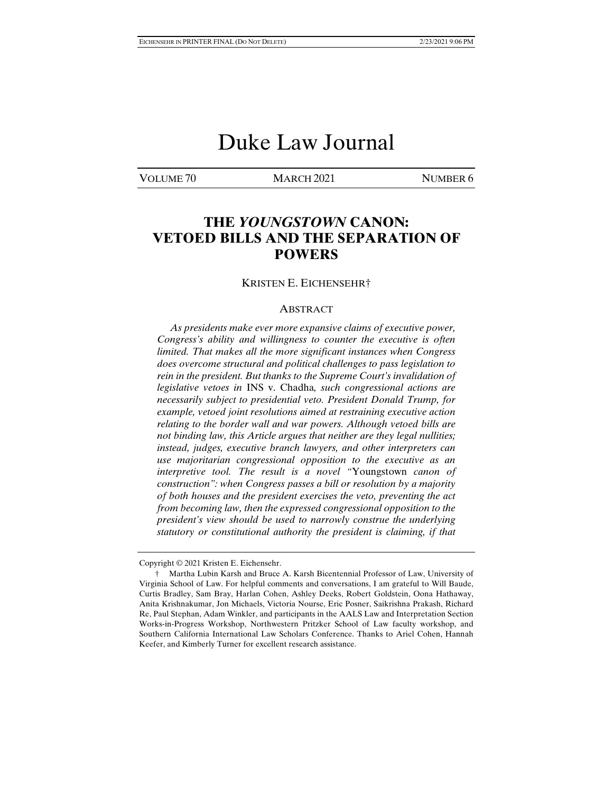# Duke Law Journal

VOLUME 70 MARCH 2021 NUMBER 6

# **THE** *YOUNGSTOWN* **CANON: VETOED BILLS AND THE SEPARATION OF POWERS**

#### KRISTEN E. EICHENSEHR†

#### ABSTRACT

 *As presidents make ever more expansive claims of executive power, Congress's ability and willingness to counter the executive is often limited. That makes all the more significant instances when Congress does overcome structural and political challenges to pass legislation to rein in the president. But thanks to the Supreme Court's invalidation of legislative vetoes in* INS v. Chadha*, such congressional actions are necessarily subject to presidential veto. President Donald Trump, for example, vetoed joint resolutions aimed at restraining executive action relating to the border wall and war powers. Although vetoed bills are not binding law, this Article argues that neither are they legal nullities; instead, judges, executive branch lawyers, and other interpreters can use majoritarian congressional opposition to the executive as an interpretive tool. The result is a novel "*Youngstown *canon of construction": when Congress passes a bill or resolution by a majority of both houses and the president exercises the veto, preventing the act from becoming law, then the expressed congressional opposition to the president's view should be used to narrowly construe the underlying statutory or constitutional authority the president is claiming, if that* 

Copyright © 2021 Kristen E. Eichensehr.

 <sup>†</sup> Martha Lubin Karsh and Bruce A. Karsh Bicentennial Professor of Law, University of Virginia School of Law. For helpful comments and conversations, I am grateful to Will Baude, Curtis Bradley, Sam Bray, Harlan Cohen, Ashley Deeks, Robert Goldstein, Oona Hathaway, Anita Krishnakumar, Jon Michaels, Victoria Nourse, Eric Posner, Saikrishna Prakash, Richard Re, Paul Stephan, Adam Winkler, and participants in the AALS Law and Interpretation Section Works-in-Progress Workshop, Northwestern Pritzker School of Law faculty workshop, and Southern California International Law Scholars Conference. Thanks to Ariel Cohen, Hannah Keefer, and Kimberly Turner for excellent research assistance.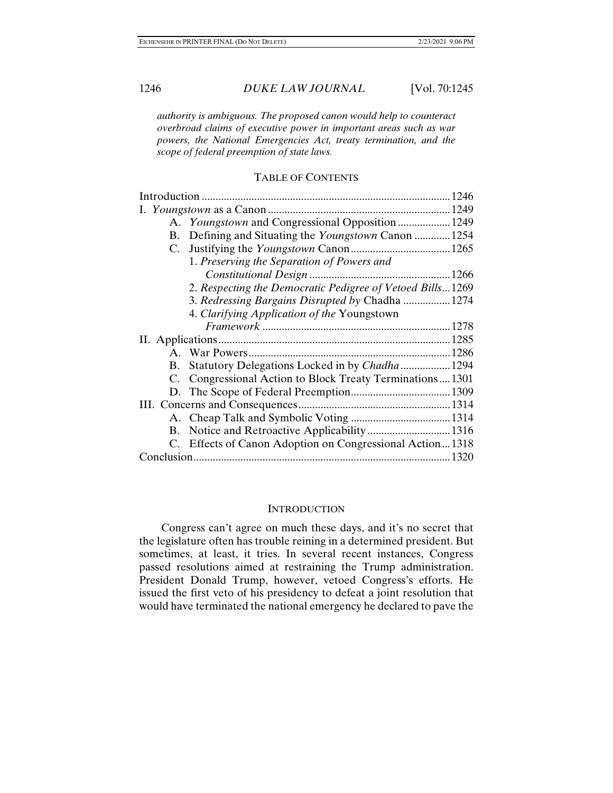*authority is ambiguous. The proposed canon would help to counteract overbroad claims of executive power in important areas such as war powers, the National Emergencies Act, treaty termination, and the scope of federal preemption of state laws.* 

### TABLE OF CONTENTS

| 1246 |  |                                                            |
|------|--|------------------------------------------------------------|
|      |  |                                                            |
|      |  | A. Youngstown and Congressional Opposition  1249           |
|      |  | B. Defining and Situating the <i>Youngstown</i> Canon 1254 |
|      |  |                                                            |
|      |  | 1. Preserving the Separation of Powers and                 |
|      |  |                                                            |
|      |  | 2. Respecting the Democratic Pedigree of Vetoed Bills1269  |
|      |  | 3. Redressing Bargains Disrupted by Chadha  1274           |
|      |  | 4. Clarifying Application of the Youngstown                |
|      |  |                                                            |
|      |  |                                                            |
|      |  |                                                            |
|      |  | B. Statutory Delegations Locked in by Chadha  1294         |
|      |  | C. Congressional Action to Block Treaty Terminations1301   |
|      |  |                                                            |
|      |  |                                                            |
|      |  |                                                            |
|      |  | B. Notice and Retroactive Applicability 1316               |
|      |  | C. Effects of Canon Adoption on Congressional Action1318   |
|      |  |                                                            |

### **INTRODUCTION**

Congress can't agree on much these days, and it's no secret that the legislature often has trouble reining in a determined president. But sometimes, at least, it tries. In several recent instances, Congress passed resolutions aimed at restraining the Trump administration. President Donald Trump, however, vetoed Congress's efforts. He issued the first veto of his presidency to defeat a joint resolution that would have terminated the national emergency he declared to pave the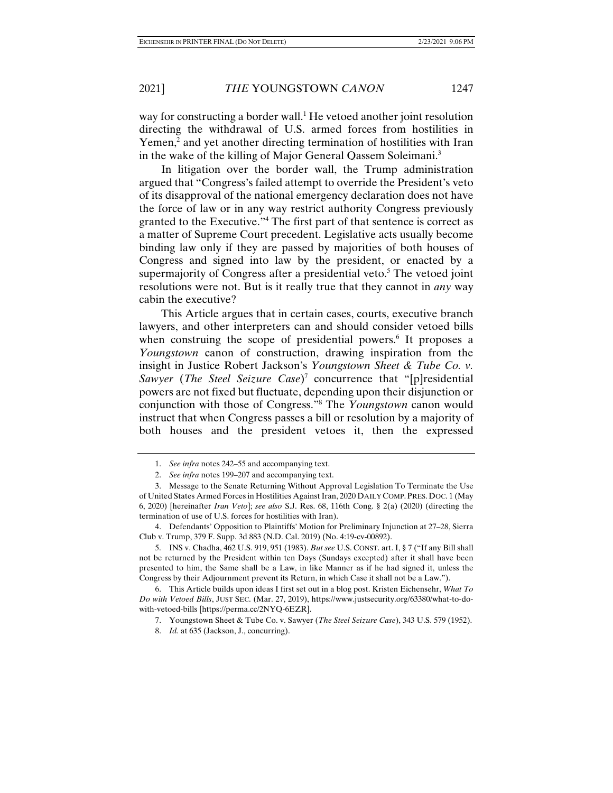way for constructing a border wall.<sup>1</sup> He vetoed another joint resolution directing the withdrawal of U.S. armed forces from hostilities in Yemen,<sup>2</sup> and yet another directing termination of hostilities with Iran in the wake of the killing of Major General Qassem Soleimani.<sup>3</sup>

In litigation over the border wall, the Trump administration argued that "Congress's failed attempt to override the President's veto of its disapproval of the national emergency declaration does not have the force of law or in any way restrict authority Congress previously granted to the Executive."4 The first part of that sentence is correct as a matter of Supreme Court precedent. Legislative acts usually become binding law only if they are passed by majorities of both houses of Congress and signed into law by the president, or enacted by a supermajority of Congress after a presidential veto.<sup>5</sup> The vetoed joint resolutions were not. But is it really true that they cannot in *any* way cabin the executive?

This Article argues that in certain cases, courts, executive branch lawyers, and other interpreters can and should consider vetoed bills when construing the scope of presidential powers.<sup>6</sup> It proposes a *Youngstown* canon of construction, drawing inspiration from the insight in Justice Robert Jackson's *Youngstown Sheet & Tube Co. v.*  Sawyer (The Steel Seizure Case)<sup>7</sup> concurrence that "[p]residential powers are not fixed but fluctuate, depending upon their disjunction or conjunction with those of Congress."8 The *Youngstown* canon would instruct that when Congress passes a bill or resolution by a majority of both houses and the president vetoes it, then the expressed

 <sup>1.</sup> *See infra* notes 242–55 and accompanying text.

 <sup>2.</sup> *See infra* notes 199–207 and accompanying text.

 <sup>3.</sup> Message to the Senate Returning Without Approval Legislation To Terminate the Use of United States Armed Forces in Hostilities Against Iran, 2020 DAILY COMP. PRES. DOC. 1 (May 6, 2020) [hereinafter *Iran Veto*]; *see also* S.J. Res. 68, 116th Cong. § 2(a) (2020) (directing the termination of use of U.S. forces for hostilities with Iran).

 <sup>4.</sup> Defendants' Opposition to Plaintiffs' Motion for Preliminary Injunction at 27–28, Sierra Club v. Trump, 379 F. Supp. 3d 883 (N.D. Cal. 2019) (No. 4:19-cv-00892).

 <sup>5.</sup> INS v. Chadha, 462 U.S. 919, 951 (1983). *But see* U.S. CONST. art. I, § 7 ("If any Bill shall not be returned by the President within ten Days (Sundays excepted) after it shall have been presented to him, the Same shall be a Law, in like Manner as if he had signed it, unless the Congress by their Adjournment prevent its Return, in which Case it shall not be a Law.").

 <sup>6.</sup> This Article builds upon ideas I first set out in a blog post. Kristen Eichensehr, *What To Do with Vetoed Bills*, JUST SEC. (Mar. 27, 2019), https://www.justsecurity.org/63380/what-to-dowith-vetoed-bills [https://perma.cc/2NYQ-6EZR].

 <sup>7.</sup> Youngstown Sheet & Tube Co. v. Sawyer (*The Steel Seizure Case*), 343 U.S. 579 (1952).

 <sup>8.</sup> *Id.* at 635 (Jackson, J., concurring).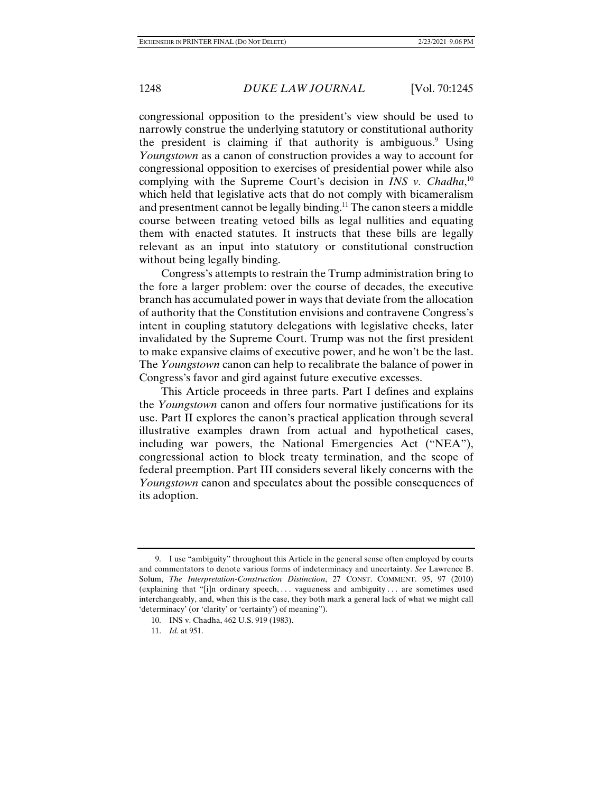congressional opposition to the president's view should be used to narrowly construe the underlying statutory or constitutional authority the president is claiming if that authority is ambiguous.<sup>9</sup> Using *Youngstown* as a canon of construction provides a way to account for congressional opposition to exercises of presidential power while also complying with the Supreme Court's decision in *INS v. Chadha*, 10 which held that legislative acts that do not comply with bicameralism and presentment cannot be legally binding.<sup>11</sup> The canon steers a middle course between treating vetoed bills as legal nullities and equating them with enacted statutes. It instructs that these bills are legally relevant as an input into statutory or constitutional construction without being legally binding.

Congress's attempts to restrain the Trump administration bring to the fore a larger problem: over the course of decades, the executive branch has accumulated power in ways that deviate from the allocation of authority that the Constitution envisions and contravene Congress's intent in coupling statutory delegations with legislative checks, later invalidated by the Supreme Court. Trump was not the first president to make expansive claims of executive power, and he won't be the last. The *Youngstown* canon can help to recalibrate the balance of power in Congress's favor and gird against future executive excesses.

This Article proceeds in three parts. Part I defines and explains the *Youngstown* canon and offers four normative justifications for its use. Part II explores the canon's practical application through several illustrative examples drawn from actual and hypothetical cases, including war powers, the National Emergencies Act ("NEA"), congressional action to block treaty termination, and the scope of federal preemption. Part III considers several likely concerns with the *Youngstown* canon and speculates about the possible consequences of its adoption.

 <sup>9.</sup> I use "ambiguity" throughout this Article in the general sense often employed by courts and commentators to denote various forms of indeterminacy and uncertainty. *See* Lawrence B. Solum, *The Interpretation-Construction Distinction*, 27 CONST. COMMENT. 95, 97 (2010) (explaining that "[i]n ordinary speech, . . . vagueness and ambiguity . . . are sometimes used interchangeably, and, when this is the case, they both mark a general lack of what we might call 'determinacy' (or 'clarity' or 'certainty') of meaning").

 <sup>10.</sup> INS v. Chadha, 462 U.S. 919 (1983).

 <sup>11.</sup> *Id.* at 951.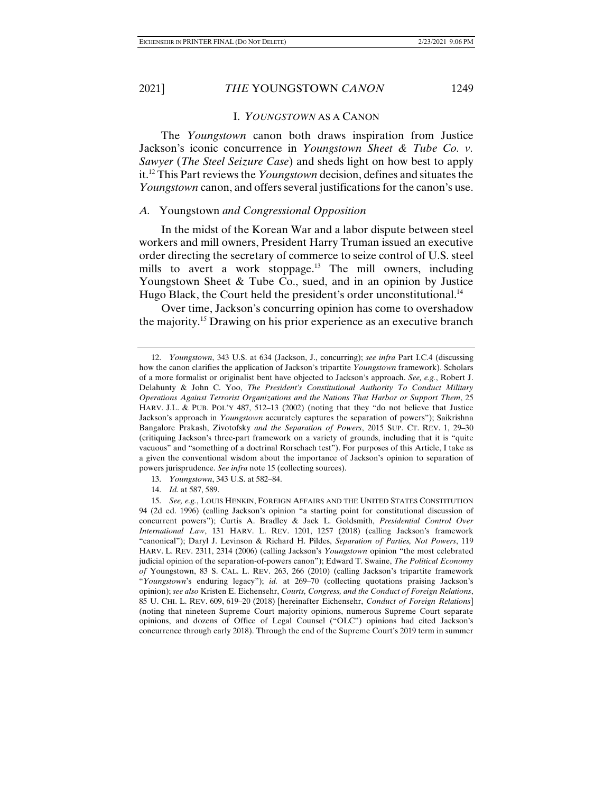#### I. *YOUNGSTOWN* AS A CANON

The *Youngstown* canon both draws inspiration from Justice Jackson's iconic concurrence in *Youngstown Sheet & Tube Co. v. Sawyer* (*The Steel Seizure Case*) and sheds light on how best to apply it.12 This Part reviews the *Youngstown* decision, defines and situates the *Youngstown* canon, and offers several justifications for the canon's use.

## *A.* Youngstown *and Congressional Opposition*

In the midst of the Korean War and a labor dispute between steel workers and mill owners, President Harry Truman issued an executive order directing the secretary of commerce to seize control of U.S. steel mills to avert a work stoppage.<sup>13</sup> The mill owners, including Youngstown Sheet & Tube Co., sued, and in an opinion by Justice Hugo Black, the Court held the president's order unconstitutional.<sup>14</sup>

Over time, Jackson's concurring opinion has come to overshadow the majority.15 Drawing on his prior experience as an executive branch

 <sup>12.</sup> *Youngstown*, 343 U.S. at 634 (Jackson, J., concurring); *see infra* Part I.C.4 (discussing how the canon clarifies the application of Jackson's tripartite *Youngstown* framework). Scholars of a more formalist or originalist bent have objected to Jackson's approach. *See, e.g.*, Robert J. Delahunty & John C. Yoo, *The President's Constitutional Authority To Conduct Military Operations Against Terrorist Organizations and the Nations That Harbor or Support Them*, 25 HARV. J.L. & PUB. POL'Y 487, 512–13 (2002) (noting that they "do not believe that Justice Jackson's approach in *Youngstown* accurately captures the separation of powers"); Saikrishna Bangalore Prakash, Zivotofsky *and the Separation of Powers*, 2015 SUP. CT. REV. 1, 29–30 (critiquing Jackson's three-part framework on a variety of grounds, including that it is "quite vacuous" and "something of a doctrinal Rorschach test"). For purposes of this Article, I take as a given the conventional wisdom about the importance of Jackson's opinion to separation of powers jurisprudence. *See infra* note 15 (collecting sources).

 <sup>13.</sup> *Youngstown*, 343 U.S. at 582–84.

 <sup>14.</sup> *Id.* at 587, 589.

 <sup>15.</sup> *See, e.g.*, LOUIS HENKIN, FOREIGN AFFAIRS AND THE UNITED STATES CONSTITUTION 94 (2d ed. 1996) (calling Jackson's opinion "a starting point for constitutional discussion of concurrent powers"); Curtis A. Bradley & Jack L. Goldsmith, *Presidential Control Over International Law*, 131 HARV. L. REV. 1201, 1257 (2018) (calling Jackson's framework "canonical"); Daryl J. Levinson & Richard H. Pildes, *Separation of Parties, Not Powers*, 119 HARV. L. REV. 2311, 2314 (2006) (calling Jackson's *Youngstown* opinion "the most celebrated judicial opinion of the separation-of-powers canon"); Edward T. Swaine, *The Political Economy of* Youngstown, 83 S. CAL. L. REV. 263, 266 (2010) (calling Jackson's tripartite framework "*Youngstown*'s enduring legacy"); *id.* at 269–70 (collecting quotations praising Jackson's opinion); *see also* Kristen E. Eichensehr, *Courts, Congress, and the Conduct of Foreign Relations*, 85 U. CHI. L. REV. 609, 619–20 (2018) [hereinafter Eichensehr, *Conduct of Foreign Relations*] (noting that nineteen Supreme Court majority opinions, numerous Supreme Court separate opinions, and dozens of Office of Legal Counsel ("OLC") opinions had cited Jackson's concurrence through early 2018). Through the end of the Supreme Court's 2019 term in summer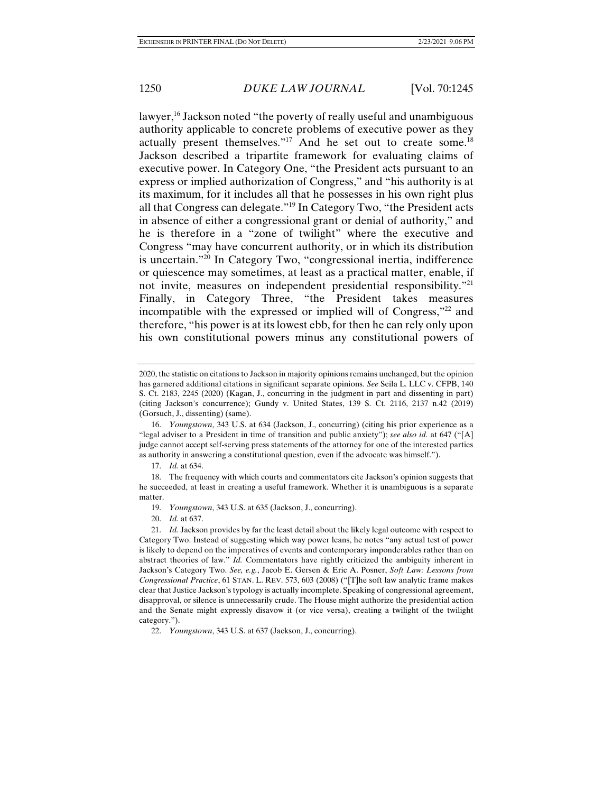lawyer,<sup>16</sup> Jackson noted "the poverty of really useful and unambiguous authority applicable to concrete problems of executive power as they actually present themselves."17 And he set out to create some.18 Jackson described a tripartite framework for evaluating claims of executive power. In Category One, "the President acts pursuant to an express or implied authorization of Congress," and "his authority is at its maximum, for it includes all that he possesses in his own right plus all that Congress can delegate."19 In Category Two, "the President acts in absence of either a congressional grant or denial of authority," and he is therefore in a "zone of twilight" where the executive and Congress "may have concurrent authority, or in which its distribution is uncertain."20 In Category Two, "congressional inertia, indifference or quiescence may sometimes, at least as a practical matter, enable, if not invite, measures on independent presidential responsibility."<sup>21</sup> Finally, in Category Three, "the President takes measures incompatible with the expressed or implied will of Congress,"22 and therefore, "his power is at its lowest ebb, for then he can rely only upon his own constitutional powers minus any constitutional powers of

- 19. *Youngstown*, 343 U.S. at 635 (Jackson, J., concurring).
- 20. *Id.* at 637.

<sup>2020,</sup> the statistic on citations to Jackson in majority opinions remains unchanged, but the opinion has garnered additional citations in significant separate opinions. *See* Seila L. LLC v. CFPB, 140 S. Ct. 2183, 2245 (2020) (Kagan, J., concurring in the judgment in part and dissenting in part) (citing Jackson's concurrence); Gundy v. United States, 139 S. Ct. 2116, 2137 n.42 (2019) (Gorsuch, J., dissenting) (same).

 <sup>16.</sup> *Youngstown*, 343 U.S. at 634 (Jackson, J., concurring) (citing his prior experience as a "legal adviser to a President in time of transition and public anxiety"); *see also id.* at 647 ("[A] judge cannot accept self-serving press statements of the attorney for one of the interested parties as authority in answering a constitutional question, even if the advocate was himself.").

 <sup>17.</sup> *Id.* at 634.

 <sup>18.</sup> The frequency with which courts and commentators cite Jackson's opinion suggests that he succeeded, at least in creating a useful framework. Whether it is unambiguous is a separate matter.

 <sup>21.</sup> *Id.* Jackson provides by far the least detail about the likely legal outcome with respect to Category Two. Instead of suggesting which way power leans, he notes "any actual test of power is likely to depend on the imperatives of events and contemporary imponderables rather than on abstract theories of law." *Id.* Commentators have rightly criticized the ambiguity inherent in Jackson's Category Two. *See, e.g.*, Jacob E. Gersen & Eric A. Posner, *Soft Law: Lessons from Congressional Practice*, 61 STAN. L. REV. 573, 603 (2008) ("[T]he soft law analytic frame makes clear that Justice Jackson's typology is actually incomplete. Speaking of congressional agreement, disapproval, or silence is unnecessarily crude. The House might authorize the presidential action and the Senate might expressly disavow it (or vice versa), creating a twilight of the twilight category.").

 <sup>22.</sup> *Youngstown*, 343 U.S. at 637 (Jackson, J., concurring).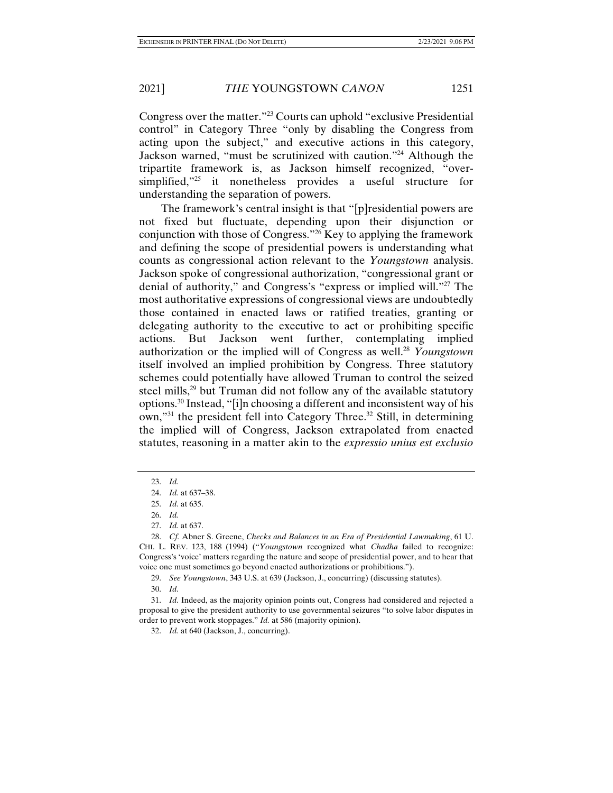Congress over the matter."23 Courts can uphold "exclusive Presidential control" in Category Three "only by disabling the Congress from acting upon the subject," and executive actions in this category, Jackson warned, "must be scrutinized with caution."24 Although the tripartite framework is, as Jackson himself recognized, "oversimplified,"25 it nonetheless provides a useful structure for understanding the separation of powers.

The framework's central insight is that "[p]residential powers are not fixed but fluctuate, depending upon their disjunction or conjunction with those of Congress."26 Key to applying the framework and defining the scope of presidential powers is understanding what counts as congressional action relevant to the *Youngstown* analysis. Jackson spoke of congressional authorization, "congressional grant or denial of authority," and Congress's "express or implied will."27 The most authoritative expressions of congressional views are undoubtedly those contained in enacted laws or ratified treaties, granting or delegating authority to the executive to act or prohibiting specific actions. But Jackson went further, contemplating implied authorization or the implied will of Congress as well.<sup>28</sup> *Youngstown* itself involved an implied prohibition by Congress. Three statutory schemes could potentially have allowed Truman to control the seized steel mills,<sup>29</sup> but Truman did not follow any of the available statutory options.30 Instead, "[i]n choosing a different and inconsistent way of his own,"<sup>31</sup> the president fell into Category Three.<sup>32</sup> Still, in determining the implied will of Congress, Jackson extrapolated from enacted statutes, reasoning in a matter akin to the *expressio unius est exclusio* 

 <sup>23.</sup> *Id.*

 <sup>24.</sup> *Id.* at 637–38.

 <sup>25.</sup> *Id*. at 635.

 <sup>26.</sup> *Id.*

 <sup>27.</sup> *Id.* at 637.

 <sup>28.</sup> *Cf.* Abner S. Greene, *Checks and Balances in an Era of Presidential Lawmaking*, 61 U. CHI. L. REV. 123, 188 (1994) ("*Youngstown* recognized what *Chadha* failed to recognize: Congress's 'voice' matters regarding the nature and scope of presidential power, and to hear that voice one must sometimes go beyond enacted authorizations or prohibitions.").

 <sup>29.</sup> *See Youngstown*, 343 U.S. at 639 (Jackson, J., concurring) (discussing statutes).

 <sup>30.</sup> *Id*.

 <sup>31.</sup> *Id*. Indeed, as the majority opinion points out, Congress had considered and rejected a proposal to give the president authority to use governmental seizures "to solve labor disputes in order to prevent work stoppages." *Id.* at 586 (majority opinion).

 <sup>32.</sup> *Id.* at 640 (Jackson, J., concurring).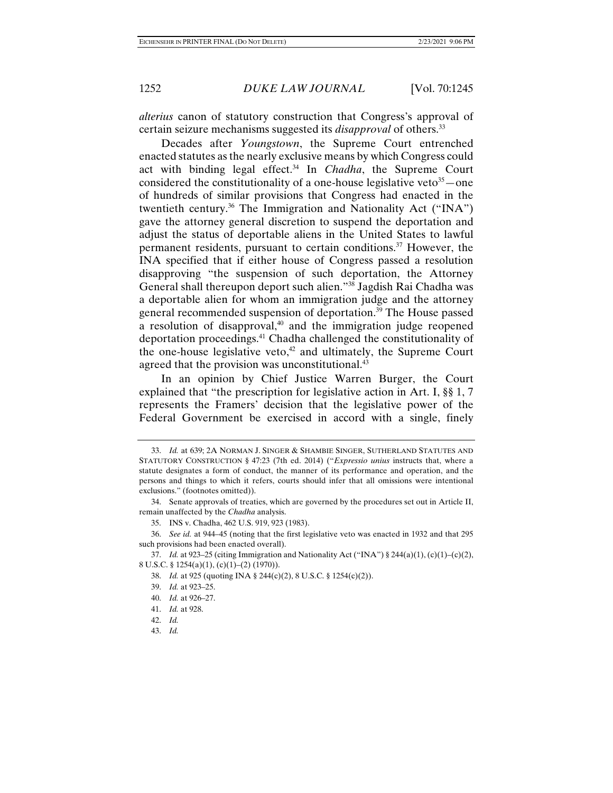*alterius* canon of statutory construction that Congress's approval of certain seizure mechanisms suggested its *disapproval* of others.33

Decades after *Youngstown*, the Supreme Court entrenched enacted statutes as the nearly exclusive means by which Congress could act with binding legal effect.<sup>34</sup> In *Chadha*, the Supreme Court considered the constitutionality of a one-house legislative veto<sup>35</sup> — one of hundreds of similar provisions that Congress had enacted in the twentieth century.36 The Immigration and Nationality Act ("INA") gave the attorney general discretion to suspend the deportation and adjust the status of deportable aliens in the United States to lawful permanent residents, pursuant to certain conditions.37 However, the INA specified that if either house of Congress passed a resolution disapproving "the suspension of such deportation, the Attorney General shall thereupon deport such alien."38 Jagdish Rai Chadha was a deportable alien for whom an immigration judge and the attorney general recommended suspension of deportation.39 The House passed a resolution of disapproval, $40$  and the immigration judge reopened deportation proceedings.41 Chadha challenged the constitutionality of the one-house legislative veto, $42$  and ultimately, the Supreme Court agreed that the provision was unconstitutional.<sup>43</sup>

In an opinion by Chief Justice Warren Burger, the Court explained that "the prescription for legislative action in Art. I, §§ 1, 7 represents the Framers' decision that the legislative power of the Federal Government be exercised in accord with a single, finely

41. *Id.* at 928.

 <sup>33.</sup> *Id.* at 639; 2A NORMAN J. SINGER & SHAMBIE SINGER, SUTHERLAND STATUTES AND STATUTORY CONSTRUCTION § 47:23 (7th ed. 2014) ("*Expressio unius* instructs that, where a statute designates a form of conduct, the manner of its performance and operation, and the persons and things to which it refers, courts should infer that all omissions were intentional exclusions." (footnotes omitted)).

 <sup>34.</sup> Senate approvals of treaties, which are governed by the procedures set out in Article II, remain unaffected by the *Chadha* analysis.

 <sup>35.</sup> INS v. Chadha, 462 U.S. 919, 923 (1983).

 <sup>36.</sup> *See id.* at 944–45 (noting that the first legislative veto was enacted in 1932 and that 295 such provisions had been enacted overall).

 <sup>37.</sup> *Id.* at 923–25 (citing Immigration and Nationality Act ("INA") § 244(a)(1), (c)(1)–(c)(2), 8 U.S.C. § 1254(a)(1), (c)(1)–(2) (1970)).

 <sup>38.</sup> *Id.* at 925 (quoting INA § 244(c)(2), 8 U.S.C. § 1254(c)(2)).

 <sup>39.</sup> *Id.* at 923–25.

 <sup>40.</sup> *Id.* at 926–27.

 <sup>42.</sup> *Id.*

 <sup>43.</sup> *Id.*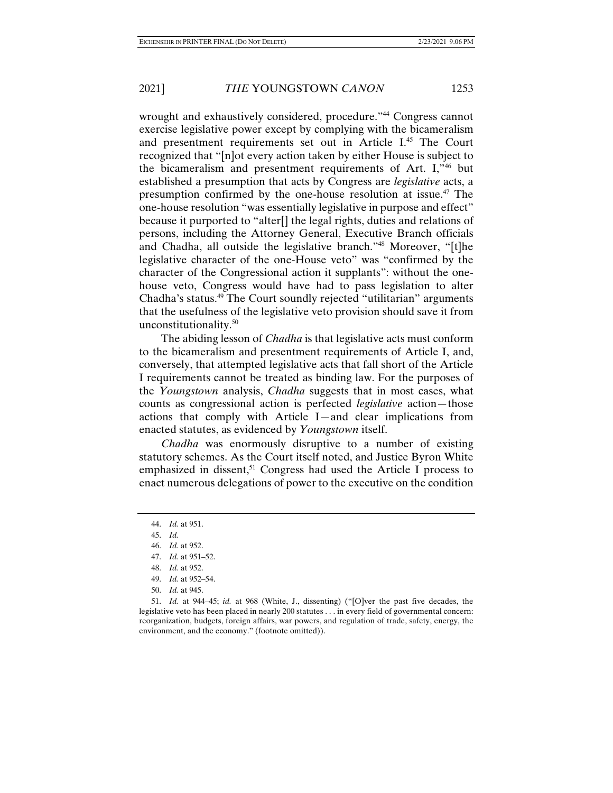wrought and exhaustively considered, procedure."<sup>44</sup> Congress cannot exercise legislative power except by complying with the bicameralism and presentment requirements set out in Article I.45 The Court recognized that "[n]ot every action taken by either House is subject to the bicameralism and presentment requirements of Art. I,"46 but established a presumption that acts by Congress are *legislative* acts, a presumption confirmed by the one-house resolution at issue.47 The one-house resolution "was essentially legislative in purpose and effect" because it purported to "alter[] the legal rights, duties and relations of persons, including the Attorney General, Executive Branch officials and Chadha, all outside the legislative branch."48 Moreover, "[t]he legislative character of the one-House veto" was "confirmed by the character of the Congressional action it supplants": without the onehouse veto, Congress would have had to pass legislation to alter Chadha's status.49 The Court soundly rejected "utilitarian" arguments that the usefulness of the legislative veto provision should save it from unconstitutionality.50

The abiding lesson of *Chadha* is that legislative acts must conform to the bicameralism and presentment requirements of Article I, and, conversely, that attempted legislative acts that fall short of the Article I requirements cannot be treated as binding law. For the purposes of the *Youngstown* analysis, *Chadha* suggests that in most cases, what counts as congressional action is perfected *legislative* action—those actions that comply with Article I—and clear implications from enacted statutes, as evidenced by *Youngstown* itself.

*Chadha* was enormously disruptive to a number of existing statutory schemes. As the Court itself noted, and Justice Byron White emphasized in dissent,<sup>51</sup> Congress had used the Article I process to enact numerous delegations of power to the executive on the condition

50. *Id.* at 945.

 51. *Id.* at 944–45; *id.* at 968 (White, J., dissenting) ("[O]ver the past five decades, the legislative veto has been placed in nearly 200 statutes . . . in every field of governmental concern: reorganization, budgets, foreign affairs, war powers, and regulation of trade, safety, energy, the environment, and the economy." (footnote omitted)).

 <sup>44.</sup> *Id.* at 951.

 <sup>45.</sup> *Id.*

 <sup>46.</sup> *Id.* at 952.

 <sup>47.</sup> *Id.* at 951–52.

 <sup>48.</sup> *Id.* at 952.

 <sup>49.</sup> *Id.* at 952–54.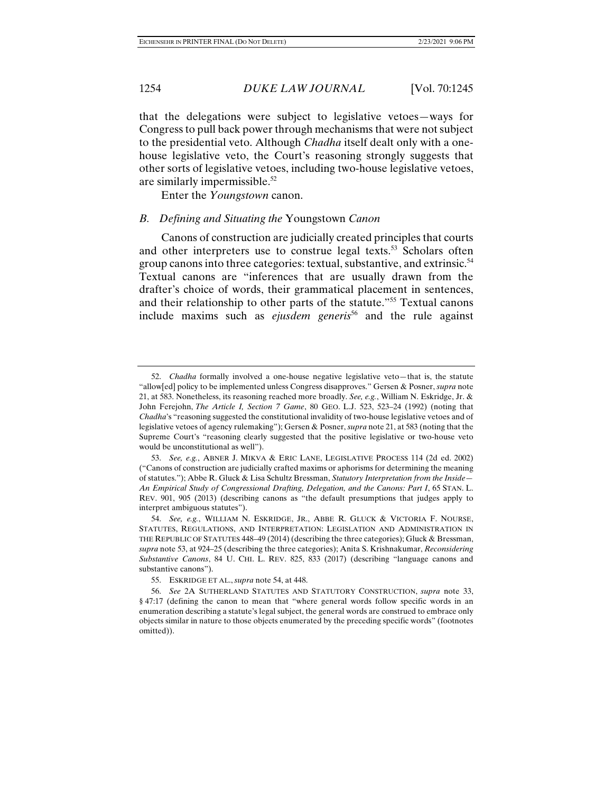that the delegations were subject to legislative vetoes—ways for Congress to pull back power through mechanisms that were not subject to the presidential veto. Although *Chadha* itself dealt only with a onehouse legislative veto, the Court's reasoning strongly suggests that other sorts of legislative vetoes, including two-house legislative vetoes, are similarly impermissible.52

Enter the *Youngstown* canon.

#### *B. Defining and Situating the* Youngstown *Canon*

Canons of construction are judicially created principles that courts and other interpreters use to construe legal texts.<sup>53</sup> Scholars often group canons into three categories: textual, substantive, and extrinsic.<sup>54</sup> Textual canons are "inferences that are usually drawn from the drafter's choice of words, their grammatical placement in sentences, and their relationship to other parts of the statute."55 Textual canons include maxims such as *ejusdem generis*<sup>56</sup> and the rule against

 <sup>52.</sup> *Chadha* formally involved a one-house negative legislative veto—that is, the statute "allow[ed] policy to be implemented unless Congress disapproves." Gersen & Posner, *supra* note 21, at 583. Nonetheless, its reasoning reached more broadly. *See, e.g.*, William N. Eskridge, Jr. & John Ferejohn, *The Article I, Section 7 Game*, 80 GEO. L.J. 523, 523–24 (1992) (noting that *Chadha*'s "reasoning suggested the constitutional invalidity of two-house legislative vetoes and of legislative vetoes of agency rulemaking"); Gersen & Posner, *supra* note 21, at 583 (noting that the Supreme Court's "reasoning clearly suggested that the positive legislative or two-house veto would be unconstitutional as well").

 <sup>53.</sup> *See, e.g.*, ABNER J. MIKVA & ERIC LANE, LEGISLATIVE PROCESS 114 (2d ed. 2002) ("Canons of construction are judicially crafted maxims or aphorisms for determining the meaning of statutes."); Abbe R. Gluck & Lisa Schultz Bressman, *Statutory Interpretation from the Inside— An Empirical Study of Congressional Drafting, Delegation, and the Canons: Part I*, 65 STAN. L. REV. 901, 905 (2013) (describing canons as "the default presumptions that judges apply to interpret ambiguous statutes").

 <sup>54.</sup> *See, e.g.*, WILLIAM N. ESKRIDGE, JR., ABBE R. GLUCK & VICTORIA F. NOURSE, STATUTES, REGULATIONS, AND INTERPRETATION: LEGISLATION AND ADMINISTRATION IN THE REPUBLIC OF STATUTES 448–49 (2014) (describing the three categories); Gluck & Bressman, *supra* note 53, at 924–25 (describing the three categories); Anita S. Krishnakumar, *Reconsidering Substantive Canons*, 84 U. CHI. L. REV. 825, 833 (2017) (describing "language canons and substantive canons").

 <sup>55.</sup> ESKRIDGE ET AL., *supra* note 54, at 448.

 <sup>56.</sup> *See* 2A SUTHERLAND STATUTES AND STATUTORY CONSTRUCTION, *supra* note 33, § 47:17 (defining the canon to mean that "where general words follow specific words in an enumeration describing a statute's legal subject, the general words are construed to embrace only objects similar in nature to those objects enumerated by the preceding specific words" (footnotes omitted)).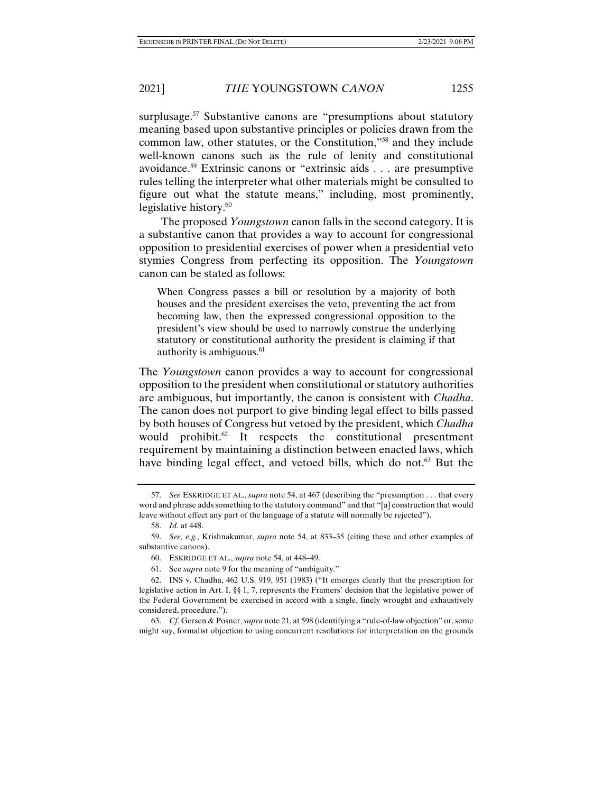surplusage.<sup>57</sup> Substantive canons are "presumptions about statutory" meaning based upon substantive principles or policies drawn from the common law, other statutes, or the Constitution,"58 and they include well-known canons such as the rule of lenity and constitutional avoidance.59 Extrinsic canons or "extrinsic aids . . . are presumptive rules telling the interpreter what other materials might be consulted to figure out what the statute means," including, most prominently, legislative history. $60$ 

The proposed *Youngstown* canon falls in the second category. It is a substantive canon that provides a way to account for congressional opposition to presidential exercises of power when a presidential veto stymies Congress from perfecting its opposition. The *Youngstown* canon can be stated as follows:

When Congress passes a bill or resolution by a majority of both houses and the president exercises the veto, preventing the act from becoming law, then the expressed congressional opposition to the president's view should be used to narrowly construe the underlying statutory or constitutional authority the president is claiming if that authority is ambiguous.<sup>61</sup>

The *Youngstown* canon provides a way to account for congressional opposition to the president when constitutional or statutory authorities are ambiguous, but importantly, the canon is consistent with *Chadha*. The canon does not purport to give binding legal effect to bills passed by both houses of Congress but vetoed by the president, which *Chadha*  would prohibit.<sup>62</sup> It respects the constitutional presentment requirement by maintaining a distinction between enacted laws, which have binding legal effect, and vetoed bills, which do not.<sup>63</sup> But the

 <sup>57.</sup> *See* ESKRIDGE ET AL., *supra* note 54, at 467 (describing the "presumption . . . that every word and phrase adds something to the statutory command" and that "[a] construction that would leave without effect any part of the language of a statute will normally be rejected").

 <sup>58.</sup> *Id.* at 448.

 <sup>59.</sup> *See, e.g.*, Krishnakumar, *supra* note 54, at 833–35 (citing these and other examples of substantive canons).

 <sup>60.</sup> ESKRIDGE ET AL., *supra* note 54, at 448–49.

 <sup>61.</sup> See *supra* note 9 for the meaning of "ambiguity."

 <sup>62.</sup> INS v. Chadha, 462 U.S. 919, 951 (1983) ("It emerges clearly that the prescription for legislative action in Art. I, §§ 1, 7, represents the Framers' decision that the legislative power of the Federal Government be exercised in accord with a single, finely wrought and exhaustively considered, procedure.").

 <sup>63.</sup> *Cf.* Gersen & Posner, *supra* note 21, at 598 (identifying a "rule-of-law objection" or, some might say, formalist objection to using concurrent resolutions for interpretation on the grounds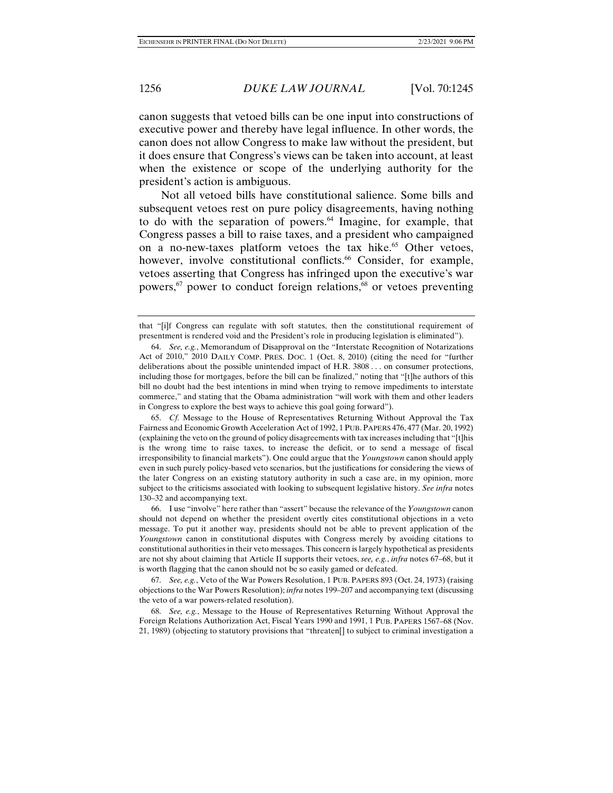canon suggests that vetoed bills can be one input into constructions of executive power and thereby have legal influence. In other words, the canon does not allow Congress to make law without the president, but it does ensure that Congress's views can be taken into account, at least when the existence or scope of the underlying authority for the president's action is ambiguous.

Not all vetoed bills have constitutional salience. Some bills and subsequent vetoes rest on pure policy disagreements, having nothing to do with the separation of powers. $64$  Imagine, for example, that Congress passes a bill to raise taxes, and a president who campaigned on a no-new-taxes platform vetoes the tax hike.<sup>65</sup> Other vetoes, however, involve constitutional conflicts.<sup>66</sup> Consider, for example, vetoes asserting that Congress has infringed upon the executive's war powers,67 power to conduct foreign relations,68 or vetoes preventing

that "[i]f Congress can regulate with soft statutes, then the constitutional requirement of presentment is rendered void and the President's role in producing legislation is eliminated").

 <sup>64.</sup> *See, e.g.*, Memorandum of Disapproval on the "Interstate Recognition of Notarizations Act of 2010," 2010 DAILY COMP. PRES. DOC. 1 (Oct. 8, 2010) (citing the need for "further deliberations about the possible unintended impact of H.R. 3808 . . . on consumer protections, including those for mortgages, before the bill can be finalized," noting that "[t]he authors of this bill no doubt had the best intentions in mind when trying to remove impediments to interstate commerce," and stating that the Obama administration "will work with them and other leaders in Congress to explore the best ways to achieve this goal going forward").

 <sup>65.</sup> *Cf.* Message to the House of Representatives Returning Without Approval the Tax Fairness and Economic Growth Acceleration Act of 1992, 1 PUB. PAPERS 476, 477 (Mar. 20, 1992) (explaining the veto on the ground of policy disagreements with tax increases including that "[t]his is the wrong time to raise taxes, to increase the deficit, or to send a message of fiscal irresponsibility to financial markets"). One could argue that the *Youngstown* canon should apply even in such purely policy-based veto scenarios, but the justifications for considering the views of the later Congress on an existing statutory authority in such a case are, in my opinion, more subject to the criticisms associated with looking to subsequent legislative history. *See infra* notes 130–32 and accompanying text.

 <sup>66.</sup> I use "involve" here rather than "assert" because the relevance of the *Youngstown* canon should not depend on whether the president overtly cites constitutional objections in a veto message. To put it another way, presidents should not be able to prevent application of the *Youngstown* canon in constitutional disputes with Congress merely by avoiding citations to constitutional authorities in their veto messages. This concern is largely hypothetical as presidents are not shy about claiming that Article II supports their vetoes, *see, e.g.*, *infra* notes 67–68, but it is worth flagging that the canon should not be so easily gamed or defeated.

 <sup>67.</sup> *See, e.g.*, Veto of the War Powers Resolution, 1 PUB. PAPERS 893 (Oct. 24, 1973) (raising objections to the War Powers Resolution); *infra* notes 199–207 and accompanying text (discussing the veto of a war powers-related resolution).

 <sup>68.</sup> *See, e.g.*, Message to the House of Representatives Returning Without Approval the Foreign Relations Authorization Act, Fiscal Years 1990 and 1991, 1 PUB. PAPERS 1567–68 (Nov. 21, 1989) (objecting to statutory provisions that "threaten[] to subject to criminal investigation a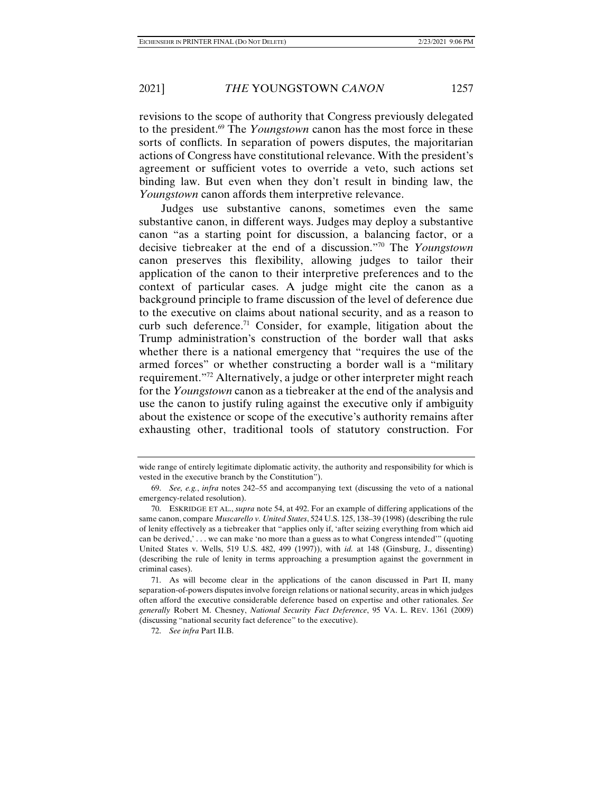revisions to the scope of authority that Congress previously delegated to the president.69 The *Youngstown* canon has the most force in these sorts of conflicts. In separation of powers disputes, the majoritarian actions of Congress have constitutional relevance. With the president's agreement or sufficient votes to override a veto, such actions set binding law. But even when they don't result in binding law, the *Youngstown* canon affords them interpretive relevance.

Judges use substantive canons, sometimes even the same substantive canon, in different ways. Judges may deploy a substantive canon "as a starting point for discussion, a balancing factor, or a decisive tiebreaker at the end of a discussion."70 The *Youngstown* canon preserves this flexibility, allowing judges to tailor their application of the canon to their interpretive preferences and to the context of particular cases. A judge might cite the canon as a background principle to frame discussion of the level of deference due to the executive on claims about national security, and as a reason to curb such deference.<sup>71</sup> Consider, for example, litigation about the Trump administration's construction of the border wall that asks whether there is a national emergency that "requires the use of the armed forces" or whether constructing a border wall is a "military requirement."72 Alternatively, a judge or other interpreter might reach for the *Youngstown* canon as a tiebreaker at the end of the analysis and use the canon to justify ruling against the executive only if ambiguity about the existence or scope of the executive's authority remains after exhausting other, traditional tools of statutory construction. For

wide range of entirely legitimate diplomatic activity, the authority and responsibility for which is vested in the executive branch by the Constitution").

 <sup>69.</sup> *See, e.g.*, *infra* notes 242–55 and accompanying text (discussing the veto of a national emergency-related resolution).

 <sup>70.</sup> ESKRIDGE ET AL., *supra* note 54, at 492. For an example of differing applications of the same canon, compare *Muscarello v. United States*, 524 U.S. 125, 138–39 (1998) (describing the rule of lenity effectively as a tiebreaker that "applies only if, 'after seizing everything from which aid can be derived,' . . . we can make 'no more than a guess as to what Congress intended'" (quoting United States v. Wells, 519 U.S. 482, 499 (1997)), with *id.* at 148 (Ginsburg, J., dissenting) (describing the rule of lenity in terms approaching a presumption against the government in criminal cases).

 <sup>71.</sup> As will become clear in the applications of the canon discussed in Part II, many separation-of-powers disputes involve foreign relations or national security, areas in which judges often afford the executive considerable deference based on expertise and other rationales. *See generally* Robert M. Chesney, *National Security Fact Deference*, 95 VA. L. REV. 1361 (2009) (discussing "national security fact deference" to the executive).

 <sup>72.</sup> *See infra* Part II.B.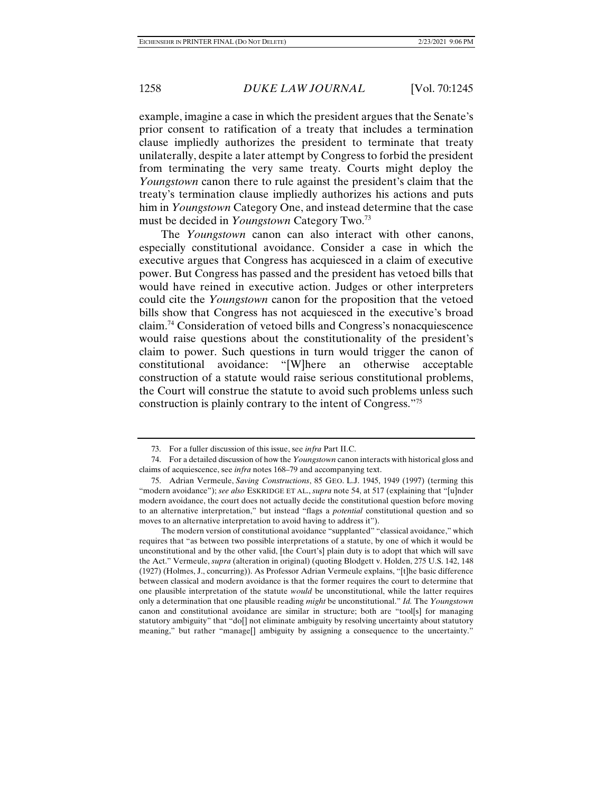example, imagine a case in which the president argues that the Senate's prior consent to ratification of a treaty that includes a termination clause impliedly authorizes the president to terminate that treaty unilaterally, despite a later attempt by Congress to forbid the president from terminating the very same treaty. Courts might deploy the *Youngstown* canon there to rule against the president's claim that the treaty's termination clause impliedly authorizes his actions and puts him in *Youngstown* Category One, and instead determine that the case must be decided in *Youngstown* Category Two.73

The *Youngstown* canon can also interact with other canons, especially constitutional avoidance. Consider a case in which the executive argues that Congress has acquiesced in a claim of executive power. But Congress has passed and the president has vetoed bills that would have reined in executive action. Judges or other interpreters could cite the *Youngstown* canon for the proposition that the vetoed bills show that Congress has not acquiesced in the executive's broad claim.74 Consideration of vetoed bills and Congress's nonacquiescence would raise questions about the constitutionality of the president's claim to power. Such questions in turn would trigger the canon of constitutional avoidance: "[W]here an otherwise acceptable construction of a statute would raise serious constitutional problems, the Court will construe the statute to avoid such problems unless such construction is plainly contrary to the intent of Congress."75

The modern version of constitutional avoidance "supplanted" "classical avoidance," which requires that "as between two possible interpretations of a statute, by one of which it would be unconstitutional and by the other valid, [the Court's] plain duty is to adopt that which will save the Act." Vermeule, *supra* (alteration in original) (quoting Blodgett v. Holden, 275 U.S. 142, 148 (1927) (Holmes, J., concurring)). As Professor Adrian Vermeule explains, "[t]he basic difference between classical and modern avoidance is that the former requires the court to determine that one plausible interpretation of the statute *would* be unconstitutional, while the latter requires only a determination that one plausible reading *might* be unconstitutional." *Id.* The *Youngstown*  canon and constitutional avoidance are similar in structure; both are "tool[s] for managing statutory ambiguity" that "do[] not eliminate ambiguity by resolving uncertainty about statutory meaning," but rather "manage[] ambiguity by assigning a consequence to the uncertainty."

 <sup>73.</sup> For a fuller discussion of this issue, see *infra* Part II.C.

 <sup>74.</sup> For a detailed discussion of how the *Youngstown* canon interacts with historical gloss and claims of acquiescence, see *infra* notes 168–79 and accompanying text.

 <sup>75.</sup> Adrian Vermeule, *Saving Constructions*, 85 GEO. L.J. 1945, 1949 (1997) (terming this "modern avoidance"); *see also* ESKRIDGE ET AL., *supra* note 54, at 517 (explaining that "[u]nder modern avoidance, the court does not actually decide the constitutional question before moving to an alternative interpretation," but instead "flags a *potential* constitutional question and so moves to an alternative interpretation to avoid having to address it").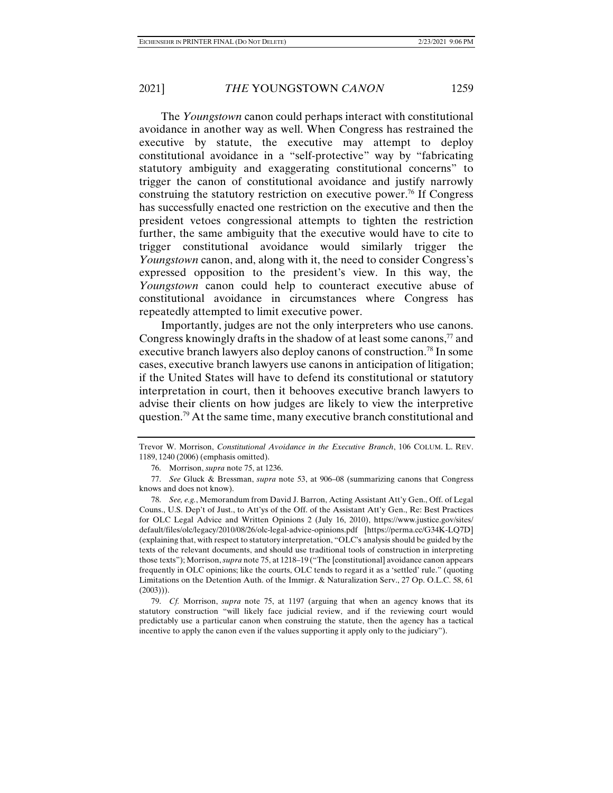The *Youngstown* canon could perhaps interact with constitutional avoidance in another way as well. When Congress has restrained the executive by statute, the executive may attempt to deploy constitutional avoidance in a "self-protective" way by "fabricating statutory ambiguity and exaggerating constitutional concerns" to trigger the canon of constitutional avoidance and justify narrowly construing the statutory restriction on executive power.<sup>76</sup> If Congress has successfully enacted one restriction on the executive and then the president vetoes congressional attempts to tighten the restriction further, the same ambiguity that the executive would have to cite to trigger constitutional avoidance would similarly trigger the *Youngstown* canon, and, along with it, the need to consider Congress's expressed opposition to the president's view. In this way, the *Youngstown* canon could help to counteract executive abuse of constitutional avoidance in circumstances where Congress has repeatedly attempted to limit executive power.

Importantly, judges are not the only interpreters who use canons. Congress knowingly drafts in the shadow of at least some canons,  $\frac{7}{7}$  and executive branch lawyers also deploy canons of construction.<sup>78</sup> In some cases, executive branch lawyers use canons in anticipation of litigation; if the United States will have to defend its constitutional or statutory interpretation in court, then it behooves executive branch lawyers to advise their clients on how judges are likely to view the interpretive question.<sup>79</sup> At the same time, many executive branch constitutional and

Trevor W. Morrison, *Constitutional Avoidance in the Executive Branch*, 106 COLUM. L. REV. 1189, 1240 (2006) (emphasis omitted).

 <sup>76.</sup> Morrison, *supra* note 75, at 1236.

 <sup>77.</sup> *See* Gluck & Bressman, *supra* note 53, at 906–08 (summarizing canons that Congress knows and does not know).

 <sup>78.</sup> *See, e.g.*, Memorandum from David J. Barron, Acting Assistant Att'y Gen., Off. of Legal Couns., U.S. Dep't of Just., to Att'ys of the Off. of the Assistant Att'y Gen., Re: Best Practices for OLC Legal Advice and Written Opinions 2 (July 16, 2010), https://www.justice.gov/sites/ default/files/olc/legacy/2010/08/26/olc-legal-advice-opinions.pdf [https://perma.cc/G34K-LQ7D] (explaining that, with respect to statutory interpretation, "OLC's analysis should be guided by the texts of the relevant documents, and should use traditional tools of construction in interpreting those texts"); Morrison, *supra* note 75, at 1218–19 ("The [constitutional] avoidance canon appears frequently in OLC opinions; like the courts, OLC tends to regard it as a 'settled' rule." (quoting Limitations on the Detention Auth. of the Immigr. & Naturalization Serv., 27 Op. O.L.C. 58, 61  $(2003))$ ).

 <sup>79.</sup> *Cf.* Morrison, *supra* note 75, at 1197 (arguing that when an agency knows that its statutory construction "will likely face judicial review, and if the reviewing court would predictably use a particular canon when construing the statute, then the agency has a tactical incentive to apply the canon even if the values supporting it apply only to the judiciary").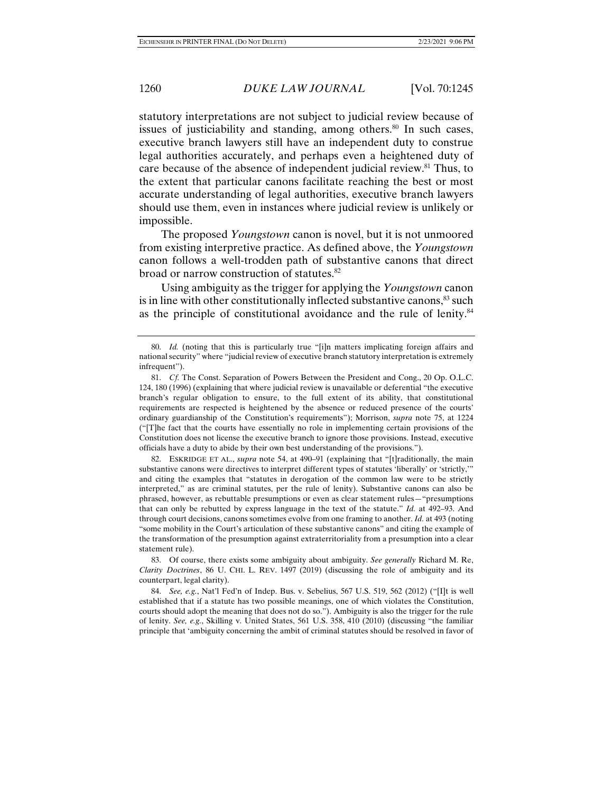statutory interpretations are not subject to judicial review because of issues of justiciability and standing, among others. $80$  In such cases, executive branch lawyers still have an independent duty to construe legal authorities accurately, and perhaps even a heightened duty of care because of the absence of independent judicial review.<sup>81</sup> Thus, to the extent that particular canons facilitate reaching the best or most accurate understanding of legal authorities, executive branch lawyers should use them, even in instances where judicial review is unlikely or impossible.

The proposed *Youngstown* canon is novel, but it is not unmoored from existing interpretive practice. As defined above, the *Youngstown* canon follows a well-trodden path of substantive canons that direct broad or narrow construction of statutes.<sup>82</sup>

Using ambiguity as the trigger for applying the *Youngstown* canon is in line with other constitutionally inflected substantive canons,<sup>83</sup> such as the principle of constitutional avoidance and the rule of lenity.<sup>84</sup>

 82. ESKRIDGE ET AL., *supra* note 54, at 490–91 (explaining that "[t]raditionally, the main substantive canons were directives to interpret different types of statutes 'liberally' or 'strictly,'" and citing the examples that "statutes in derogation of the common law were to be strictly interpreted," as are criminal statutes, per the rule of lenity). Substantive canons can also be phrased, however, as rebuttable presumptions or even as clear statement rules—"presumptions that can only be rebutted by express language in the text of the statute." *Id.* at 492–93. And through court decisions, canons sometimes evolve from one framing to another. *Id.* at 493 (noting "some mobility in the Court's articulation of these substantive canons" and citing the example of the transformation of the presumption against extraterritoriality from a presumption into a clear statement rule).

 83. Of course, there exists some ambiguity about ambiguity. *See generally* Richard M. Re, *Clarity Doctrines*, 86 U. CHI. L. REV. 1497 (2019) (discussing the role of ambiguity and its counterpart, legal clarity).

 84. *See, e.g.*, Nat'l Fed'n of Indep. Bus. v. Sebelius, 567 U.S. 519, 562 (2012) ("[I]t is well established that if a statute has two possible meanings, one of which violates the Constitution, courts should adopt the meaning that does not do so."). Ambiguity is also the trigger for the rule of lenity. *See, e.g.*, Skilling v. United States, 561 U.S. 358, 410 (2010) (discussing "the familiar principle that 'ambiguity concerning the ambit of criminal statutes should be resolved in favor of

 <sup>80.</sup> *Id.* (noting that this is particularly true "[i]n matters implicating foreign affairs and national security" where "judicial review of executive branch statutory interpretation is extremely infrequent").

 <sup>81.</sup> *Cf.* The Const. Separation of Powers Between the President and Cong., 20 Op. O.L.C. 124, 180 (1996) (explaining that where judicial review is unavailable or deferential "the executive branch's regular obligation to ensure, to the full extent of its ability, that constitutional requirements are respected is heightened by the absence or reduced presence of the courts' ordinary guardianship of the Constitution's requirements"); Morrison, *supra* note 75, at 1224 ("[T]he fact that the courts have essentially no role in implementing certain provisions of the Constitution does not license the executive branch to ignore those provisions. Instead, executive officials have a duty to abide by their own best understanding of the provisions.").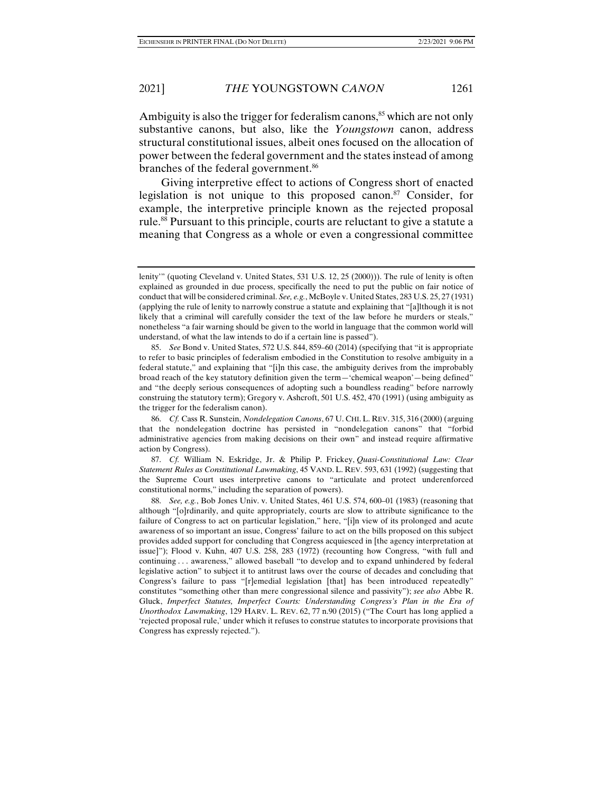Ambiguity is also the trigger for federalism canons, $85$  which are not only substantive canons, but also, like the *Youngstown* canon, address structural constitutional issues, albeit ones focused on the allocation of power between the federal government and the states instead of among branches of the federal government.<sup>86</sup>

Giving interpretive effect to actions of Congress short of enacted legislation is not unique to this proposed canon.<sup>87</sup> Consider, for example, the interpretive principle known as the rejected proposal rule.<sup>88</sup> Pursuant to this principle, courts are reluctant to give a statute a meaning that Congress as a whole or even a congressional committee

lenity'" (quoting Cleveland v. United States, 531 U.S. 12, 25 (2000))). The rule of lenity is often explained as grounded in due process, specifically the need to put the public on fair notice of conduct that will be considered criminal. *See, e.g.*, McBoyle v. United States, 283 U.S. 25, 27 (1931) (applying the rule of lenity to narrowly construe a statute and explaining that "[a]lthough it is not likely that a criminal will carefully consider the text of the law before he murders or steals," nonetheless "a fair warning should be given to the world in language that the common world will understand, of what the law intends to do if a certain line is passed").

 <sup>85.</sup> *See* Bond v. United States, 572 U.S. 844, 859–60 (2014) (specifying that "it is appropriate to refer to basic principles of federalism embodied in the Constitution to resolve ambiguity in a federal statute," and explaining that "[i]n this case, the ambiguity derives from the improbably broad reach of the key statutory definition given the term—'chemical weapon'—being defined" and "the deeply serious consequences of adopting such a boundless reading" before narrowly construing the statutory term); Gregory v. Ashcroft, 501 U.S. 452, 470 (1991) (using ambiguity as the trigger for the federalism canon).

 <sup>86.</sup> *Cf.* Cass R. Sunstein, *Nondelegation Canons*, 67 U. CHI. L. REV. 315, 316 (2000)(arguing that the nondelegation doctrine has persisted in "nondelegation canons" that "forbid administrative agencies from making decisions on their own" and instead require affirmative action by Congress).

 <sup>87.</sup> *Cf.* William N. Eskridge, Jr. & Philip P. Frickey, *Quasi-Constitutional Law: Clear Statement Rules as Constitutional Lawmaking*, 45 VAND. L. REV. 593, 631 (1992) (suggesting that the Supreme Court uses interpretive canons to "articulate and protect underenforced constitutional norms," including the separation of powers).

 <sup>88.</sup> *See, e.g.*, Bob Jones Univ. v. United States, 461 U.S. 574, 600–01 (1983) (reasoning that although "[o]rdinarily, and quite appropriately, courts are slow to attribute significance to the failure of Congress to act on particular legislation," here, "[i]n view of its prolonged and acute awareness of so important an issue, Congress' failure to act on the bills proposed on this subject provides added support for concluding that Congress acquiesced in [the agency interpretation at issue]"); Flood v. Kuhn, 407 U.S. 258, 283 (1972) (recounting how Congress, "with full and continuing . . . awareness," allowed baseball "to develop and to expand unhindered by federal legislative action" to subject it to antitrust laws over the course of decades and concluding that Congress's failure to pass "[r]emedial legislation [that] has been introduced repeatedly" constitutes "something other than mere congressional silence and passivity"); *see also* Abbe R. Gluck, *Imperfect Statutes, Imperfect Courts: Understanding Congress's Plan in the Era of Unorthodox Lawmaking*, 129 HARV. L. REV. 62, 77 n.90 (2015) ("The Court has long applied a 'rejected proposal rule,' under which it refuses to construe statutes to incorporate provisions that Congress has expressly rejected.").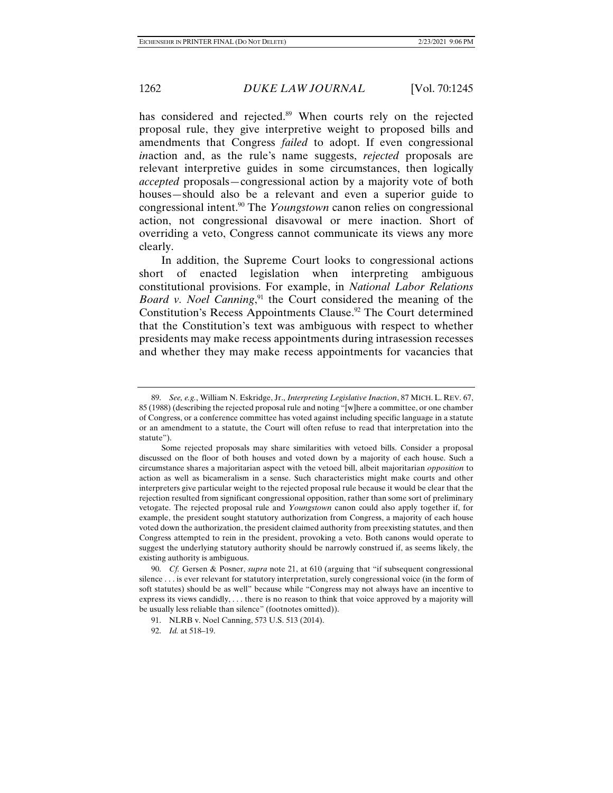has considered and rejected.<sup>89</sup> When courts rely on the rejected proposal rule, they give interpretive weight to proposed bills and amendments that Congress *failed* to adopt. If even congressional *in*action and, as the rule's name suggests, *rejected* proposals are relevant interpretive guides in some circumstances, then logically *accepted* proposals—congressional action by a majority vote of both houses—should also be a relevant and even a superior guide to congressional intent.90 The *Youngstown* canon relies on congressional action, not congressional disavowal or mere inaction. Short of overriding a veto, Congress cannot communicate its views any more clearly.

In addition, the Supreme Court looks to congressional actions short of enacted legislation when interpreting ambiguous constitutional provisions. For example, in *National Labor Relations Board v. Noel Canning*,<sup>91</sup> the Court considered the meaning of the Constitution's Recess Appointments Clause.<sup>92</sup> The Court determined that the Constitution's text was ambiguous with respect to whether presidents may make recess appointments during intrasession recesses and whether they may make recess appointments for vacancies that

 <sup>89.</sup> *See, e.g.*, William N. Eskridge, Jr., *Interpreting Legislative Inaction*, 87 MICH. L. REV. 67, 85 (1988) (describing the rejected proposal rule and noting "[w]here a committee, or one chamber of Congress, or a conference committee has voted against including specific language in a statute or an amendment to a statute, the Court will often refuse to read that interpretation into the statute").

Some rejected proposals may share similarities with vetoed bills. Consider a proposal discussed on the floor of both houses and voted down by a majority of each house. Such a circumstance shares a majoritarian aspect with the vetoed bill, albeit majoritarian *opposition* to action as well as bicameralism in a sense. Such characteristics might make courts and other interpreters give particular weight to the rejected proposal rule because it would be clear that the rejection resulted from significant congressional opposition, rather than some sort of preliminary vetogate. The rejected proposal rule and *Youngstown* canon could also apply together if, for example, the president sought statutory authorization from Congress, a majority of each house voted down the authorization, the president claimed authority from preexisting statutes, and then Congress attempted to rein in the president, provoking a veto. Both canons would operate to suggest the underlying statutory authority should be narrowly construed if, as seems likely, the existing authority is ambiguous.

 <sup>90.</sup> *Cf.* Gersen & Posner, *supra* note 21, at 610 (arguing that "if subsequent congressional silence . . . is ever relevant for statutory interpretation, surely congressional voice (in the form of soft statutes) should be as well" because while "Congress may not always have an incentive to express its views candidly, ... there is no reason to think that voice approved by a majority will be usually less reliable than silence" (footnotes omitted)).

 <sup>91.</sup> NLRB v. Noel Canning, 573 U.S. 513 (2014).

 <sup>92.</sup> *Id.* at 518–19.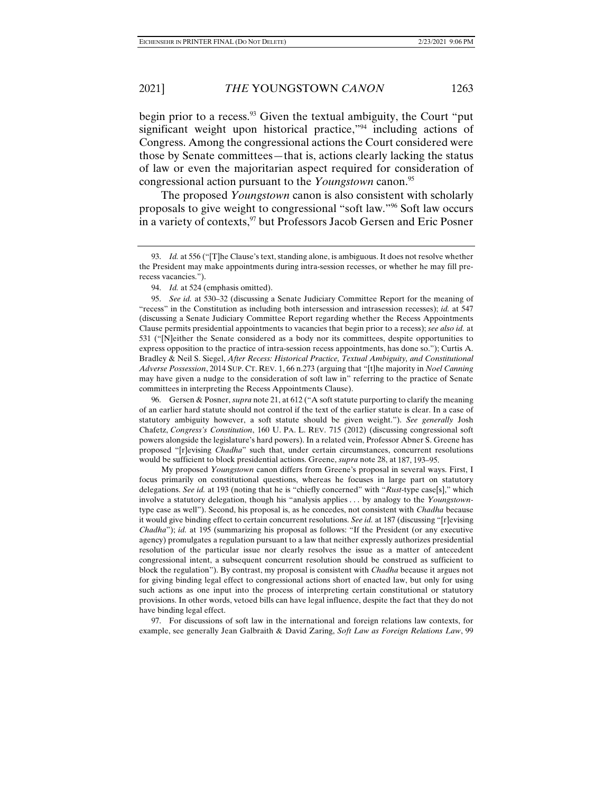begin prior to a recess.<sup>93</sup> Given the textual ambiguity, the Court "put significant weight upon historical practice,"<sup>94</sup> including actions of Congress. Among the congressional actions the Court considered were those by Senate committees—that is, actions clearly lacking the status of law or even the majoritarian aspect required for consideration of congressional action pursuant to the *Youngstown* canon.95

The proposed *Youngstown* canon is also consistent with scholarly proposals to give weight to congressional "soft law."96 Soft law occurs in a variety of contexts,<sup>97</sup> but Professors Jacob Gersen and Eric Posner

 95. *See id.* at 530–32 (discussing a Senate Judiciary Committee Report for the meaning of "recess" in the Constitution as including both intersession and intrasession recesses); *id.* at 547 (discussing a Senate Judiciary Committee Report regarding whether the Recess Appointments Clause permits presidential appointments to vacancies that begin prior to a recess); *see also id.* at 531 ("[N]either the Senate considered as a body nor its committees, despite opportunities to express opposition to the practice of intra-session recess appointments, has done so."); Curtis A. Bradley & Neil S. Siegel, *After Recess: Historical Practice, Textual Ambiguity, and Constitutional Adverse Possession*, 2014 SUP. CT. REV. 1, 66 n.273 (arguing that "[t]he majority in *Noel Canning* may have given a nudge to the consideration of soft law in" referring to the practice of Senate committees in interpreting the Recess Appointments Clause).

 96. Gersen & Posner, *supra* note 21, at 612 ("A soft statute purporting to clarify the meaning of an earlier hard statute should not control if the text of the earlier statute is clear. In a case of statutory ambiguity however, a soft statute should be given weight."). *See generally* Josh Chafetz, *Congress's Constitution*, 160 U. PA. L. REV. 715 (2012) (discussing congressional soft powers alongside the legislature's hard powers). In a related vein, Professor Abner S. Greene has proposed "[r]evising *Chadha*" such that, under certain circumstances, concurrent resolutions would be sufficient to block presidential actions. Greene, *supra* note 28, at 187, 193–95.

My proposed *Youngstown* canon differs from Greene's proposal in several ways. First, I focus primarily on constitutional questions, whereas he focuses in large part on statutory delegations. *See id.* at 193 (noting that he is "chiefly concerned" with "*Rust*-type case[s]," which involve a statutory delegation, though his "analysis applies . . . by analogy to the *Youngstown*type case as well"). Second, his proposal is, as he concedes, not consistent with *Chadha* because it would give binding effect to certain concurrent resolutions. *See id.* at 187 (discussing "[r]evising *Chadha*"); *id.* at 195 (summarizing his proposal as follows: "If the President (or any executive agency) promulgates a regulation pursuant to a law that neither expressly authorizes presidential resolution of the particular issue nor clearly resolves the issue as a matter of antecedent congressional intent, a subsequent concurrent resolution should be construed as sufficient to block the regulation"). By contrast, my proposal is consistent with *Chadha* because it argues not for giving binding legal effect to congressional actions short of enacted law, but only for using such actions as one input into the process of interpreting certain constitutional or statutory provisions. In other words, vetoed bills can have legal influence, despite the fact that they do not have binding legal effect.

 97. For discussions of soft law in the international and foreign relations law contexts, for example, see generally Jean Galbraith & David Zaring, *Soft Law as Foreign Relations Law*, 99

 <sup>93.</sup> *Id.* at 556 ("[T]he Clause's text, standing alone, is ambiguous. It does not resolve whether the President may make appointments during intra-session recesses, or whether he may fill prerecess vacancies.").

 <sup>94.</sup> *Id.* at 524 (emphasis omitted).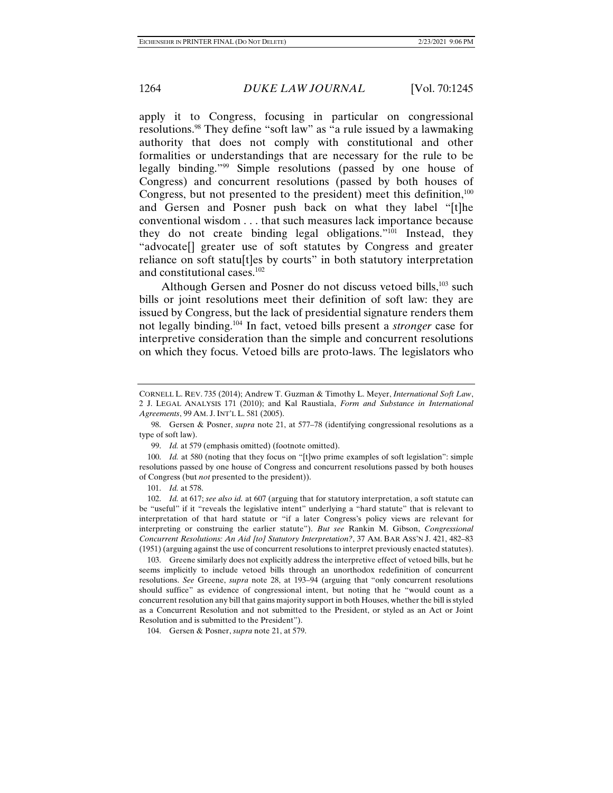apply it to Congress, focusing in particular on congressional resolutions.98 They define "soft law" as "a rule issued by a lawmaking authority that does not comply with constitutional and other formalities or understandings that are necessary for the rule to be legally binding."99 Simple resolutions (passed by one house of Congress) and concurrent resolutions (passed by both houses of Congress, but not presented to the president) meet this definition, $100$ and Gersen and Posner push back on what they label "[t]he conventional wisdom . . . that such measures lack importance because they do not create binding legal obligations."101 Instead, they "advocate[] greater use of soft statutes by Congress and greater reliance on soft statu[t]es by courts" in both statutory interpretation and constitutional cases.102

Although Gersen and Posner do not discuss vetoed bills,<sup>103</sup> such bills or joint resolutions meet their definition of soft law: they are issued by Congress, but the lack of presidential signature renders them not legally binding.104 In fact, vetoed bills present a *stronger* case for interpretive consideration than the simple and concurrent resolutions on which they focus. Vetoed bills are proto-laws. The legislators who

 103. Greene similarly does not explicitly address the interpretive effect of vetoed bills, but he seems implicitly to include vetoed bills through an unorthodox redefinition of concurrent resolutions. *See* Greene, *supra* note 28, at 193–94 (arguing that "only concurrent resolutions should suffice" as evidence of congressional intent, but noting that he "would count as a concurrent resolution any bill that gains majority support in both Houses, whether the bill is styled as a Concurrent Resolution and not submitted to the President, or styled as an Act or Joint Resolution and is submitted to the President").

104. Gersen & Posner, *supra* note 21, at 579.

CORNELL L. REV. 735 (2014); Andrew T. Guzman & Timothy L. Meyer, *International Soft Law*, 2 J. LEGAL ANALYSIS 171 (2010); and Kal Raustiala, *Form and Substance in International Agreements*, 99 AM. J. INT'L L. 581 (2005).

 <sup>98.</sup> Gersen & Posner, *supra* note 21, at 577–78 (identifying congressional resolutions as a type of soft law).

 <sup>99.</sup> *Id.* at 579 (emphasis omitted) (footnote omitted).

 <sup>100.</sup> *Id.* at 580 (noting that they focus on "[t]wo prime examples of soft legislation": simple resolutions passed by one house of Congress and concurrent resolutions passed by both houses of Congress (but *not* presented to the president)).

 <sup>101.</sup> *Id.* at 578.

 <sup>102.</sup> *Id.* at 617; *see also id.* at 607 (arguing that for statutory interpretation, a soft statute can be "useful" if it "reveals the legislative intent" underlying a "hard statute" that is relevant to interpretation of that hard statute or "if a later Congress's policy views are relevant for interpreting or construing the earlier statute"). *But see* Rankin M. Gibson, *Congressional Concurrent Resolutions: An Aid [to] Statutory Interpretation?*, 37 AM. BAR ASS'N J. 421, 482–83 (1951) (arguing against the use of concurrent resolutions to interpret previously enacted statutes).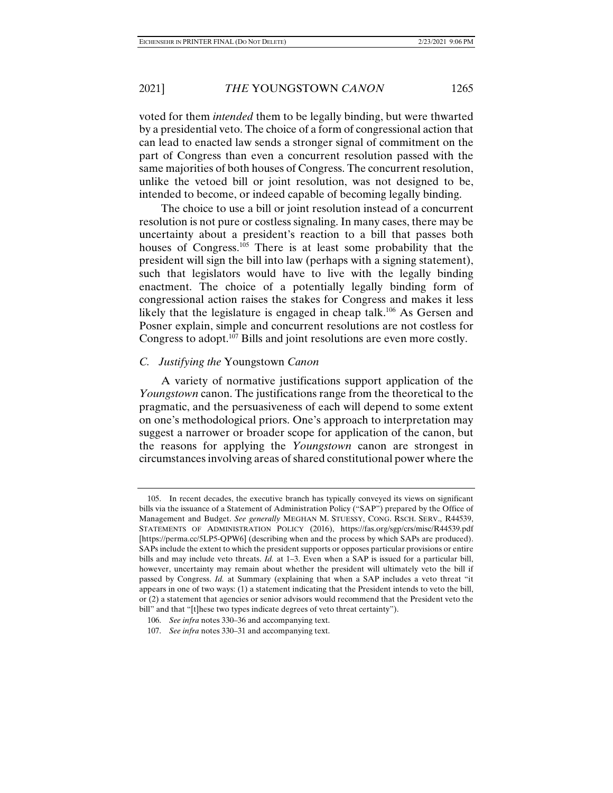voted for them *intended* them to be legally binding, but were thwarted by a presidential veto. The choice of a form of congressional action that can lead to enacted law sends a stronger signal of commitment on the part of Congress than even a concurrent resolution passed with the same majorities of both houses of Congress. The concurrent resolution, unlike the vetoed bill or joint resolution, was not designed to be, intended to become, or indeed capable of becoming legally binding.

The choice to use a bill or joint resolution instead of a concurrent resolution is not pure or costless signaling. In many cases, there may be uncertainty about a president's reaction to a bill that passes both houses of Congress.<sup>105</sup> There is at least some probability that the president will sign the bill into law (perhaps with a signing statement), such that legislators would have to live with the legally binding enactment. The choice of a potentially legally binding form of congressional action raises the stakes for Congress and makes it less likely that the legislature is engaged in cheap talk.<sup>106</sup> As Gersen and Posner explain, simple and concurrent resolutions are not costless for Congress to adopt.<sup>107</sup> Bills and joint resolutions are even more costly.

# *C. Justifying the* Youngstown *Canon*

A variety of normative justifications support application of the *Youngstown* canon. The justifications range from the theoretical to the pragmatic, and the persuasiveness of each will depend to some extent on one's methodological priors. One's approach to interpretation may suggest a narrower or broader scope for application of the canon, but the reasons for applying the *Youngstown* canon are strongest in circumstances involving areas of shared constitutional power where the

 <sup>105.</sup> In recent decades, the executive branch has typically conveyed its views on significant bills via the issuance of a Statement of Administration Policy ("SAP") prepared by the Office of Management and Budget. *See generally* MEGHAN M. STUESSY, CONG. RSCH. SERV., R44539, STATEMENTS OF ADMINISTRATION POLICY (2016), https://fas.org/sgp/crs/misc/R44539.pdf [https://perma.cc/5LP5-QPW6] (describing when and the process by which SAPs are produced). SAPs include the extent to which the president supports or opposes particular provisions or entire bills and may include veto threats. *Id.* at 1–3. Even when a SAP is issued for a particular bill, however, uncertainty may remain about whether the president will ultimately veto the bill if passed by Congress. *Id.* at Summary (explaining that when a SAP includes a veto threat "it appears in one of two ways: (1) a statement indicating that the President intends to veto the bill, or (2) a statement that agencies or senior advisors would recommend that the President veto the bill" and that "[t]hese two types indicate degrees of veto threat certainty").

 <sup>106.</sup> *See infra* notes 330–36 and accompanying text.

 <sup>107.</sup> *See infra* notes 330–31 and accompanying text.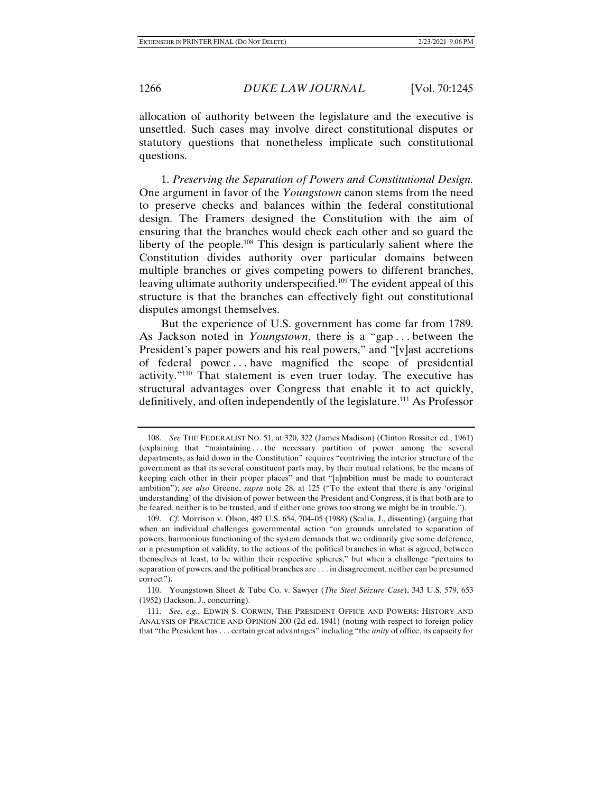allocation of authority between the legislature and the executive is unsettled. Such cases may involve direct constitutional disputes or statutory questions that nonetheless implicate such constitutional questions.

1. *Preserving the Separation of Powers and Constitutional Design.*  One argument in favor of the *Youngstown* canon stems from the need to preserve checks and balances within the federal constitutional design. The Framers designed the Constitution with the aim of ensuring that the branches would check each other and so guard the liberty of the people.108 This design is particularly salient where the Constitution divides authority over particular domains between multiple branches or gives competing powers to different branches, leaving ultimate authority underspecified.109 The evident appeal of this structure is that the branches can effectively fight out constitutional disputes amongst themselves.

But the experience of U.S. government has come far from 1789. As Jackson noted in *Youngstown*, there is a "gap . . . between the President's paper powers and his real powers," and "[v]ast accretions of federal power . . . have magnified the scope of presidential activity."110 That statement is even truer today. The executive has structural advantages over Congress that enable it to act quickly, definitively, and often independently of the legislature.<sup>111</sup> As Professor

 <sup>108.</sup> *See* THE FEDERALIST NO. 51, at 320, 322 (James Madison) (Clinton Rossiter ed., 1961) (explaining that "maintaining . . . the necessary partition of power among the several departments, as laid down in the Constitution" requires "contriving the interior structure of the government as that its several constituent parts may, by their mutual relations, be the means of keeping each other in their proper places" and that "[a]mbition must be made to counteract ambition"); *see also* Greene, *supra* note 28, at 125 ("To the extent that there is any 'original understanding' of the division of power between the President and Congress, it is that both are to be feared, neither is to be trusted, and if either one grows too strong we might be in trouble.").

 <sup>109.</sup> *Cf.* Morrison v. Olson, 487 U.S. 654, 704–05 (1988) (Scalia, J., dissenting) (arguing that when an individual challenges governmental action "on grounds unrelated to separation of powers, harmonious functioning of the system demands that we ordinarily give some deference, or a presumption of validity, to the actions of the political branches in what is agreed, between themselves at least, to be within their respective spheres," but when a challenge "pertains to separation of powers, and the political branches are . . . in disagreement, neither can be presumed correct").

 <sup>110.</sup> Youngstown Sheet & Tube Co. v. Sawyer (*The Steel Seizure Case*), 343 U.S. 579, 653 (1952) (Jackson, J., concurring).

 <sup>111.</sup> *See, e.g.*, EDWIN S. CORWIN, THE PRESIDENT OFFICE AND POWERS: HISTORY AND ANALYSIS OF PRACTICE AND OPINION 200 (2d ed. 1941) (noting with respect to foreign policy that "the President has . . . certain great advantages" including "the *unity* of office, its capacity for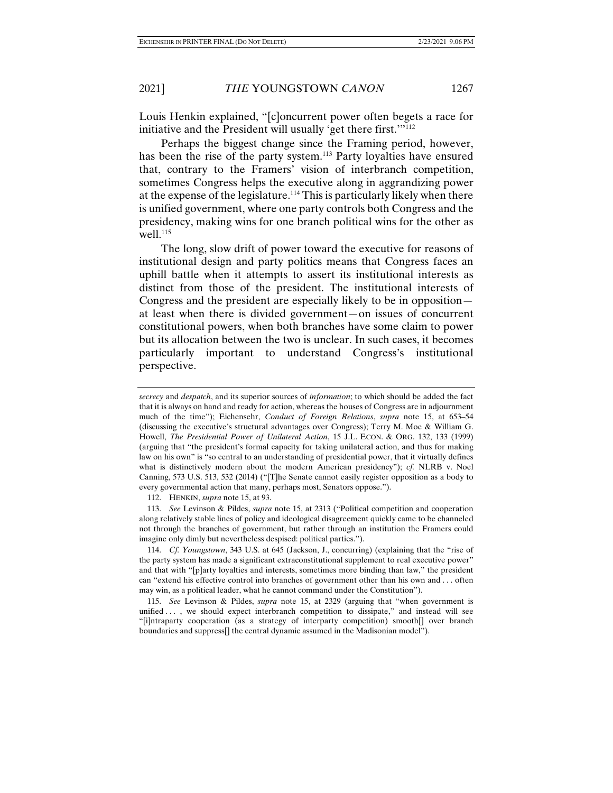Louis Henkin explained, "[c]oncurrent power often begets a race for initiative and the President will usually 'get there first.'"112

Perhaps the biggest change since the Framing period, however, has been the rise of the party system.<sup>113</sup> Party loyalties have ensured that, contrary to the Framers' vision of interbranch competition, sometimes Congress helps the executive along in aggrandizing power at the expense of the legislature.114 This is particularly likely when there is unified government, where one party controls both Congress and the presidency, making wins for one branch political wins for the other as well.<sup>115</sup>

The long, slow drift of power toward the executive for reasons of institutional design and party politics means that Congress faces an uphill battle when it attempts to assert its institutional interests as distinct from those of the president. The institutional interests of Congress and the president are especially likely to be in opposition at least when there is divided government—on issues of concurrent constitutional powers, when both branches have some claim to power but its allocation between the two is unclear. In such cases, it becomes particularly important to understand Congress's institutional perspective.

*secrecy* and *despatch*, and its superior sources of *information*; to which should be added the fact that it is always on hand and ready for action, whereas the houses of Congress are in adjournment much of the time"); Eichensehr, *Conduct of Foreign Relations*, *supra* note 15, at 653–54 (discussing the executive's structural advantages over Congress); Terry M. Moe & William G. Howell, *The Presidential Power of Unilateral Action*, 15 J.L. ECON. & ORG. 132, 133 (1999) (arguing that "the president's formal capacity for taking unilateral action, and thus for making law on his own" is "so central to an understanding of presidential power, that it virtually defines what is distinctively modern about the modern American presidency"); *cf.* NLRB v. Noel Canning, 573 U.S. 513, 532 (2014) ("[T]he Senate cannot easily register opposition as a body to every governmental action that many, perhaps most, Senators oppose.").

 <sup>112.</sup> HENKIN, *supra* note 15, at 93.

 <sup>113.</sup> *See* Levinson & Pildes, *supra* note 15, at 2313 ("Political competition and cooperation along relatively stable lines of policy and ideological disagreement quickly came to be channeled not through the branches of government, but rather through an institution the Framers could imagine only dimly but nevertheless despised: political parties.").

 <sup>114.</sup> *Cf. Youngstown*, 343 U.S. at 645 (Jackson, J., concurring) (explaining that the "rise of the party system has made a significant extraconstitutional supplement to real executive power" and that with "[p]arty loyalties and interests, sometimes more binding than law," the president can "extend his effective control into branches of government other than his own and . . . often may win, as a political leader, what he cannot command under the Constitution").

 <sup>115.</sup> *See* Levinson & Pildes, *supra* note 15, at 2329 (arguing that "when government is unified ..., we should expect interbranch competition to dissipate," and instead will see "[i]ntraparty cooperation (as a strategy of interparty competition) smooth[] over branch boundaries and suppress[] the central dynamic assumed in the Madisonian model").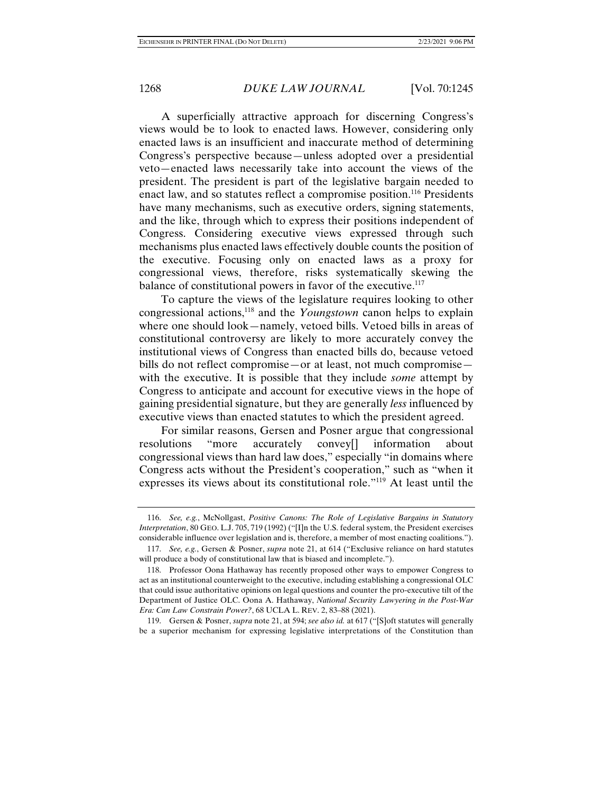A superficially attractive approach for discerning Congress's views would be to look to enacted laws. However, considering only enacted laws is an insufficient and inaccurate method of determining Congress's perspective because—unless adopted over a presidential veto—enacted laws necessarily take into account the views of the president. The president is part of the legislative bargain needed to enact law, and so statutes reflect a compromise position.<sup>116</sup> Presidents have many mechanisms, such as executive orders, signing statements, and the like, through which to express their positions independent of Congress. Considering executive views expressed through such mechanisms plus enacted laws effectively double counts the position of the executive. Focusing only on enacted laws as a proxy for congressional views, therefore, risks systematically skewing the balance of constitutional powers in favor of the executive.<sup>117</sup>

To capture the views of the legislature requires looking to other congressional actions,118 and the *Youngstown* canon helps to explain where one should look—namely, vetoed bills. Vetoed bills in areas of constitutional controversy are likely to more accurately convey the institutional views of Congress than enacted bills do, because vetoed bills do not reflect compromise—or at least, not much compromise with the executive. It is possible that they include *some* attempt by Congress to anticipate and account for executive views in the hope of gaining presidential signature, but they are generally *less* influenced by executive views than enacted statutes to which the president agreed.

For similar reasons, Gersen and Posner argue that congressional resolutions "more accurately convey[] information about congressional views than hard law does," especially "in domains where Congress acts without the President's cooperation," such as "when it expresses its views about its constitutional role."119 At least until the

 <sup>116.</sup> *See, e.g.*, McNollgast, *Positive Canons: The Role of Legislative Bargains in Statutory Interpretation*, 80 GEO. L.J. 705, 719 (1992) ("I]n the U.S. federal system, the President exercises considerable influence over legislation and is, therefore, a member of most enacting coalitions.").

 <sup>117.</sup> *See, e.g.*, Gersen & Posner, *supra* note 21, at 614 ("Exclusive reliance on hard statutes will produce a body of constitutional law that is biased and incomplete.").

 <sup>118.</sup> Professor Oona Hathaway has recently proposed other ways to empower Congress to act as an institutional counterweight to the executive, including establishing a congressional OLC that could issue authoritative opinions on legal questions and counter the pro-executive tilt of the Department of Justice OLC. Oona A. Hathaway, *National Security Lawyering in the Post-War Era: Can Law Constrain Power?*, 68 UCLA L. REV. 2, 83–88 (2021).

 <sup>119.</sup> Gersen & Posner, *supra* note 21, at 594; *see also id.* at 617 ("[S]oft statutes will generally be a superior mechanism for expressing legislative interpretations of the Constitution than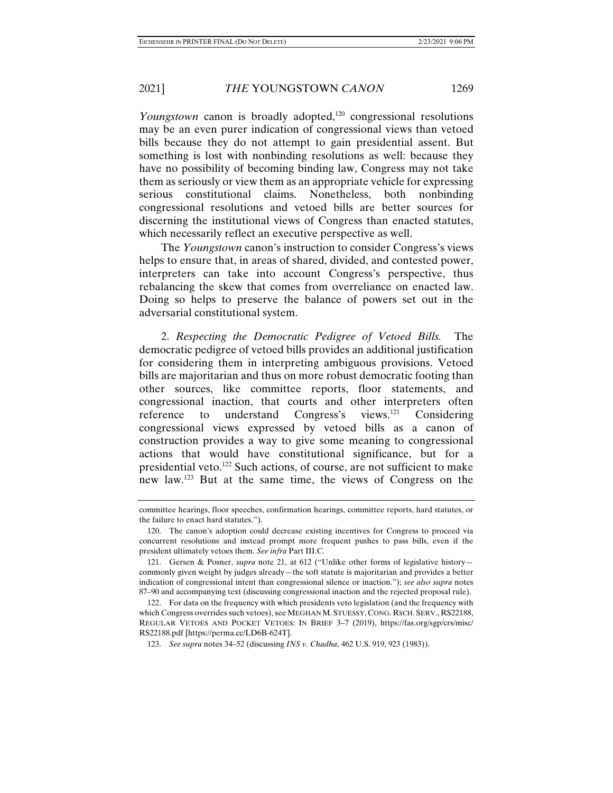*Youngstown* canon is broadly adopted,<sup>120</sup> congressional resolutions may be an even purer indication of congressional views than vetoed bills because they do not attempt to gain presidential assent. But something is lost with nonbinding resolutions as well: because they have no possibility of becoming binding law, Congress may not take them as seriously or view them as an appropriate vehicle for expressing serious constitutional claims. Nonetheless, both nonbinding congressional resolutions and vetoed bills are better sources for discerning the institutional views of Congress than enacted statutes, which necessarily reflect an executive perspective as well.

The *Youngstown* canon's instruction to consider Congress's views helps to ensure that, in areas of shared, divided, and contested power, interpreters can take into account Congress's perspective, thus rebalancing the skew that comes from overreliance on enacted law. Doing so helps to preserve the balance of powers set out in the adversarial constitutional system.

2. *Respecting the Democratic Pedigree of Vetoed Bills.* The democratic pedigree of vetoed bills provides an additional justification for considering them in interpreting ambiguous provisions. Vetoed bills are majoritarian and thus on more robust democratic footing than other sources, like committee reports, floor statements, and congressional inaction, that courts and other interpreters often reference to understand Congress's views.121 Considering congressional views expressed by vetoed bills as a canon of construction provides a way to give some meaning to congressional actions that would have constitutional significance, but for a presidential veto.122 Such actions, of course, are not sufficient to make new law.123 But at the same time, the views of Congress on the

committee hearings, floor speeches, confirmation hearings, committee reports, hard statutes, or the failure to enact hard statutes.").

 <sup>120.</sup> The canon's adoption could decrease existing incentives for Congress to proceed via concurrent resolutions and instead prompt more frequent pushes to pass bills, even if the president ultimately vetoes them. *See infra* Part III.C.

 <sup>121.</sup> Gersen & Posner, *supra* note 21, at 612 ("Unlike other forms of legislative history commonly given weight by judges already—the soft statute is majoritarian and provides a better indication of congressional intent than congressional silence or inaction."); *see also supra* notes 87–90 and accompanying text (discussing congressional inaction and the rejected proposal rule).

 <sup>122.</sup> For data on the frequency with which presidents veto legislation (and the frequency with which Congress overrides such vetoes), see MEGHAN M. STUESSY, CONG. RSCH. SERV., RS22188, REGULAR VETOES AND POCKET VETOES: IN BRIEF 3–7 (2019), https://fas.org/sgp/crs/misc/ RS22188.pdf [https://perma.cc/LD6B-624T].

 <sup>123.</sup> *See supra* notes 34–52 (discussing *INS v. Chadha*, 462 U.S. 919, 923 (1983)).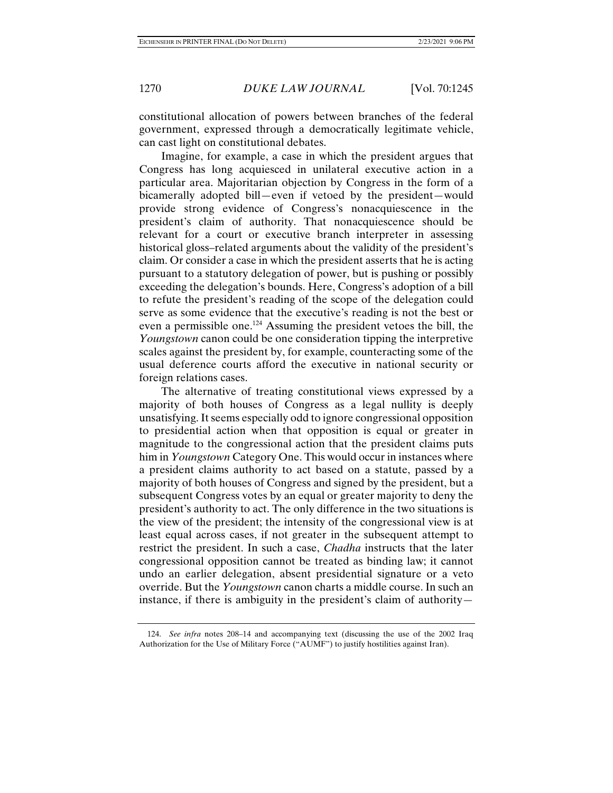constitutional allocation of powers between branches of the federal government, expressed through a democratically legitimate vehicle, can cast light on constitutional debates.

Imagine, for example, a case in which the president argues that Congress has long acquiesced in unilateral executive action in a particular area. Majoritarian objection by Congress in the form of a bicamerally adopted bill—even if vetoed by the president—would provide strong evidence of Congress's nonacquiescence in the president's claim of authority. That nonacquiescence should be relevant for a court or executive branch interpreter in assessing historical gloss–related arguments about the validity of the president's claim. Or consider a case in which the president asserts that he is acting pursuant to a statutory delegation of power, but is pushing or possibly exceeding the delegation's bounds. Here, Congress's adoption of a bill to refute the president's reading of the scope of the delegation could serve as some evidence that the executive's reading is not the best or even a permissible one.124 Assuming the president vetoes the bill, the *Youngstown* canon could be one consideration tipping the interpretive scales against the president by, for example, counteracting some of the usual deference courts afford the executive in national security or foreign relations cases.

The alternative of treating constitutional views expressed by a majority of both houses of Congress as a legal nullity is deeply unsatisfying. It seems especially odd to ignore congressional opposition to presidential action when that opposition is equal or greater in magnitude to the congressional action that the president claims puts him in *Youngstown* Category One. This would occur in instances where a president claims authority to act based on a statute, passed by a majority of both houses of Congress and signed by the president, but a subsequent Congress votes by an equal or greater majority to deny the president's authority to act. The only difference in the two situations is the view of the president; the intensity of the congressional view is at least equal across cases, if not greater in the subsequent attempt to restrict the president. In such a case, *Chadha* instructs that the later congressional opposition cannot be treated as binding law; it cannot undo an earlier delegation, absent presidential signature or a veto override. But the *Youngstown* canon charts a middle course. In such an instance, if there is ambiguity in the president's claim of authority—

 <sup>124.</sup> *See infra* notes 208–14 and accompanying text (discussing the use of the 2002 Iraq Authorization for the Use of Military Force ("AUMF") to justify hostilities against Iran).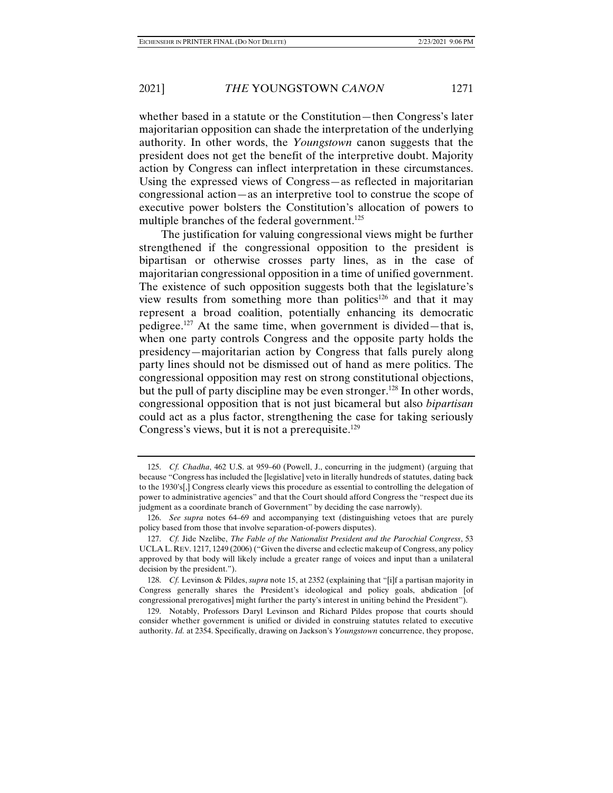whether based in a statute or the Constitution—then Congress's later majoritarian opposition can shade the interpretation of the underlying authority. In other words, the *Youngstown* canon suggests that the president does not get the benefit of the interpretive doubt. Majority action by Congress can inflect interpretation in these circumstances. Using the expressed views of Congress—as reflected in majoritarian congressional action—as an interpretive tool to construe the scope of executive power bolsters the Constitution's allocation of powers to multiple branches of the federal government.<sup>125</sup>

The justification for valuing congressional views might be further strengthened if the congressional opposition to the president is bipartisan or otherwise crosses party lines, as in the case of majoritarian congressional opposition in a time of unified government. The existence of such opposition suggests both that the legislature's view results from something more than politics<sup>126</sup> and that it may represent a broad coalition, potentially enhancing its democratic pedigree.127 At the same time, when government is divided—that is, when one party controls Congress and the opposite party holds the presidency—majoritarian action by Congress that falls purely along party lines should not be dismissed out of hand as mere politics. The congressional opposition may rest on strong constitutional objections, but the pull of party discipline may be even stronger.<sup>128</sup> In other words, congressional opposition that is not just bicameral but also *bipartisan* could act as a plus factor, strengthening the case for taking seriously Congress's views, but it is not a prerequisite.<sup>129</sup>

 <sup>125.</sup> *Cf. Chadha*, 462 U.S. at 959–60 (Powell, J., concurring in the judgment) (arguing that because "Congress has included the [legislative] veto in literally hundreds of statutes, dating back to the 1930's[,] Congress clearly views this procedure as essential to controlling the delegation of power to administrative agencies" and that the Court should afford Congress the "respect due its judgment as a coordinate branch of Government" by deciding the case narrowly).

 <sup>126.</sup> *See supra* notes 64–69 and accompanying text (distinguishing vetoes that are purely policy based from those that involve separation-of-powers disputes).

 <sup>127.</sup> *Cf.* Jide Nzelibe, *The Fable of the Nationalist President and the Parochial Congress*, 53 UCLA L. REV. 1217, 1249 (2006) ("Given the diverse and eclectic makeup of Congress, any policy approved by that body will likely include a greater range of voices and input than a unilateral decision by the president.").

 <sup>128.</sup> *Cf.* Levinson & Pildes, *supra* note 15, at 2352 (explaining that "[i]f a partisan majority in Congress generally shares the President's ideological and policy goals, abdication [of congressional prerogatives] might further the party's interest in uniting behind the President").

 <sup>129.</sup> Notably, Professors Daryl Levinson and Richard Pildes propose that courts should consider whether government is unified or divided in construing statutes related to executive authority. *Id.* at 2354. Specifically, drawing on Jackson's *Youngstown* concurrence, they propose,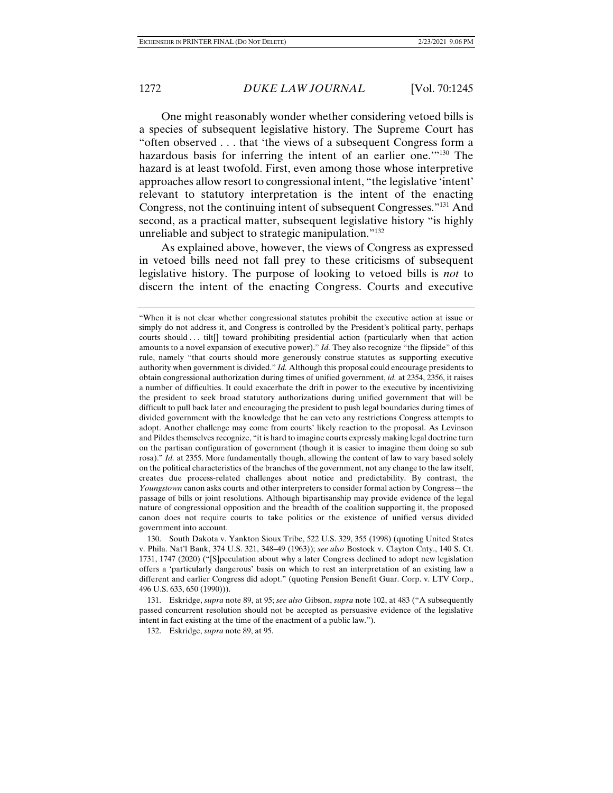One might reasonably wonder whether considering vetoed bills is a species of subsequent legislative history. The Supreme Court has "often observed . . . that 'the views of a subsequent Congress form a hazardous basis for inferring the intent of an earlier one.<sup>'"130</sup> The hazard is at least twofold. First, even among those whose interpretive approaches allow resort to congressional intent, "the legislative 'intent' relevant to statutory interpretation is the intent of the enacting Congress, not the continuing intent of subsequent Congresses."131 And second, as a practical matter, subsequent legislative history "is highly unreliable and subject to strategic manipulation."<sup>132</sup>

As explained above, however, the views of Congress as expressed in vetoed bills need not fall prey to these criticisms of subsequent legislative history. The purpose of looking to vetoed bills is *not* to discern the intent of the enacting Congress. Courts and executive

<sup>&</sup>quot;When it is not clear whether congressional statutes prohibit the executive action at issue or simply do not address it, and Congress is controlled by the President's political party, perhaps courts should ... tilt<sup>[]</sup> toward prohibiting presidential action (particularly when that action amounts to a novel expansion of executive power)." *Id.* They also recognize "the flipside" of this rule, namely "that courts should more generously construe statutes as supporting executive authority when government is divided." *Id.* Although this proposal could encourage presidents to obtain congressional authorization during times of unified government, *id.* at 2354, 2356, it raises a number of difficulties. It could exacerbate the drift in power to the executive by incentivizing the president to seek broad statutory authorizations during unified government that will be difficult to pull back later and encouraging the president to push legal boundaries during times of divided government with the knowledge that he can veto any restrictions Congress attempts to adopt. Another challenge may come from courts' likely reaction to the proposal. As Levinson and Pildes themselves recognize, "it is hard to imagine courts expressly making legal doctrine turn on the partisan configuration of government (though it is easier to imagine them doing so sub rosa)." *Id.* at 2355. More fundamentally though, allowing the content of law to vary based solely on the political characteristics of the branches of the government, not any change to the law itself, creates due process-related challenges about notice and predictability. By contrast, the *Youngstown* canon asks courts and other interpreters to consider formal action by Congress—the passage of bills or joint resolutions. Although bipartisanship may provide evidence of the legal nature of congressional opposition and the breadth of the coalition supporting it, the proposed canon does not require courts to take politics or the existence of unified versus divided government into account.

 <sup>130.</sup> South Dakota v. Yankton Sioux Tribe, 522 U.S. 329, 355 (1998) (quoting United States v. Phila. Nat'l Bank, 374 U.S. 321, 348–49 (1963)); *see also* Bostock v. Clayton Cnty., 140 S. Ct. 1731, 1747 (2020) ("[S]peculation about why a later Congress declined to adopt new legislation offers a 'particularly dangerous' basis on which to rest an interpretation of an existing law a different and earlier Congress did adopt." (quoting Pension Benefit Guar. Corp. v. LTV Corp., 496 U.S. 633, 650 (1990))).

 <sup>131.</sup> Eskridge, *supra* note 89, at 95; *see also* Gibson, *supra* note 102, at 483 ("A subsequently passed concurrent resolution should not be accepted as persuasive evidence of the legislative intent in fact existing at the time of the enactment of a public law.").

 <sup>132.</sup> Eskridge, *supra* note 89, at 95.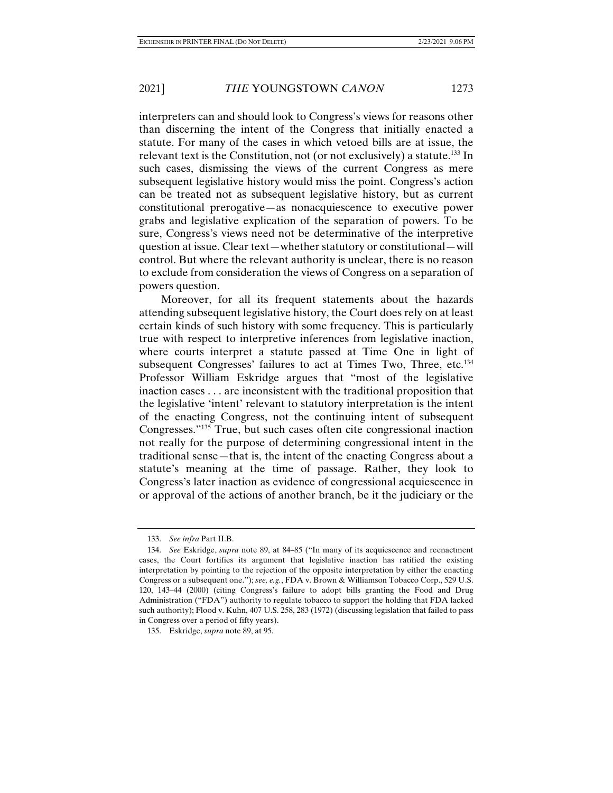interpreters can and should look to Congress's views for reasons other than discerning the intent of the Congress that initially enacted a statute. For many of the cases in which vetoed bills are at issue, the relevant text is the Constitution, not (or not exclusively) a statute.<sup>133</sup> In such cases, dismissing the views of the current Congress as mere subsequent legislative history would miss the point. Congress's action can be treated not as subsequent legislative history, but as current constitutional prerogative—as nonacquiescence to executive power grabs and legislative explication of the separation of powers. To be sure, Congress's views need not be determinative of the interpretive question at issue. Clear text—whether statutory or constitutional—will control. But where the relevant authority is unclear, there is no reason to exclude from consideration the views of Congress on a separation of powers question.

Moreover, for all its frequent statements about the hazards attending subsequent legislative history, the Court does rely on at least certain kinds of such history with some frequency. This is particularly true with respect to interpretive inferences from legislative inaction, where courts interpret a statute passed at Time One in light of subsequent Congresses' failures to act at Times Two, Three, etc.<sup>134</sup> Professor William Eskridge argues that "most of the legislative inaction cases . . . are inconsistent with the traditional proposition that the legislative 'intent' relevant to statutory interpretation is the intent of the enacting Congress, not the continuing intent of subsequent Congresses."135 True, but such cases often cite congressional inaction not really for the purpose of determining congressional intent in the traditional sense—that is, the intent of the enacting Congress about a statute's meaning at the time of passage. Rather, they look to Congress's later inaction as evidence of congressional acquiescence in or approval of the actions of another branch, be it the judiciary or the

 <sup>133.</sup> *See infra* Part II.B.

 <sup>134.</sup> *See* Eskridge, *supra* note 89, at 84–85 ("In many of its acquiescence and reenactment cases, the Court fortifies its argument that legislative inaction has ratified the existing interpretation by pointing to the rejection of the opposite interpretation by either the enacting Congress or a subsequent one."); *see, e.g.*, FDA v. Brown & Williamson Tobacco Corp., 529 U.S. 120, 143–44 (2000) (citing Congress's failure to adopt bills granting the Food and Drug Administration ("FDA") authority to regulate tobacco to support the holding that FDA lacked such authority); Flood v. Kuhn, 407 U.S. 258, 283 (1972) (discussing legislation that failed to pass in Congress over a period of fifty years).

 <sup>135.</sup> Eskridge, *supra* note 89, at 95.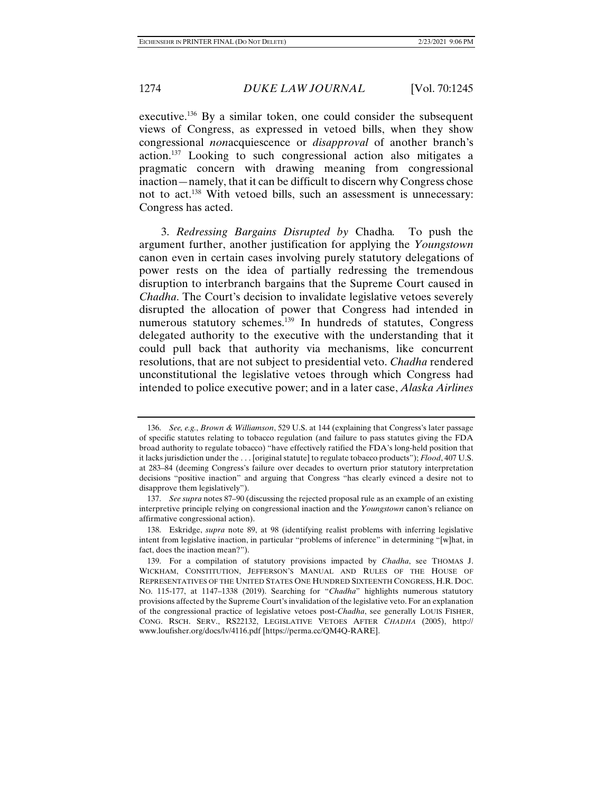executive.136 By a similar token, one could consider the subsequent views of Congress, as expressed in vetoed bills, when they show congressional *non*acquiescence or *disapproval* of another branch's action.137 Looking to such congressional action also mitigates a pragmatic concern with drawing meaning from congressional inaction—namely, that it can be difficult to discern why Congress chose not to act.138 With vetoed bills, such an assessment is unnecessary: Congress has acted.

3. *Redressing Bargains Disrupted by* Chadha*.* To push the argument further, another justification for applying the *Youngstown* canon even in certain cases involving purely statutory delegations of power rests on the idea of partially redressing the tremendous disruption to interbranch bargains that the Supreme Court caused in *Chadha*. The Court's decision to invalidate legislative vetoes severely disrupted the allocation of power that Congress had intended in numerous statutory schemes.139 In hundreds of statutes, Congress delegated authority to the executive with the understanding that it could pull back that authority via mechanisms, like concurrent resolutions, that are not subject to presidential veto. *Chadha* rendered unconstitutional the legislative vetoes through which Congress had intended to police executive power; and in a later case, *Alaska Airlines* 

 <sup>136.</sup> *See, e.g.*, *Brown & Williamson*, 529 U.S. at 144 (explaining that Congress's later passage of specific statutes relating to tobacco regulation (and failure to pass statutes giving the FDA broad authority to regulate tobacco) "have effectively ratified the FDA's long-held position that it lacks jurisdiction under the . . . [original statute] to regulate tobacco products"); *Flood*, 407 U.S. at 283–84 (deeming Congress's failure over decades to overturn prior statutory interpretation decisions "positive inaction" and arguing that Congress "has clearly evinced a desire not to disapprove them legislatively").

 <sup>137.</sup> *See supra* notes 87–90 (discussing the rejected proposal rule as an example of an existing interpretive principle relying on congressional inaction and the *Youngstown* canon's reliance on affirmative congressional action).

 <sup>138.</sup> Eskridge, *supra* note 89, at 98 (identifying realist problems with inferring legislative intent from legislative inaction, in particular "problems of inference" in determining "[w]hat, in fact, does the inaction mean?").

 <sup>139.</sup> For a compilation of statutory provisions impacted by *Chadha*, see THOMAS J. WICKHAM, CONSTITUTION, JEFFERSON'S MANUAL AND RULES OF THE HOUSE OF REPRESENTATIVES OF THE UNITED STATES ONE HUNDRED SIXTEENTH CONGRESS, H.R. DOC. NO. 115-177, at 1147–1338 (2019). Searching for "*Chadha*" highlights numerous statutory provisions affected by the Supreme Court's invalidation of the legislative veto. For an explanation of the congressional practice of legislative vetoes post-*Chadha*, see generally LOUIS FISHER, CONG. RSCH. SERV., RS22132, LEGISLATIVE VETOES AFTER *CHADHA* (2005), http:// www.loufisher.org/docs/lv/4116.pdf [https://perma.cc/QM4Q-RARE].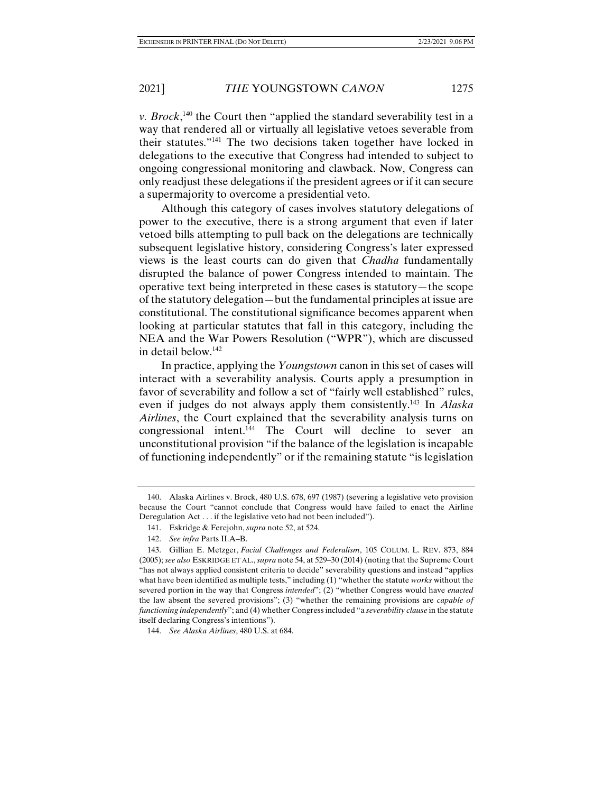*v. Brock*<sup>, 140</sup> the Court then "applied the standard severability test in a way that rendered all or virtually all legislative vetoes severable from their statutes."141 The two decisions taken together have locked in delegations to the executive that Congress had intended to subject to ongoing congressional monitoring and clawback. Now, Congress can only readjust these delegations if the president agrees or if it can secure a supermajority to overcome a presidential veto.

Although this category of cases involves statutory delegations of power to the executive, there is a strong argument that even if later vetoed bills attempting to pull back on the delegations are technically subsequent legislative history, considering Congress's later expressed views is the least courts can do given that *Chadha* fundamentally disrupted the balance of power Congress intended to maintain. The operative text being interpreted in these cases is statutory—the scope of the statutory delegation—but the fundamental principles at issue are constitutional. The constitutional significance becomes apparent when looking at particular statutes that fall in this category, including the NEA and the War Powers Resolution ("WPR"), which are discussed in detail below.142

In practice, applying the *Youngstown* canon in this set of cases will interact with a severability analysis. Courts apply a presumption in favor of severability and follow a set of "fairly well established" rules, even if judges do not always apply them consistently.143 In *Alaska Airlines*, the Court explained that the severability analysis turns on congressional intent.144 The Court will decline to sever an unconstitutional provision "if the balance of the legislation is incapable of functioning independently" or if the remaining statute "is legislation

 <sup>140.</sup> Alaska Airlines v. Brock, 480 U.S. 678, 697 (1987) (severing a legislative veto provision because the Court "cannot conclude that Congress would have failed to enact the Airline Deregulation Act . . . if the legislative veto had not been included").

 <sup>141.</sup> Eskridge & Ferejohn, *supra* note 52, at 524.

 <sup>142.</sup> *See infra* Parts II.A–B.

 <sup>143.</sup> Gillian E. Metzger, *Facial Challenges and Federalism*, 105 COLUM. L. REV. 873, 884 (2005); *see also* ESKRIDGE ET AL.,*supra* note 54, at 529–30 (2014) (noting that the Supreme Court "has not always applied consistent criteria to decide" severability questions and instead "applies what have been identified as multiple tests," including (1) "whether the statute *works* without the severed portion in the way that Congress *intended*"; (2) "whether Congress would have *enacted* the law absent the severed provisions"; (3) "whether the remaining provisions are *capable of functioning independently*"; and (4) whether Congress included "a *severability clause* in the statute itself declaring Congress's intentions").

 <sup>144.</sup> *See Alaska Airlines*, 480 U.S. at 684.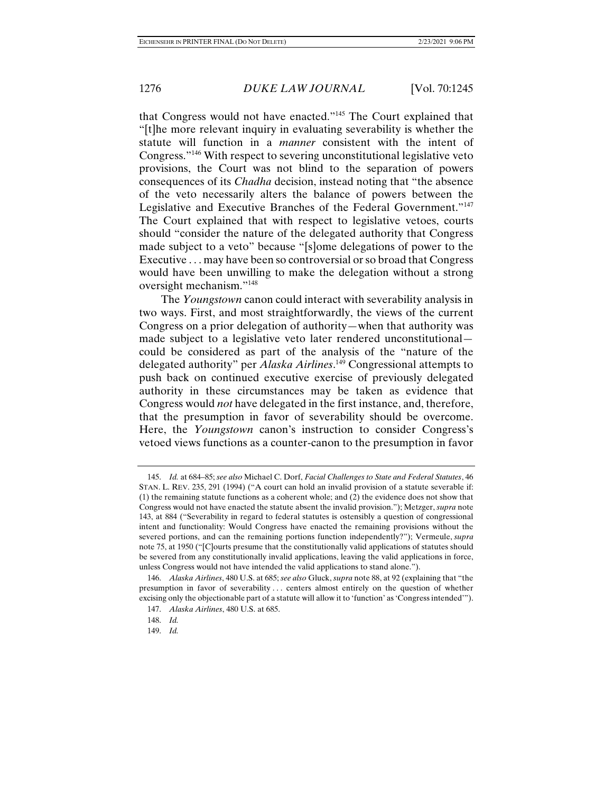that Congress would not have enacted."145 The Court explained that "[t]he more relevant inquiry in evaluating severability is whether the statute will function in a *manner* consistent with the intent of Congress."146 With respect to severing unconstitutional legislative veto provisions, the Court was not blind to the separation of powers consequences of its *Chadha* decision, instead noting that "the absence of the veto necessarily alters the balance of powers between the Legislative and Executive Branches of the Federal Government."147 The Court explained that with respect to legislative vetoes, courts should "consider the nature of the delegated authority that Congress made subject to a veto" because "[s]ome delegations of power to the Executive . . . may have been so controversial or so broad that Congress would have been unwilling to make the delegation without a strong oversight mechanism."148

The *Youngstown* canon could interact with severability analysis in two ways. First, and most straightforwardly, the views of the current Congress on a prior delegation of authority—when that authority was made subject to a legislative veto later rendered unconstitutional could be considered as part of the analysis of the "nature of the delegated authority" per *Alaska Airlines*. 149 Congressional attempts to push back on continued executive exercise of previously delegated authority in these circumstances may be taken as evidence that Congress would *not* have delegated in the first instance, and, therefore, that the presumption in favor of severability should be overcome. Here, the *Youngstown* canon's instruction to consider Congress's vetoed views functions as a counter-canon to the presumption in favor

 <sup>145.</sup> *Id.* at 684–85; *see also* Michael C. Dorf, *Facial Challenges to State and Federal Statutes*, 46 STAN. L. REV. 235, 291 (1994) ("A court can hold an invalid provision of a statute severable if: (1) the remaining statute functions as a coherent whole; and (2) the evidence does not show that Congress would not have enacted the statute absent the invalid provision."); Metzger, *supra* note 143, at 884 ("Severability in regard to federal statutes is ostensibly a question of congressional intent and functionality: Would Congress have enacted the remaining provisions without the severed portions, and can the remaining portions function independently?"); Vermeule, *supra*  note 75, at 1950 ("[C]ourts presume that the constitutionally valid applications of statutes should be severed from any constitutionally invalid applications, leaving the valid applications in force, unless Congress would not have intended the valid applications to stand alone.").

 <sup>146.</sup> *Alaska Airlines*, 480 U.S. at 685; *see also* Gluck, *supra* note 88, at 92 (explaining that "the presumption in favor of severability . . . centers almost entirely on the question of whether excising only the objectionable part of a statute will allow it to 'function' as 'Congress intended'").

 <sup>147.</sup> *Alaska Airlines*, 480 U.S. at 685.

 <sup>148.</sup> *Id.*

 <sup>149.</sup> *Id.*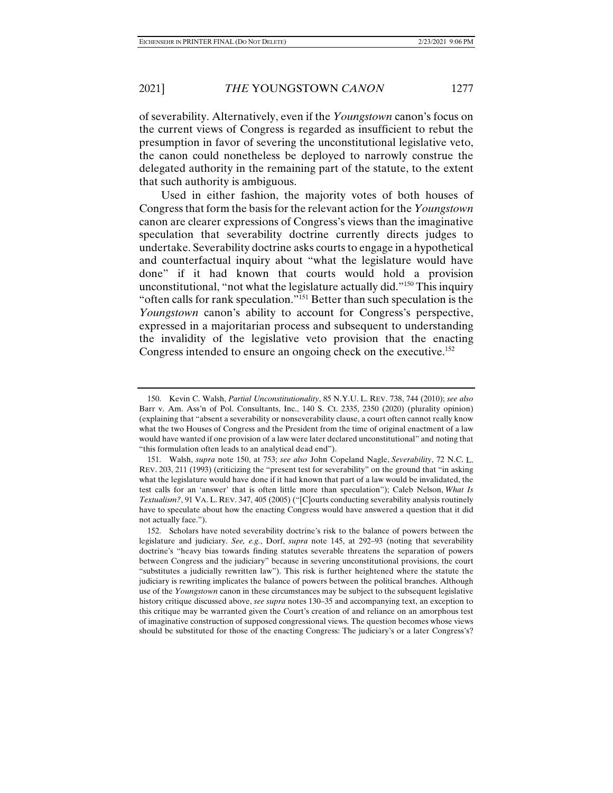of severability. Alternatively, even if the *Youngstown* canon's focus on the current views of Congress is regarded as insufficient to rebut the presumption in favor of severing the unconstitutional legislative veto, the canon could nonetheless be deployed to narrowly construe the delegated authority in the remaining part of the statute, to the extent that such authority is ambiguous.

Used in either fashion, the majority votes of both houses of Congress that form the basis for the relevant action for the *Youngstown* canon are clearer expressions of Congress's views than the imaginative speculation that severability doctrine currently directs judges to undertake. Severability doctrine asks courts to engage in a hypothetical and counterfactual inquiry about "what the legislature would have done" if it had known that courts would hold a provision unconstitutional, "not what the legislature actually did."150 This inquiry "often calls for rank speculation."151 Better than such speculation is the *Youngstown* canon's ability to account for Congress's perspective, expressed in a majoritarian process and subsequent to understanding the invalidity of the legislative veto provision that the enacting Congress intended to ensure an ongoing check on the executive.<sup>152</sup>

 <sup>150.</sup> Kevin C. Walsh, *Partial Unconstitutionality*, 85 N.Y.U. L. REV. 738, 744 (2010); *see also* Barr v. Am. Ass'n of Pol. Consultants, Inc., 140 S. Ct. 2335, 2350 (2020) (plurality opinion) (explaining that "absent a severability or nonseverability clause, a court often cannot really know what the two Houses of Congress and the President from the time of original enactment of a law would have wanted if one provision of a law were later declared unconstitutional" and noting that "this formulation often leads to an analytical dead end").

 <sup>151.</sup> Walsh, *supra* note 150, at 753; *see also* John Copeland Nagle, *Severability*, 72 N.C. L. REV. 203, 211 (1993) (criticizing the "present test for severability" on the ground that "in asking what the legislature would have done if it had known that part of a law would be invalidated, the test calls for an 'answer' that is often little more than speculation"); Caleb Nelson, *What Is Textualism?*, 91 VA. L. REV. 347, 405 (2005) ("[C]ourts conducting severability analysis routinely have to speculate about how the enacting Congress would have answered a question that it did not actually face.").

 <sup>152.</sup> Scholars have noted severability doctrine's risk to the balance of powers between the legislature and judiciary. *See, e.g.*, Dorf, *supra* note 145, at 292–93 (noting that severability doctrine's "heavy bias towards finding statutes severable threatens the separation of powers between Congress and the judiciary" because in severing unconstitutional provisions, the court "substitutes a judicially rewritten law"). This risk is further heightened where the statute the judiciary is rewriting implicates the balance of powers between the political branches. Although use of the *Youngstown* canon in these circumstances may be subject to the subsequent legislative history critique discussed above, *see supra* notes 130–35 and accompanying text, an exception to this critique may be warranted given the Court's creation of and reliance on an amorphous test of imaginative construction of supposed congressional views. The question becomes whose views should be substituted for those of the enacting Congress: The judiciary's or a later Congress's?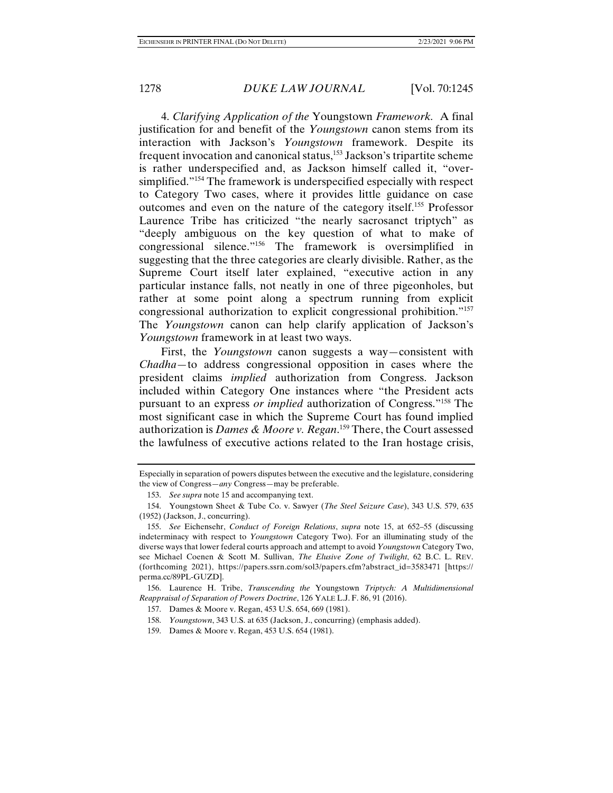4. *Clarifying Application of the* Youngstown *Framework.* A final justification for and benefit of the *Youngstown* canon stems from its interaction with Jackson's *Youngstown* framework. Despite its frequent invocation and canonical status,<sup>153</sup> Jackson's tripartite scheme is rather underspecified and, as Jackson himself called it, "oversimplified."154 The framework is underspecified especially with respect to Category Two cases, where it provides little guidance on case outcomes and even on the nature of the category itself.155 Professor Laurence Tribe has criticized "the nearly sacrosanct triptych" as "deeply ambiguous on the key question of what to make of congressional silence."156 The framework is oversimplified in suggesting that the three categories are clearly divisible. Rather, as the Supreme Court itself later explained, "executive action in any particular instance falls, not neatly in one of three pigeonholes, but rather at some point along a spectrum running from explicit congressional authorization to explicit congressional prohibition."157 The *Youngstown* canon can help clarify application of Jackson's *Youngstown* framework in at least two ways.

First, the *Youngstown* canon suggests a way—consistent with *Chadha*—to address congressional opposition in cases where the president claims *implied* authorization from Congress. Jackson included within Category One instances where "the President acts pursuant to an express *or implied* authorization of Congress."158 The most significant case in which the Supreme Court has found implied authorization is *Dames & Moore v. Regan*. 159 There, the Court assessed the lawfulness of executive actions related to the Iran hostage crisis,

Especially in separation of powers disputes between the executive and the legislature, considering the view of Congress—*any* Congress—may be preferable.

 <sup>153.</sup> *See supra* note 15 and accompanying text.

 <sup>154.</sup> Youngstown Sheet & Tube Co. v. Sawyer (*The Steel Seizure Case*), 343 U.S. 579, 635 (1952) (Jackson, J., concurring).

 <sup>155.</sup> *See* Eichensehr, *Conduct of Foreign Relations*, *supra* note 15, at 652–55 (discussing indeterminacy with respect to *Youngstown* Category Two). For an illuminating study of the diverse ways that lower federal courts approach and attempt to avoid *Youngstown* Category Two, see Michael Coenen & Scott M. Sullivan, *The Elusive Zone of Twilight*, 62 B.C. L. REV. (forthcoming 2021), https://papers.ssrn.com/sol3/papers.cfm?abstract\_id=3583471 [https:// perma.cc/89PL-GUZD].

 <sup>156.</sup> Laurence H. Tribe, *Transcending the* Youngstown *Triptych: A Multidimensional Reappraisal of Separation of Powers Doctrine*, 126 YALE L.J. F. 86, 91 (2016).

 <sup>157.</sup> Dames & Moore v. Regan, 453 U.S. 654, 669 (1981).

 <sup>158.</sup> *Youngstown*, 343 U.S. at 635 (Jackson, J., concurring) (emphasis added).

 <sup>159.</sup> Dames & Moore v. Regan, 453 U.S. 654 (1981).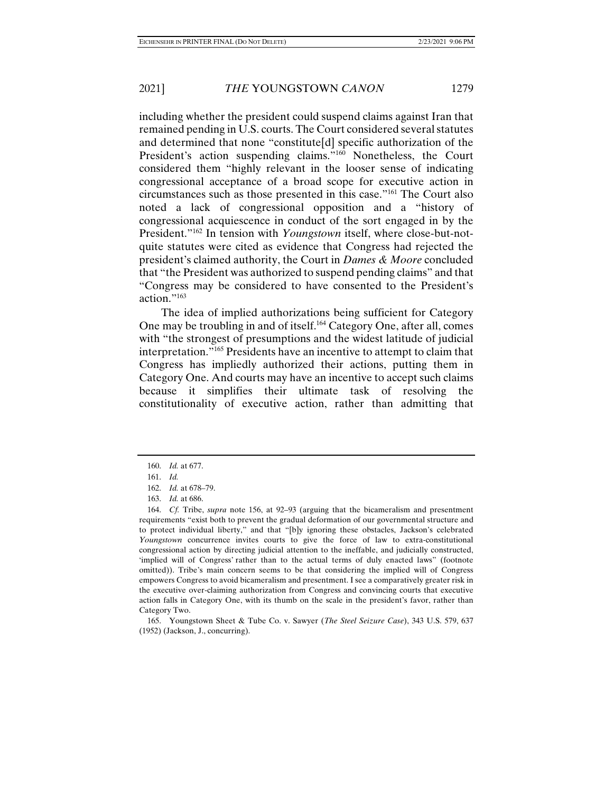including whether the president could suspend claims against Iran that remained pending in U.S. courts. The Court considered several statutes and determined that none "constitute[d] specific authorization of the President's action suspending claims."<sup>160</sup> Nonetheless, the Court considered them "highly relevant in the looser sense of indicating congressional acceptance of a broad scope for executive action in circumstances such as those presented in this case."161 The Court also noted a lack of congressional opposition and a "history of congressional acquiescence in conduct of the sort engaged in by the President."162 In tension with *Youngstown* itself, where close-but-notquite statutes were cited as evidence that Congress had rejected the president's claimed authority, the Court in *Dames & Moore* concluded that "the President was authorized to suspend pending claims" and that "Congress may be considered to have consented to the President's action."163

The idea of implied authorizations being sufficient for Category One may be troubling in and of itself.164 Category One, after all, comes with "the strongest of presumptions and the widest latitude of judicial interpretation."165 Presidents have an incentive to attempt to claim that Congress has impliedly authorized their actions, putting them in Category One. And courts may have an incentive to accept such claims because it simplifies their ultimate task of resolving the constitutionality of executive action, rather than admitting that

 <sup>160.</sup> *Id.* at 677.

 <sup>161.</sup> *Id.*

 <sup>162.</sup> *Id.* at 678–79.

 <sup>163.</sup> *Id.* at 686.

 <sup>164.</sup> *Cf.* Tribe, *supra* note 156, at 92–93 (arguing that the bicameralism and presentment requirements "exist both to prevent the gradual deformation of our governmental structure and to protect individual liberty," and that "[b]y ignoring these obstacles, Jackson's celebrated *Youngstown* concurrence invites courts to give the force of law to extra-constitutional congressional action by directing judicial attention to the ineffable, and judicially constructed, 'implied will of Congress' rather than to the actual terms of duly enacted laws" (footnote omitted)). Tribe's main concern seems to be that considering the implied will of Congress empowers Congress to avoid bicameralism and presentment. I see a comparatively greater risk in the executive over-claiming authorization from Congress and convincing courts that executive action falls in Category One, with its thumb on the scale in the president's favor, rather than Category Two.

 <sup>165.</sup> Youngstown Sheet & Tube Co. v. Sawyer (*The Steel Seizure Case*), 343 U.S. 579, 637 (1952) (Jackson, J., concurring).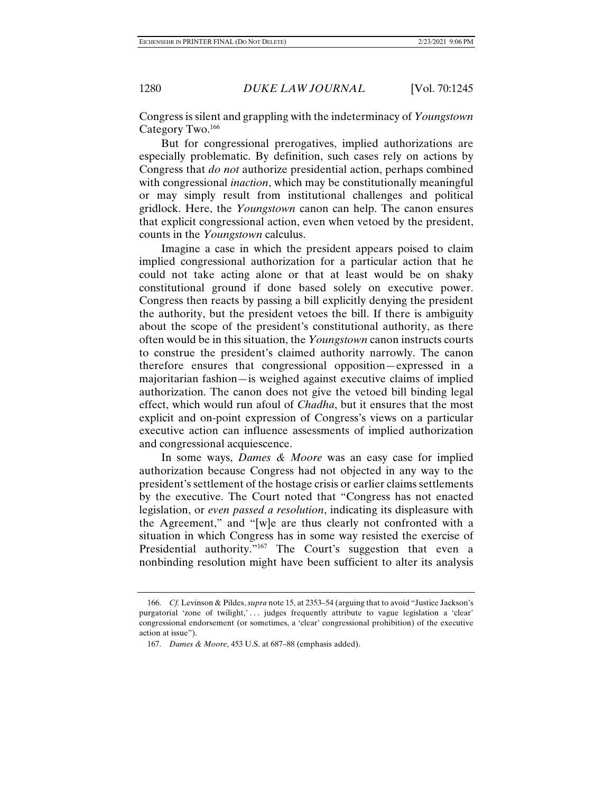Congress is silent and grappling with the indeterminacy of *Youngstown*  Category Two.166

But for congressional prerogatives, implied authorizations are especially problematic. By definition, such cases rely on actions by Congress that *do not* authorize presidential action, perhaps combined with congressional *inaction*, which may be constitutionally meaningful or may simply result from institutional challenges and political gridlock. Here, the *Youngstown* canon can help. The canon ensures that explicit congressional action, even when vetoed by the president, counts in the *Youngstown* calculus.

Imagine a case in which the president appears poised to claim implied congressional authorization for a particular action that he could not take acting alone or that at least would be on shaky constitutional ground if done based solely on executive power. Congress then reacts by passing a bill explicitly denying the president the authority, but the president vetoes the bill. If there is ambiguity about the scope of the president's constitutional authority, as there often would be in this situation, the *Youngstown* canon instructs courts to construe the president's claimed authority narrowly. The canon therefore ensures that congressional opposition—expressed in a majoritarian fashion—is weighed against executive claims of implied authorization. The canon does not give the vetoed bill binding legal effect, which would run afoul of *Chadha*, but it ensures that the most explicit and on-point expression of Congress's views on a particular executive action can influence assessments of implied authorization and congressional acquiescence.

In some ways, *Dames & Moore* was an easy case for implied authorization because Congress had not objected in any way to the president's settlement of the hostage crisis or earlier claims settlements by the executive. The Court noted that "Congress has not enacted legislation, or *even passed a resolution*, indicating its displeasure with the Agreement," and "[w]e are thus clearly not confronted with a situation in which Congress has in some way resisted the exercise of Presidential authority."<sup>167</sup> The Court's suggestion that even a nonbinding resolution might have been sufficient to alter its analysis

 <sup>166.</sup> *Cf.* Levinson & Pildes, *supra* note 15, at 2353–54 (arguing that to avoid "Justice Jackson's purgatorial 'zone of twilight,'... judges frequently attribute to vague legislation a 'clear' congressional endorsement (or sometimes, a 'clear' congressional prohibition) of the executive action at issue").

 <sup>167.</sup> *Dames & Moore*, 453 U.S. at 687–88 (emphasis added).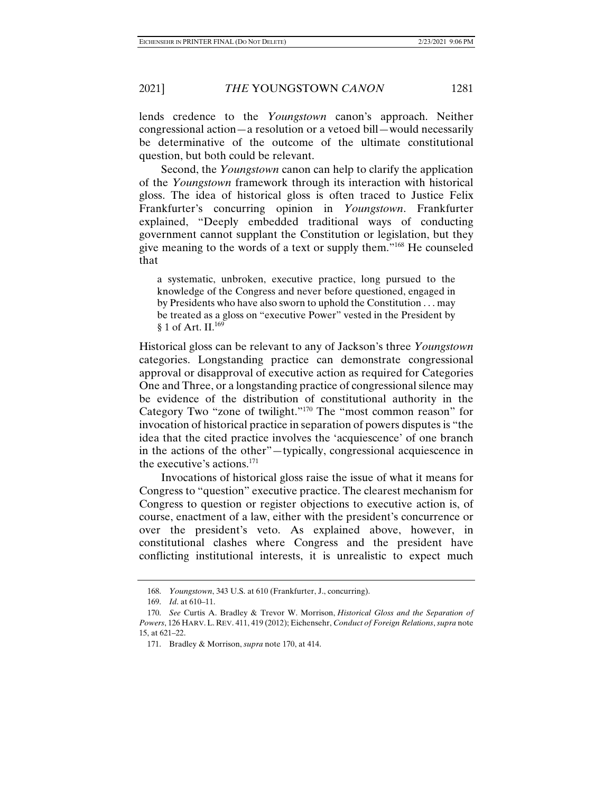lends credence to the *Youngstown* canon's approach. Neither congressional action—a resolution or a vetoed bill—would necessarily be determinative of the outcome of the ultimate constitutional question, but both could be relevant.

Second, the *Youngstown* canon can help to clarify the application of the *Youngstown* framework through its interaction with historical gloss. The idea of historical gloss is often traced to Justice Felix Frankfurter's concurring opinion in *Youngstown*. Frankfurter explained, "Deeply embedded traditional ways of conducting government cannot supplant the Constitution or legislation, but they give meaning to the words of a text or supply them."168 He counseled that

a systematic, unbroken, executive practice, long pursued to the knowledge of the Congress and never before questioned, engaged in by Presidents who have also sworn to uphold the Constitution . . . may be treated as a gloss on "executive Power" vested in the President by § 1 of Art. II.<sup>169</sup>

Historical gloss can be relevant to any of Jackson's three *Youngstown* categories. Longstanding practice can demonstrate congressional approval or disapproval of executive action as required for Categories One and Three, or a longstanding practice of congressional silence may be evidence of the distribution of constitutional authority in the Category Two "zone of twilight."170 The "most common reason" for invocation of historical practice in separation of powers disputes is "the idea that the cited practice involves the 'acquiescence' of one branch in the actions of the other"—typically, congressional acquiescence in the executive's actions.171

Invocations of historical gloss raise the issue of what it means for Congress to "question" executive practice. The clearest mechanism for Congress to question or register objections to executive action is, of course, enactment of a law, either with the president's concurrence or over the president's veto. As explained above, however, in constitutional clashes where Congress and the president have conflicting institutional interests, it is unrealistic to expect much

 <sup>168.</sup> *Youngstown*, 343 U.S. at 610 (Frankfurter, J., concurring).

 <sup>169.</sup> *Id*. at 610–11.

 <sup>170.</sup> *See* Curtis A. Bradley & Trevor W. Morrison, *Historical Gloss and the Separation of Powers*, 126 HARV.L. REV. 411, 419 (2012); Eichensehr, *Conduct of Foreign Relations*, *supra* note 15, at 621–22.

 <sup>171.</sup> Bradley & Morrison, *supra* note 170, at 414.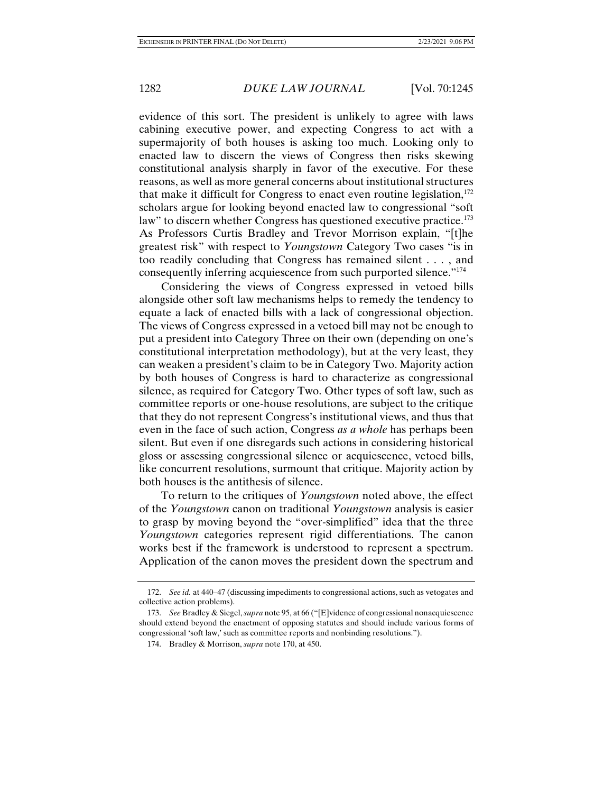evidence of this sort. The president is unlikely to agree with laws cabining executive power, and expecting Congress to act with a supermajority of both houses is asking too much. Looking only to enacted law to discern the views of Congress then risks skewing constitutional analysis sharply in favor of the executive. For these reasons, as well as more general concerns about institutional structures that make it difficult for Congress to enact even routine legislation,  $172$ scholars argue for looking beyond enacted law to congressional "soft law" to discern whether Congress has questioned executive practice.<sup>173</sup> As Professors Curtis Bradley and Trevor Morrison explain, "[t]he greatest risk" with respect to *Youngstown* Category Two cases "is in too readily concluding that Congress has remained silent . . . , and consequently inferring acquiescence from such purported silence."174

Considering the views of Congress expressed in vetoed bills alongside other soft law mechanisms helps to remedy the tendency to equate a lack of enacted bills with a lack of congressional objection. The views of Congress expressed in a vetoed bill may not be enough to put a president into Category Three on their own (depending on one's constitutional interpretation methodology), but at the very least, they can weaken a president's claim to be in Category Two. Majority action by both houses of Congress is hard to characterize as congressional silence, as required for Category Two. Other types of soft law, such as committee reports or one-house resolutions, are subject to the critique that they do not represent Congress's institutional views, and thus that even in the face of such action, Congress *as a whole* has perhaps been silent. But even if one disregards such actions in considering historical gloss or assessing congressional silence or acquiescence, vetoed bills, like concurrent resolutions, surmount that critique. Majority action by both houses is the antithesis of silence.

To return to the critiques of *Youngstown* noted above, the effect of the *Youngstown* canon on traditional *Youngstown* analysis is easier to grasp by moving beyond the "over-simplified" idea that the three *Youngstown* categories represent rigid differentiations. The canon works best if the framework is understood to represent a spectrum. Application of the canon moves the president down the spectrum and

 <sup>172.</sup> *See id.* at 440–47 (discussing impediments to congressional actions, such as vetogates and collective action problems).

 <sup>173.</sup> *See* Bradley & Siegel, *supra* note 95, at 66 ("[E]vidence of congressional nonacquiescence should extend beyond the enactment of opposing statutes and should include various forms of congressional 'soft law,' such as committee reports and nonbinding resolutions.").

 <sup>174.</sup> Bradley & Morrison, *supra* note 170, at 450.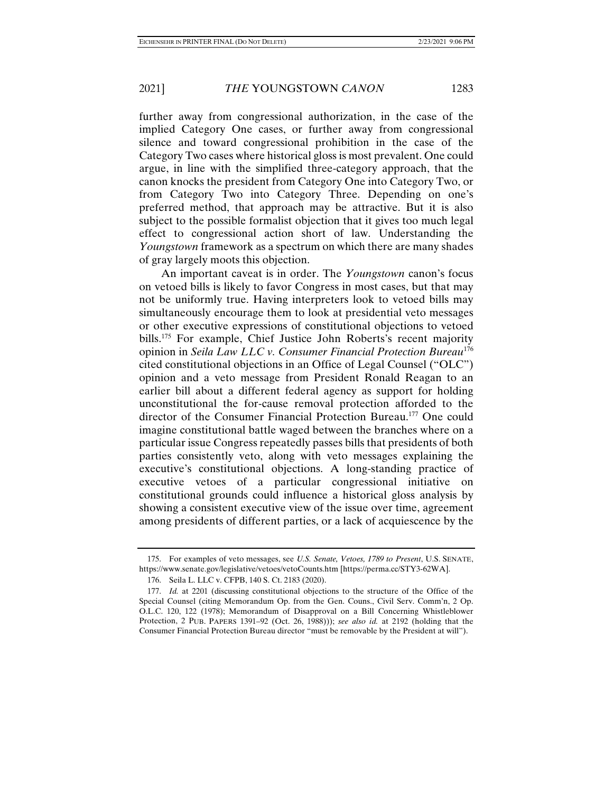further away from congressional authorization, in the case of the implied Category One cases, or further away from congressional silence and toward congressional prohibition in the case of the Category Two cases where historical gloss is most prevalent. One could argue, in line with the simplified three-category approach, that the canon knocks the president from Category One into Category Two, or from Category Two into Category Three. Depending on one's preferred method, that approach may be attractive. But it is also subject to the possible formalist objection that it gives too much legal effect to congressional action short of law. Understanding the *Youngstown* framework as a spectrum on which there are many shades of gray largely moots this objection.

An important caveat is in order. The *Youngstown* canon's focus on vetoed bills is likely to favor Congress in most cases, but that may not be uniformly true. Having interpreters look to vetoed bills may simultaneously encourage them to look at presidential veto messages or other executive expressions of constitutional objections to vetoed bills.<sup>175</sup> For example, Chief Justice John Roberts's recent majority opinion in *Seila Law LLC v. Consumer Financial Protection Bureau*<sup>176</sup> cited constitutional objections in an Office of Legal Counsel ("OLC") opinion and a veto message from President Ronald Reagan to an earlier bill about a different federal agency as support for holding unconstitutional the for-cause removal protection afforded to the director of the Consumer Financial Protection Bureau.177 One could imagine constitutional battle waged between the branches where on a particular issue Congress repeatedly passes bills that presidents of both parties consistently veto, along with veto messages explaining the executive's constitutional objections. A long-standing practice of executive vetoes of a particular congressional initiative on constitutional grounds could influence a historical gloss analysis by showing a consistent executive view of the issue over time, agreement among presidents of different parties, or a lack of acquiescence by the

 <sup>175.</sup> For examples of veto messages, see *U.S. Senate, Vetoes, 1789 to Present*, U.S. SENATE, https://www.senate.gov/legislative/vetoes/vetoCounts.htm [https://perma.cc/STY3-62WA].

 <sup>176.</sup> Seila L. LLC v. CFPB, 140 S. Ct. 2183 (2020).

 <sup>177.</sup> *Id.* at 2201 (discussing constitutional objections to the structure of the Office of the Special Counsel (citing Memorandum Op. from the Gen. Couns., Civil Serv. Comm'n, 2 Op. O.L.C. 120, 122 (1978); Memorandum of Disapproval on a Bill Concerning Whistleblower Protection, 2 PUB. PAPERS 1391–92 (Oct. 26, 1988))); *see also id.* at 2192 (holding that the Consumer Financial Protection Bureau director "must be removable by the President at will").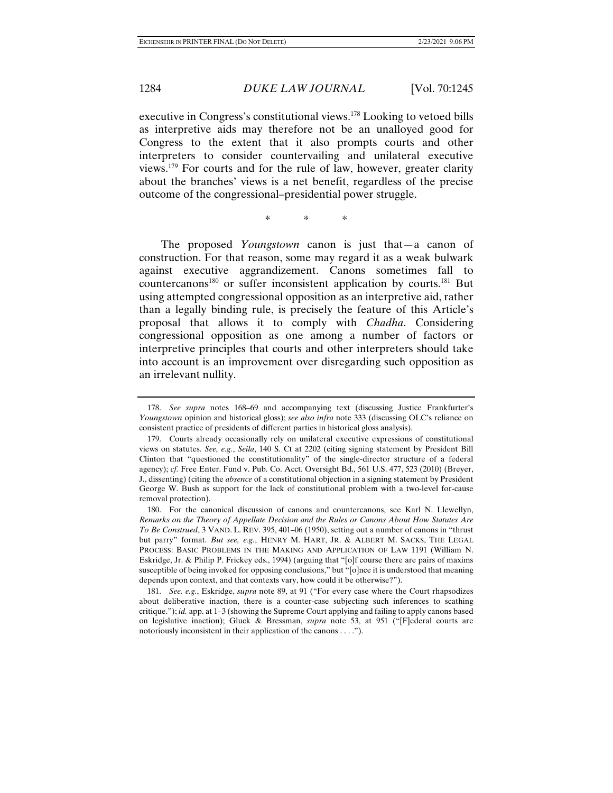executive in Congress's constitutional views.178 Looking to vetoed bills as interpretive aids may therefore not be an unalloyed good for Congress to the extent that it also prompts courts and other interpreters to consider countervailing and unilateral executive views.179 For courts and for the rule of law, however, greater clarity about the branches' views is a net benefit, regardless of the precise outcome of the congressional–presidential power struggle.

\* \* \*

The proposed *Youngstown* canon is just that—a canon of construction. For that reason, some may regard it as a weak bulwark against executive aggrandizement. Canons sometimes fall to countercanons180 or suffer inconsistent application by courts.181 But using attempted congressional opposition as an interpretive aid, rather than a legally binding rule, is precisely the feature of this Article's proposal that allows it to comply with *Chadha*. Considering congressional opposition as one among a number of factors or interpretive principles that courts and other interpreters should take into account is an improvement over disregarding such opposition as an irrelevant nullity.

 <sup>178.</sup> *See supra* notes 168–69 and accompanying text (discussing Justice Frankfurter's *Youngstown* opinion and historical gloss); *see also infra* note 333 (discussing OLC's reliance on consistent practice of presidents of different parties in historical gloss analysis).

 <sup>179.</sup> Courts already occasionally rely on unilateral executive expressions of constitutional views on statutes. *See, e.g.*, *Seila*, 140 S. Ct at 2202 (citing signing statement by President Bill Clinton that "questioned the constitutionality" of the single-director structure of a federal agency); *cf.* Free Enter. Fund v. Pub. Co. Acct. Oversight Bd., 561 U.S. 477, 523 (2010) (Breyer, J., dissenting) (citing the *absence* of a constitutional objection in a signing statement by President George W. Bush as support for the lack of constitutional problem with a two-level for-cause removal protection).

 <sup>180.</sup> For the canonical discussion of canons and countercanons, see Karl N. Llewellyn, *Remarks on the Theory of Appellate Decision and the Rules or Canons About How Statutes Are To Be Construed*, 3 VAND. L. REV. 395, 401–06 (1950), setting out a number of canons in "thrust but parry" format. *But see, e.g.*, HENRY M. HART, JR. & ALBERT M. SACKS, THE LEGAL PROCESS: BASIC PROBLEMS IN THE MAKING AND APPLICATION OF LAW 1191 (William N. Eskridge, Jr. & Philip P. Frickey eds., 1994) (arguing that "[o]f course there are pairs of maxims susceptible of being invoked for opposing conclusions," but "[o]nce it is understood that meaning depends upon context, and that contexts vary, how could it be otherwise?").

 <sup>181.</sup> *See, e.g.*, Eskridge, *supra* note 89, at 91 ("For every case where the Court rhapsodizes about deliberative inaction, there is a counter-case subjecting such inferences to scathing critique."); *id.* app. at 1–3 (showing the Supreme Court applying and failing to apply canons based on legislative inaction); Gluck & Bressman, *supra* note 53, at 951 ("[F]ederal courts are notoriously inconsistent in their application of the canons . . . .").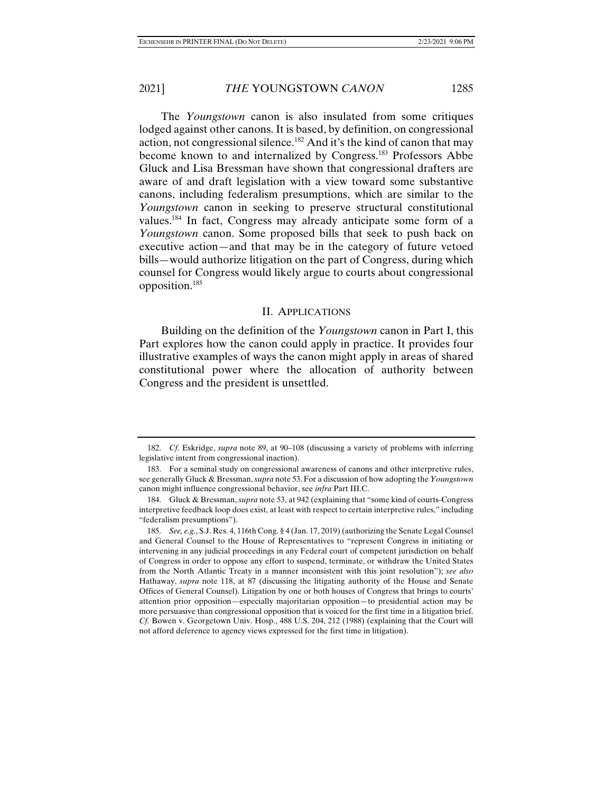The *Youngstown* canon is also insulated from some critiques lodged against other canons. It is based, by definition, on congressional action, not congressional silence.182 And it's the kind of canon that may become known to and internalized by Congress.183 Professors Abbe Gluck and Lisa Bressman have shown that congressional drafters are aware of and draft legislation with a view toward some substantive canons, including federalism presumptions, which are similar to the *Youngstown* canon in seeking to preserve structural constitutional values.184 In fact, Congress may already anticipate some form of a *Youngstown* canon. Some proposed bills that seek to push back on executive action—and that may be in the category of future vetoed bills—would authorize litigation on the part of Congress, during which counsel for Congress would likely argue to courts about congressional opposition.185

#### II. APPLICATIONS

Building on the definition of the *Youngstown* canon in Part I, this Part explores how the canon could apply in practice. It provides four illustrative examples of ways the canon might apply in areas of shared constitutional power where the allocation of authority between Congress and the president is unsettled.

 <sup>182.</sup> *Cf.* Eskridge, *supra* note 89, at 90–108 (discussing a variety of problems with inferring legislative intent from congressional inaction).

 <sup>183.</sup> For a seminal study on congressional awareness of canons and other interpretive rules, see generally Gluck & Bressman, *supra* note 53. For a discussion of how adopting the *Youngstown*  canon might influence congressional behavior, see *infra* Part III.C.

 <sup>184.</sup> Gluck & Bressman, *supra* note 53, at 942 (explaining that "some kind of courts-Congress interpretive feedback loop does exist, at least with respect to certain interpretive rules," including "federalism presumptions").

 <sup>185.</sup> *See, e.g.*, S.J. Res. 4, 116th Cong. § 4 (Jan. 17, 2019) (authorizing the Senate Legal Counsel and General Counsel to the House of Representatives to "represent Congress in initiating or intervening in any judicial proceedings in any Federal court of competent jurisdiction on behalf of Congress in order to oppose any effort to suspend, terminate, or withdraw the United States from the North Atlantic Treaty in a manner inconsistent with this joint resolution"); *see also*  Hathaway, *supra* note 118, at 87 (discussing the litigating authority of the House and Senate Offices of General Counsel). Litigation by one or both houses of Congress that brings to courts' attention prior opposition—especially majoritarian opposition—to presidential action may be more persuasive than congressional opposition that is voiced for the first time in a litigation brief. *Cf.* Bowen v. Georgetown Univ. Hosp., 488 U.S. 204, 212 (1988) (explaining that the Court will not afford deference to agency views expressed for the first time in litigation).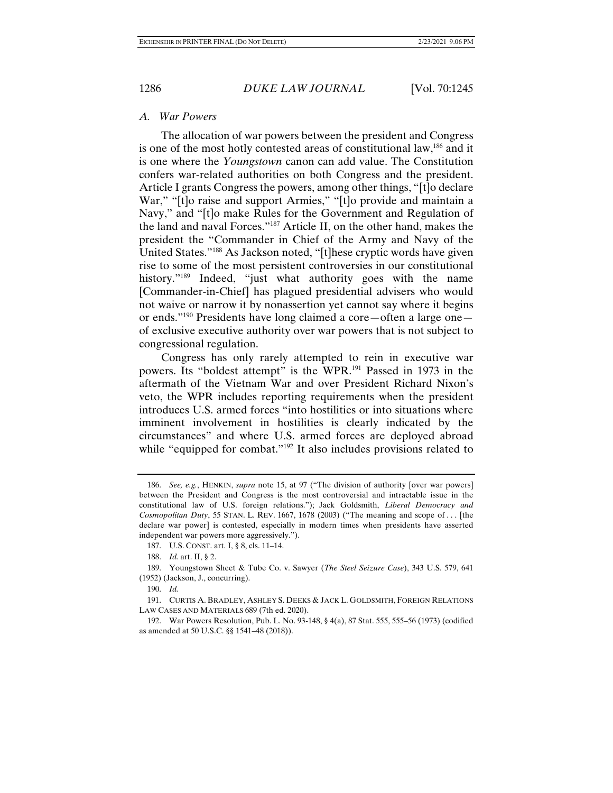### *A. War Powers*

The allocation of war powers between the president and Congress is one of the most hotly contested areas of constitutional law,186 and it is one where the *Youngstown* canon can add value. The Constitution confers war-related authorities on both Congress and the president. Article I grants Congress the powers, among other things, "[t]o declare War," "[t]o raise and support Armies," "[t]o provide and maintain a Navy," and "[t]o make Rules for the Government and Regulation of the land and naval Forces."187 Article II, on the other hand, makes the president the "Commander in Chief of the Army and Navy of the United States."188 As Jackson noted, "[t]hese cryptic words have given rise to some of the most persistent controversies in our constitutional history."<sup>189</sup> Indeed, "just what authority goes with the name [Commander-in-Chief] has plagued presidential advisers who would not waive or narrow it by nonassertion yet cannot say where it begins or ends."190 Presidents have long claimed a core—often a large one of exclusive executive authority over war powers that is not subject to congressional regulation.

Congress has only rarely attempted to rein in executive war powers. Its "boldest attempt" is the WPR.191 Passed in 1973 in the aftermath of the Vietnam War and over President Richard Nixon's veto, the WPR includes reporting requirements when the president introduces U.S. armed forces "into hostilities or into situations where imminent involvement in hostilities is clearly indicated by the circumstances" and where U.S. armed forces are deployed abroad while "equipped for combat."<sup>192</sup> It also includes provisions related to

 <sup>186.</sup> *See, e.g.*, HENKIN, *supra* note 15, at 97 ("The division of authority [over war powers] between the President and Congress is the most controversial and intractable issue in the constitutional law of U.S. foreign relations."); Jack Goldsmith, *Liberal Democracy and Cosmopolitan Duty*, 55 STAN. L. REV. 1667, 1678 (2003) ("The meaning and scope of . . . [the declare war power] is contested, especially in modern times when presidents have asserted independent war powers more aggressively.").

 <sup>187.</sup> U.S. CONST. art. I, § 8, cls. 11–14.

 <sup>188.</sup> *Id.* art. II, § 2.

 <sup>189.</sup> Youngstown Sheet & Tube Co. v. Sawyer (*The Steel Seizure Case*), 343 U.S. 579, 641 (1952) (Jackson, J., concurring).

 <sup>190.</sup> *Id.*

 <sup>191.</sup> CURTIS A. BRADLEY, ASHLEY S. DEEKS & JACK L. GOLDSMITH, FOREIGN RELATIONS LAW CASES AND MATERIALS 689 (7th ed. 2020).

 <sup>192.</sup> War Powers Resolution, Pub. L. No. 93-148, § 4(a), 87 Stat. 555, 555–56 (1973) (codified as amended at 50 U.S.C. §§ 1541–48 (2018)).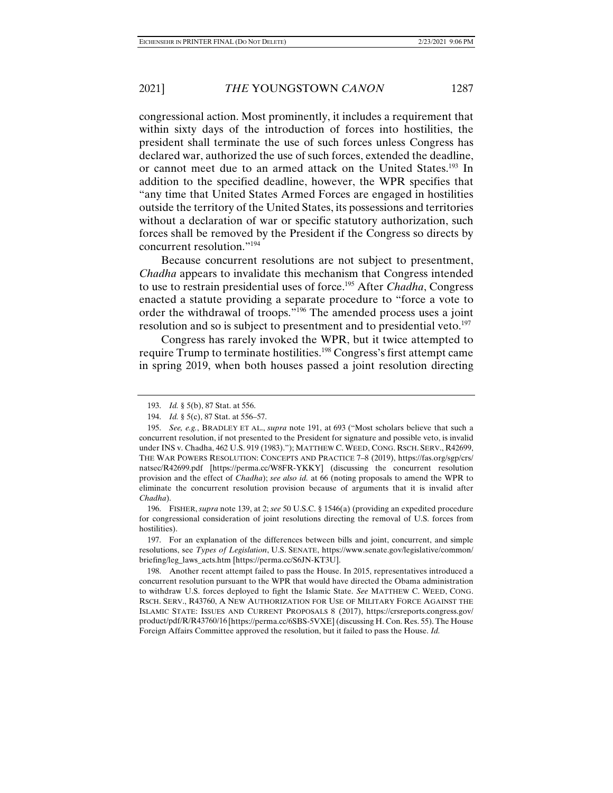congressional action. Most prominently, it includes a requirement that within sixty days of the introduction of forces into hostilities, the president shall terminate the use of such forces unless Congress has declared war, authorized the use of such forces, extended the deadline, or cannot meet due to an armed attack on the United States.<sup>193</sup> In addition to the specified deadline, however, the WPR specifies that "any time that United States Armed Forces are engaged in hostilities outside the territory of the United States, its possessions and territories without a declaration of war or specific statutory authorization, such forces shall be removed by the President if the Congress so directs by concurrent resolution."194

Because concurrent resolutions are not subject to presentment, *Chadha* appears to invalidate this mechanism that Congress intended to use to restrain presidential uses of force.195 After *Chadha*, Congress enacted a statute providing a separate procedure to "force a vote to order the withdrawal of troops."196 The amended process uses a joint resolution and so is subject to presentment and to presidential veto.<sup>197</sup>

Congress has rarely invoked the WPR, but it twice attempted to require Trump to terminate hostilities.198 Congress's first attempt came in spring 2019, when both houses passed a joint resolution directing

 <sup>193.</sup> *Id.* § 5(b), 87 Stat. at 556.

 <sup>194.</sup> *Id.* § 5(c), 87 Stat. at 556–57.

 <sup>195.</sup> *See, e.g.*, BRADLEY ET AL., *supra* note 191, at 693 ("Most scholars believe that such a concurrent resolution, if not presented to the President for signature and possible veto, is invalid under INS v. Chadha, 462 U.S. 919 (1983)."); MATTHEW C. WEED, CONG. RSCH. SERV., R42699, THE WAR POWERS RESOLUTION: CONCEPTS AND PRACTICE 7–8 (2019), https://fas.org/sgp/crs/ natsec/R42699.pdf [https://perma.cc/W8FR-YKKY] (discussing the concurrent resolution provision and the effect of *Chadha*); *see also id.* at 66 (noting proposals to amend the WPR to eliminate the concurrent resolution provision because of arguments that it is invalid after *Chadha*).

 <sup>196.</sup> FISHER, *supra* note 139, at 2; *see* 50 U.S.C. § 1546(a) (providing an expedited procedure for congressional consideration of joint resolutions directing the removal of U.S. forces from hostilities).

 <sup>197.</sup> For an explanation of the differences between bills and joint, concurrent, and simple resolutions, see *Types of Legislation*, U.S. SENATE, https://www.senate.gov/legislative/common/ briefing/leg\_laws\_acts.htm [https://perma.cc/S6JN-KT3U].

 <sup>198.</sup> Another recent attempt failed to pass the House. In 2015, representatives introduced a concurrent resolution pursuant to the WPR that would have directed the Obama administration to withdraw U.S. forces deployed to fight the Islamic State. *See* MATTHEW C. WEED, CONG. RSCH. SERV., R43760, A NEW AUTHORIZATION FOR USE OF MILITARY FORCE AGAINST THE ISLAMIC STATE: ISSUES AND CURRENT PROPOSALS 8 (2017), https://crsreports.congress.gov/ product/pdf/R/R43760/16 [https://perma.cc/6SBS-5VXE] (discussing H. Con. Res. 55). The House Foreign Affairs Committee approved the resolution, but it failed to pass the House. *Id.*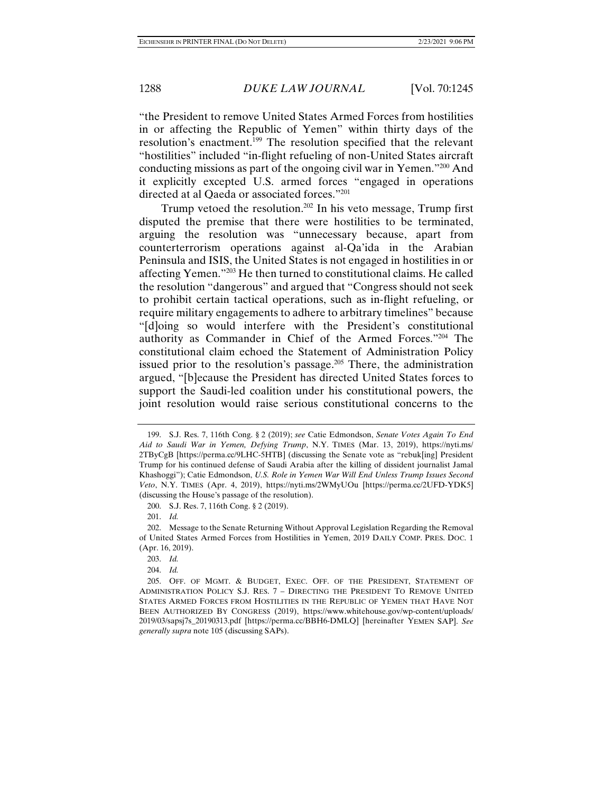"the President to remove United States Armed Forces from hostilities in or affecting the Republic of Yemen" within thirty days of the resolution's enactment.199 The resolution specified that the relevant "hostilities" included "in-flight refueling of non-United States aircraft conducting missions as part of the ongoing civil war in Yemen."200 And it explicitly excepted U.S. armed forces "engaged in operations directed at al Qaeda or associated forces."201

Trump vetoed the resolution.202 In his veto message, Trump first disputed the premise that there were hostilities to be terminated, arguing the resolution was "unnecessary because, apart from counterterrorism operations against al-Qa'ida in the Arabian Peninsula and ISIS, the United States is not engaged in hostilities in or affecting Yemen."203 He then turned to constitutional claims. He called the resolution "dangerous" and argued that "Congress should not seek to prohibit certain tactical operations, such as in-flight refueling, or require military engagements to adhere to arbitrary timelines" because "[d]oing so would interfere with the President's constitutional authority as Commander in Chief of the Armed Forces."204 The constitutional claim echoed the Statement of Administration Policy issued prior to the resolution's passage.<sup>205</sup> There, the administration argued, "[b]ecause the President has directed United States forces to support the Saudi-led coalition under his constitutional powers, the joint resolution would raise serious constitutional concerns to the

 <sup>199.</sup> S.J. Res. 7, 116th Cong. § 2 (2019); *see* Catie Edmondson, *Senate Votes Again To End Aid to Saudi War in Yemen, Defying Trump*, N.Y. TIMES (Mar. 13, 2019), https://nyti.ms/ 2TByCgB [https://perma.cc/9LHC-5HTB] (discussing the Senate vote as "rebuk[ing] President Trump for his continued defense of Saudi Arabia after the killing of dissident journalist Jamal Khashoggi"); Catie Edmondson, *U.S. Role in Yemen War Will End Unless Trump Issues Second Veto*, N.Y. TIMES (Apr. 4, 2019), https://nyti.ms/2WMyUOu [https://perma.cc/2UFD-YDK5] (discussing the House's passage of the resolution).

 <sup>200.</sup> S.J. Res. 7, 116th Cong. § 2 (2019).

 <sup>201.</sup> *Id.*

 <sup>202.</sup> Message to the Senate Returning Without Approval Legislation Regarding the Removal of United States Armed Forces from Hostilities in Yemen, 2019 DAILY COMP. PRES. DOC. 1 (Apr. 16, 2019).

 <sup>203.</sup> *Id.*

 <sup>204.</sup> *Id.*

 <sup>205.</sup> OFF. OF MGMT. & BUDGET, EXEC. OFF. OF THE PRESIDENT, STATEMENT OF ADMINISTRATION POLICY S.J. RES. 7 – DIRECTING THE PRESIDENT TO REMOVE UNITED STATES ARMED FORCES FROM HOSTILITIES IN THE REPUBLIC OF YEMEN THAT HAVE NOT BEEN AUTHORIZED BY CONGRESS (2019), https://www.whitehouse.gov/wp-content/uploads/ 2019/03/sapsj7s\_20190313.pdf [https://perma.cc/BBH6-DMLQ] [hereinafter YEMEN SAP]. *See generally supra* note 105 (discussing SAPs).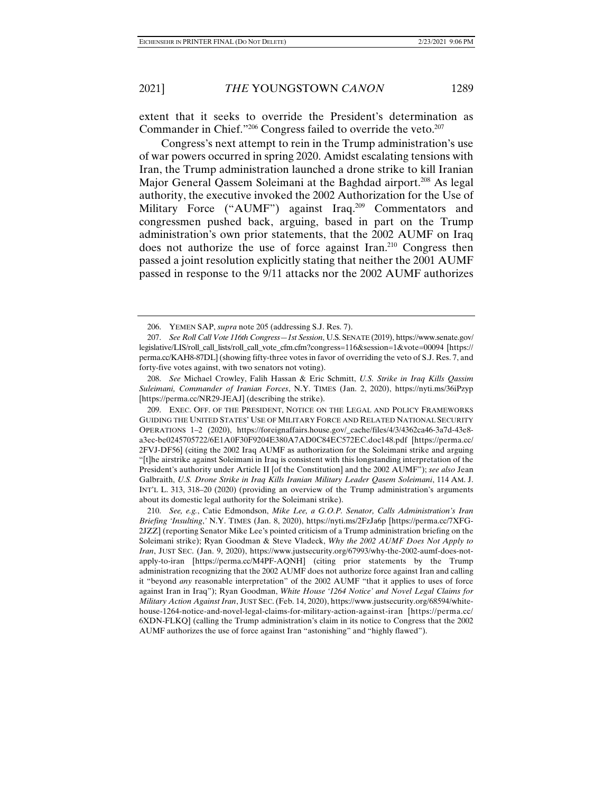extent that it seeks to override the President's determination as Commander in Chief."<sup>206</sup> Congress failed to override the veto.<sup>207</sup>

Congress's next attempt to rein in the Trump administration's use of war powers occurred in spring 2020. Amidst escalating tensions with Iran, the Trump administration launched a drone strike to kill Iranian Major General Qassem Soleimani at the Baghdad airport.<sup>208</sup> As legal authority, the executive invoked the 2002 Authorization for the Use of Military Force ("AUMF") against Iraq.<sup>209</sup> Commentators and congressmen pushed back, arguing, based in part on the Trump administration's own prior statements, that the 2002 AUMF on Iraq does not authorize the use of force against Iran.<sup>210</sup> Congress then passed a joint resolution explicitly stating that neither the 2001 AUMF passed in response to the 9/11 attacks nor the 2002 AUMF authorizes

 208. *See* Michael Crowley, Falih Hassan & Eric Schmitt, *U.S. Strike in Iraq Kills Qassim Suleimani, Commander of Iranian Forces*, N.Y. TIMES (Jan. 2, 2020), https://nyti.ms/36iPzyp [https://perma.cc/NR29-JEAJ] (describing the strike).

 209. EXEC. OFF. OF THE PRESIDENT, NOTICE ON THE LEGAL AND POLICY FRAMEWORKS GUIDING THE UNITED STATES' USE OF MILITARY FORCE AND RELATED NATIONAL SECURITY OPERATIONS 1–2 (2020), https://foreignaffairs.house.gov/\_cache/files/4/3/4362ca46-3a7d-43e8 a3ec-be0245705722/6E1A0F30F9204E380A7AD0C84EC572EC.doc148.pdf [https://perma.cc/ 2FVJ-DF56] (citing the 2002 Iraq AUMF as authorization for the Soleimani strike and arguing "[t]he airstrike against Soleimani in Iraq is consistent with this longstanding interpretation of the President's authority under Article II [of the Constitution] and the 2002 AUMF"); *see also* Jean Galbraith, *U.S. Drone Strike in Iraq Kills Iranian Military Leader Qasem Soleimani*, 114 AM. J. INT'L L. 313, 318–20 (2020) (providing an overview of the Trump administration's arguments about its domestic legal authority for the Soleimani strike).

 210. *See, e.g.*, Catie Edmondson, *Mike Lee, a G.O.P. Senator, Calls Administration's Iran Briefing 'Insulting*,*'* N.Y. TIMES (Jan. 8, 2020), https://nyti.ms/2FzJa6p [https://perma.cc/7XFG-2JZZ] (reporting Senator Mike Lee's pointed criticism of a Trump administration briefing on the Soleimani strike); Ryan Goodman & Steve Vladeck, *Why the 2002 AUMF Does Not Apply to Iran*, JUST SEC. (Jan. 9, 2020), https://www.justsecurity.org/67993/why-the-2002-aumf-does-notapply-to-iran [https://perma.cc/M4PF-AQNH] (citing prior statements by the Trump administration recognizing that the 2002 AUMF does not authorize force against Iran and calling it "beyond *any* reasonable interpretation" of the 2002 AUMF "that it applies to uses of force against Iran in Iraq"); Ryan Goodman, *White House '1264 Notice' and Novel Legal Claims for Military Action Against Iran*, JUST SEC.(Feb. 14, 2020), https://www.justsecurity.org/68594/whitehouse-1264-notice-and-novel-legal-claims-for-military-action-against-iran [https://perma.cc/ 6XDN-FLKQ] (calling the Trump administration's claim in its notice to Congress that the 2002 AUMF authorizes the use of force against Iran "astonishing" and "highly flawed").

 <sup>206.</sup> YEMEN SAP, *supra* note 205 (addressing S.J. Res. 7).

 <sup>207.</sup> *See Roll Call Vote 116th Congress—1st Session*, U.S. SENATE (2019), https://www.senate.gov/ legislative/LIS/roll\_call\_lists/roll\_call\_vote\_cfm.cfm?congress=116&session=1&vote=00094 [https:// perma.cc/KAH8-87DL] (showing fifty-three votes in favor of overriding the veto of S.J. Res. 7, and forty-five votes against, with two senators not voting).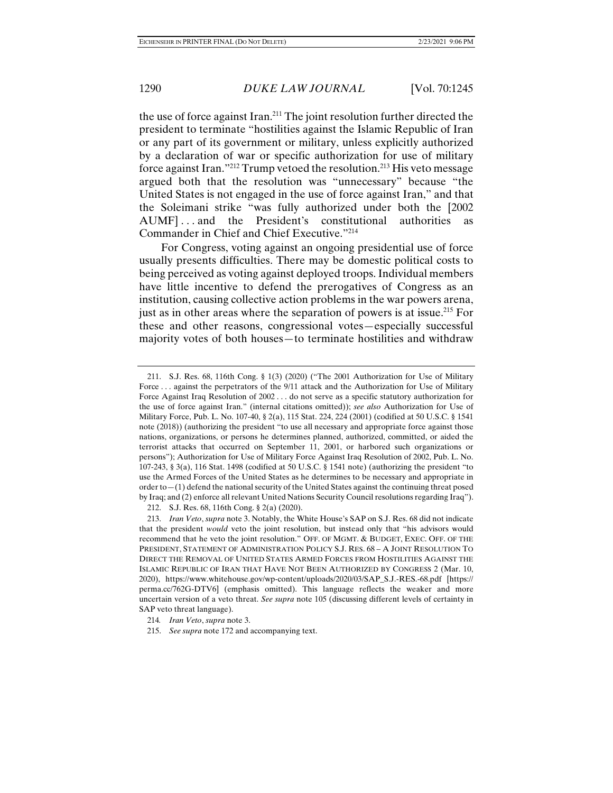the use of force against Iran.211 The joint resolution further directed the president to terminate "hostilities against the Islamic Republic of Iran or any part of its government or military, unless explicitly authorized by a declaration of war or specific authorization for use of military force against Iran."<sup>212</sup> Trump vetoed the resolution.<sup>213</sup> His veto message argued both that the resolution was "unnecessary" because "the United States is not engaged in the use of force against Iran," and that the Soleimani strike "was fully authorized under both the [2002 AUMF]... and the President's constitutional authorities as Commander in Chief and Chief Executive."214

For Congress, voting against an ongoing presidential use of force usually presents difficulties. There may be domestic political costs to being perceived as voting against deployed troops. Individual members have little incentive to defend the prerogatives of Congress as an institution, causing collective action problems in the war powers arena, just as in other areas where the separation of powers is at issue.<sup>215</sup> For these and other reasons, congressional votes—especially successful majority votes of both houses—to terminate hostilities and withdraw

212. S.J. Res. 68, 116th Cong. § 2(a) (2020).

 <sup>211.</sup> S.J. Res. 68, 116th Cong. § 1(3) (2020) ("The 2001 Authorization for Use of Military Force ... against the perpetrators of the 9/11 attack and the Authorization for Use of Military Force Against Iraq Resolution of 2002 . . . do not serve as a specific statutory authorization for the use of force against Iran." (internal citations omitted)); *see also* Authorization for Use of Military Force, Pub. L. No. 107-40, § 2(a), 115 Stat. 224, 224 (2001) (codified at 50 U.S.C. § 1541 note (2018)) (authorizing the president "to use all necessary and appropriate force against those nations, organizations, or persons he determines planned, authorized, committed, or aided the terrorist attacks that occurred on September 11, 2001, or harbored such organizations or persons"); Authorization for Use of Military Force Against Iraq Resolution of 2002, Pub. L. No. 107-243, § 3(a), 116 Stat. 1498 (codified at 50 U.S.C. § 1541 note) (authorizing the president "to use the Armed Forces of the United States as he determines to be necessary and appropriate in order to  $-(1)$  defend the national security of the United States against the continuing threat posed by Iraq; and (2) enforce all relevant United Nations Security Council resolutions regarding Iraq").

 <sup>213.</sup> *Iran Veto*, *supra* note 3. Notably, the White House's SAP on S.J. Res. 68 did not indicate that the president *would* veto the joint resolution, but instead only that "his advisors would recommend that he veto the joint resolution." OFF. OF MGMT. & BUDGET, EXEC. OFF. OF THE PRESIDENT, STATEMENT OF ADMINISTRATION POLICY S.J. RES. 68 – A JOINT RESOLUTION TO DIRECT THE REMOVAL OF UNITED STATES ARMED FORCES FROM HOSTILITIES AGAINST THE ISLAMIC REPUBLIC OF IRAN THAT HAVE NOT BEEN AUTHORIZED BY CONGRESS 2 (Mar. 10, 2020), https://www.whitehouse.gov/wp-content/uploads/2020/03/SAP\_S.J.-RES.-68.pdf [https:// perma.cc/762G-DTV6] (emphasis omitted). This language reflects the weaker and more uncertain version of a veto threat. *See supra* note 105 (discussing different levels of certainty in SAP veto threat language).

<sup>214</sup>*. Iran Veto*, *supra* note 3.

 <sup>215.</sup> *See supra* note 172 and accompanying text.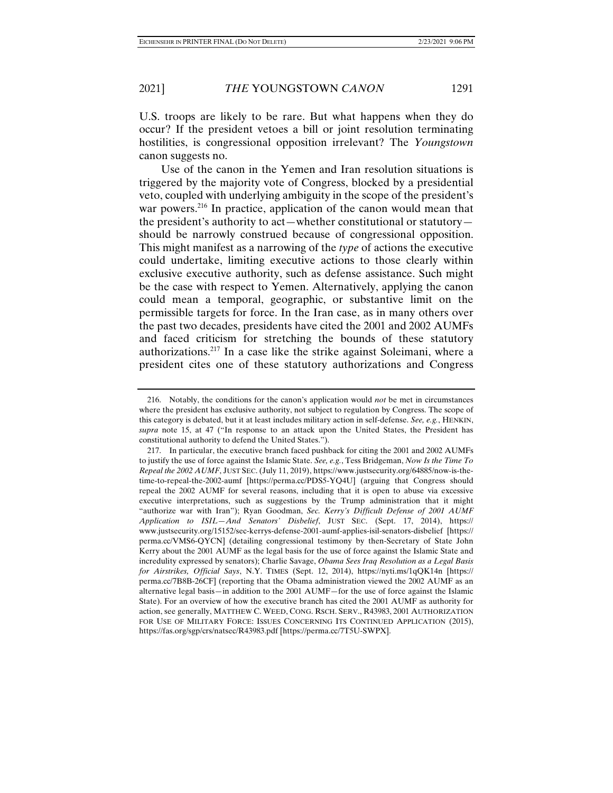U.S. troops are likely to be rare. But what happens when they do occur? If the president vetoes a bill or joint resolution terminating hostilities, is congressional opposition irrelevant? The *Youngstown*  canon suggests no.

Use of the canon in the Yemen and Iran resolution situations is triggered by the majority vote of Congress, blocked by a presidential veto, coupled with underlying ambiguity in the scope of the president's war powers.<sup>216</sup> In practice, application of the canon would mean that the president's authority to act—whether constitutional or statutory should be narrowly construed because of congressional opposition. This might manifest as a narrowing of the *type* of actions the executive could undertake, limiting executive actions to those clearly within exclusive executive authority, such as defense assistance. Such might be the case with respect to Yemen. Alternatively, applying the canon could mean a temporal, geographic, or substantive limit on the permissible targets for force. In the Iran case, as in many others over the past two decades, presidents have cited the 2001 and 2002 AUMFs and faced criticism for stretching the bounds of these statutory authorizations.217 In a case like the strike against Soleimani, where a president cites one of these statutory authorizations and Congress

 <sup>216.</sup> Notably, the conditions for the canon's application would *not* be met in circumstances where the president has exclusive authority, not subject to regulation by Congress. The scope of this category is debated, but it at least includes military action in self-defense. *See, e.g.*, HENKIN, *supra* note 15, at 47 ("In response to an attack upon the United States, the President has constitutional authority to defend the United States.").

 <sup>217.</sup> In particular, the executive branch faced pushback for citing the 2001 and 2002 AUMFs to justify the use of force against the Islamic State. *See, e.g.*, Tess Bridgeman, *Now Is the Time To Repeal the 2002 AUMF*, JUST SEC.(July 11, 2019), https://www.justsecurity.org/64885/now-is-thetime-to-repeal-the-2002-aumf [https://perma.cc/PDS5-YQ4U] (arguing that Congress should repeal the 2002 AUMF for several reasons, including that it is open to abuse via excessive executive interpretations, such as suggestions by the Trump administration that it might "authorize war with Iran"); Ryan Goodman, *Sec. Kerry's Difficult Defense of 2001 AUMF Application to ISIL—And Senators' Disbelief*, JUST SEC. (Sept. 17, 2014), https:// www.justsecurity.org/15152/sec-kerrys-defense-2001-aumf-applies-isil-senators-disbelief [https:// perma.cc/VMS6-QYCN] (detailing congressional testimony by then-Secretary of State John Kerry about the 2001 AUMF as the legal basis for the use of force against the Islamic State and incredulity expressed by senators); Charlie Savage, *Obama Sees Iraq Resolution as a Legal Basis for Airstrikes, Official Says*, N.Y. TIMES (Sept. 12, 2014), https://nyti.ms/1qQK14n [https:// perma.cc/7B8B-26CF] (reporting that the Obama administration viewed the 2002 AUMF as an alternative legal basis—in addition to the 2001 AUMF—for the use of force against the Islamic State). For an overview of how the executive branch has cited the 2001 AUMF as authority for action, see generally, MATTHEW C. WEED, CONG. RSCH. SERV., R43983, 2001 AUTHORIZATION FOR USE OF MILITARY FORCE: ISSUES CONCERNING ITS CONTINUED APPLICATION (2015), https://fas.org/sgp/crs/natsec/R43983.pdf [https://perma.cc/7T5U-SWPX].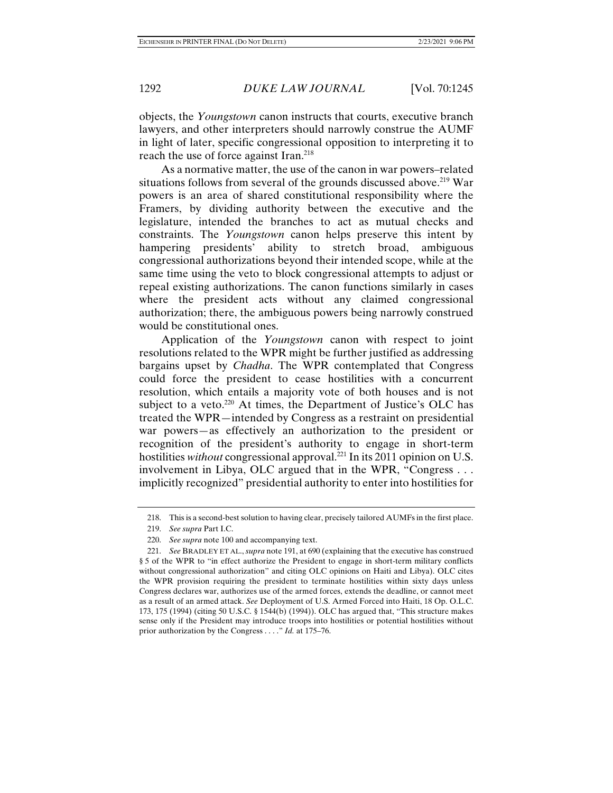objects, the *Youngstown* canon instructs that courts, executive branch lawyers, and other interpreters should narrowly construe the AUMF in light of later, specific congressional opposition to interpreting it to reach the use of force against Iran.<sup>218</sup>

As a normative matter, the use of the canon in war powers–related situations follows from several of the grounds discussed above.<sup>219</sup> War powers is an area of shared constitutional responsibility where the Framers, by dividing authority between the executive and the legislature, intended the branches to act as mutual checks and constraints. The *Youngstown* canon helps preserve this intent by hampering presidents' ability to stretch broad, ambiguous congressional authorizations beyond their intended scope, while at the same time using the veto to block congressional attempts to adjust or repeal existing authorizations. The canon functions similarly in cases where the president acts without any claimed congressional authorization; there, the ambiguous powers being narrowly construed would be constitutional ones.

Application of the *Youngstown* canon with respect to joint resolutions related to the WPR might be further justified as addressing bargains upset by *Chadha*. The WPR contemplated that Congress could force the president to cease hostilities with a concurrent resolution, which entails a majority vote of both houses and is not subject to a veto.<sup>220</sup> At times, the Department of Justice's OLC has treated the WPR—intended by Congress as a restraint on presidential war powers—as effectively an authorization to the president or recognition of the president's authority to engage in short-term hostilities *without* congressional approval.<sup>221</sup> In its 2011 opinion on U.S. involvement in Libya, OLC argued that in the WPR, "Congress . . . implicitly recognized" presidential authority to enter into hostilities for

 <sup>218.</sup> This is a second-best solution to having clear, precisely tailored AUMFs in the first place.

 <sup>219.</sup> *See supra* Part I.C.

 <sup>220.</sup> *See supra* note 100 and accompanying text.

 <sup>221.</sup> *See* BRADLEY ET AL., *supra* note 191, at 690 (explaining that the executive has construed § 5 of the WPR to "in effect authorize the President to engage in short-term military conflicts without congressional authorization" and citing OLC opinions on Haiti and Libya). OLC cites the WPR provision requiring the president to terminate hostilities within sixty days unless Congress declares war, authorizes use of the armed forces, extends the deadline, or cannot meet as a result of an armed attack. *See* Deployment of U.S. Armed Forced into Haiti, 18 Op. O.L.C. 173, 175 (1994) (citing 50 U.S.C. § 1544(b) (1994)). OLC has argued that, "This structure makes sense only if the President may introduce troops into hostilities or potential hostilities without prior authorization by the Congress . . . ." *Id.* at 175–76.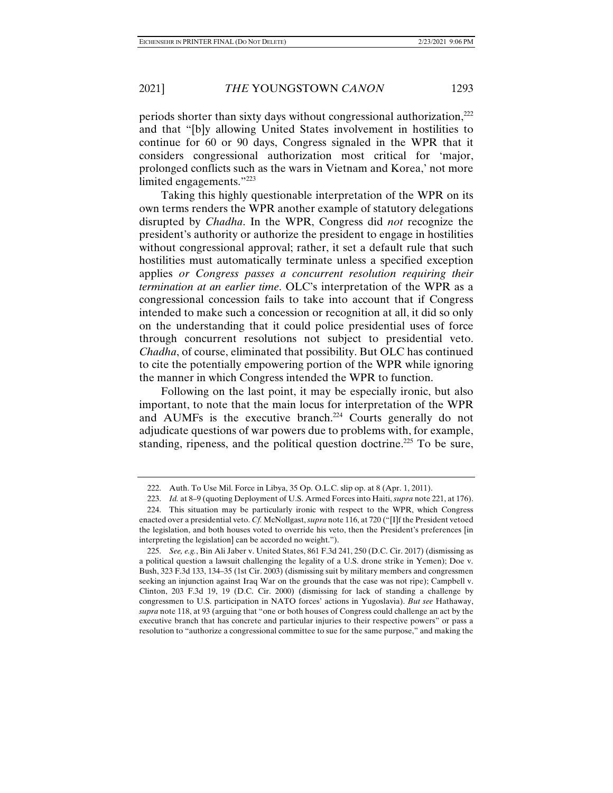periods shorter than sixty days without congressional authorization,222 and that "[b]y allowing United States involvement in hostilities to continue for 60 or 90 days, Congress signaled in the WPR that it considers congressional authorization most critical for 'major, prolonged conflicts such as the wars in Vietnam and Korea,' not more limited engagements."223

Taking this highly questionable interpretation of the WPR on its own terms renders the WPR another example of statutory delegations disrupted by *Chadha*. In the WPR, Congress did *not* recognize the president's authority or authorize the president to engage in hostilities without congressional approval; rather, it set a default rule that such hostilities must automatically terminate unless a specified exception applies *or Congress passes a concurrent resolution requiring their termination at an earlier time*. OLC's interpretation of the WPR as a congressional concession fails to take into account that if Congress intended to make such a concession or recognition at all, it did so only on the understanding that it could police presidential uses of force through concurrent resolutions not subject to presidential veto. *Chadha*, of course, eliminated that possibility. But OLC has continued to cite the potentially empowering portion of the WPR while ignoring the manner in which Congress intended the WPR to function.

Following on the last point, it may be especially ironic, but also important, to note that the main locus for interpretation of the WPR and AUMFs is the executive branch.<sup>224</sup> Courts generally do not adjudicate questions of war powers due to problems with, for example, standing, ripeness, and the political question doctrine.<sup>225</sup> To be sure,

 <sup>222.</sup> Auth. To Use Mil. Force in Libya, 35 Op. O.L.C. slip op. at 8 (Apr. 1, 2011).

 <sup>223.</sup> *Id.* at 8–9 (quoting Deployment of U.S. Armed Forces into Haiti, *supra* note 221, at 176).

 <sup>224.</sup> This situation may be particularly ironic with respect to the WPR, which Congress enacted over a presidential veto. *Cf.* McNollgast, *supra* note 116, at 720 ("[I]f the President vetoed the legislation, and both houses voted to override his veto, then the President's preferences [in interpreting the legislation] can be accorded no weight.").

 <sup>225.</sup> *See, e.g.*, Bin Ali Jaber v. United States, 861 F.3d 241, 250 (D.C. Cir. 2017) (dismissing as a political question a lawsuit challenging the legality of a U.S. drone strike in Yemen); Doe v. Bush, 323 F.3d 133, 134–35 (1st Cir. 2003) (dismissing suit by military members and congressmen seeking an injunction against Iraq War on the grounds that the case was not ripe); Campbell v. Clinton, 203 F.3d 19, 19 (D.C. Cir. 2000) (dismissing for lack of standing a challenge by congressmen to U.S. participation in NATO forces' actions in Yugoslavia). *But see* Hathaway, *supra* note 118, at 93 (arguing that "one or both houses of Congress could challenge an act by the executive branch that has concrete and particular injuries to their respective powers" or pass a resolution to "authorize a congressional committee to sue for the same purpose," and making the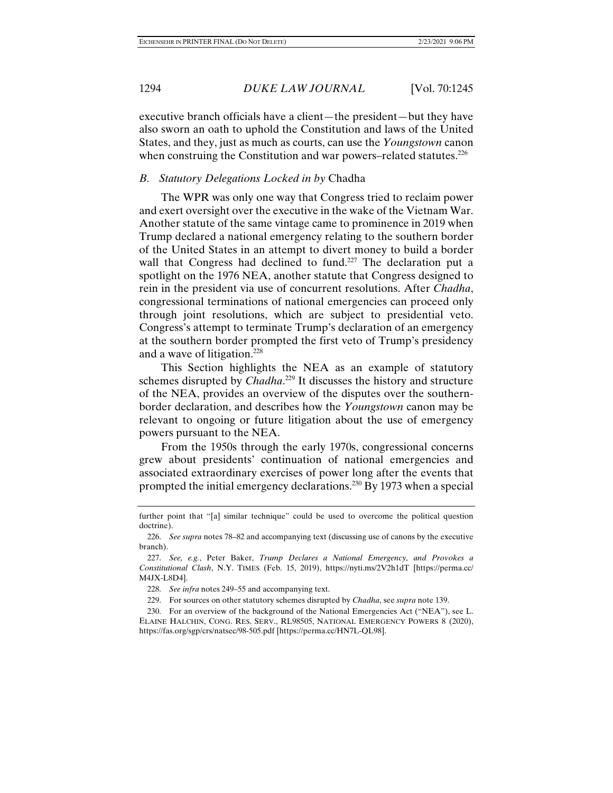executive branch officials have a client—the president—but they have also sworn an oath to uphold the Constitution and laws of the United States, and they, just as much as courts, can use the *Youngstown* canon when construing the Constitution and war powers–related statutes.<sup>226</sup>

### *B. Statutory Delegations Locked in by* Chadha

The WPR was only one way that Congress tried to reclaim power and exert oversight over the executive in the wake of the Vietnam War. Another statute of the same vintage came to prominence in 2019 when Trump declared a national emergency relating to the southern border of the United States in an attempt to divert money to build a border wall that Congress had declined to fund.<sup>227</sup> The declaration put a spotlight on the 1976 NEA, another statute that Congress designed to rein in the president via use of concurrent resolutions. After *Chadha*, congressional terminations of national emergencies can proceed only through joint resolutions, which are subject to presidential veto. Congress's attempt to terminate Trump's declaration of an emergency at the southern border prompted the first veto of Trump's presidency and a wave of litigation.228

This Section highlights the NEA as an example of statutory schemes disrupted by *Chadha*. <sup>229</sup> It discusses the history and structure of the NEA, provides an overview of the disputes over the southernborder declaration, and describes how the *Youngstown* canon may be relevant to ongoing or future litigation about the use of emergency powers pursuant to the NEA.

From the 1950s through the early 1970s, congressional concerns grew about presidents' continuation of national emergencies and associated extraordinary exercises of power long after the events that prompted the initial emergency declarations.230 By 1973 when a special

229. For sources on other statutory schemes disrupted by *Chadha*, see *supra* note 139.

further point that "[a] similar technique" could be used to overcome the political question doctrine).

 <sup>226.</sup> *See supra* notes 78–82 and accompanying text (discussing use of canons by the executive branch).

 <sup>227.</sup> *See, e.g.*, Peter Baker, *Trump Declares a National Emergency, and Provokes a Constitutional Clash*, N.Y. TIMES (Feb. 15, 2019), https://nyti.ms/2V2h1dT [https://perma.cc/ M4JX-L8D4].

 <sup>228.</sup> *See infra* notes 249–55 and accompanying text.

 <sup>230.</sup> For an overview of the background of the National Emergencies Act ("NEA"), see L. ELAINE HALCHIN, CONG. RES. SERV., RL98505, NATIONAL EMERGENCY POWERS 8 (2020), https://fas.org/sgp/crs/natsec/98-505.pdf [https://perma.cc/HN7L-QL98].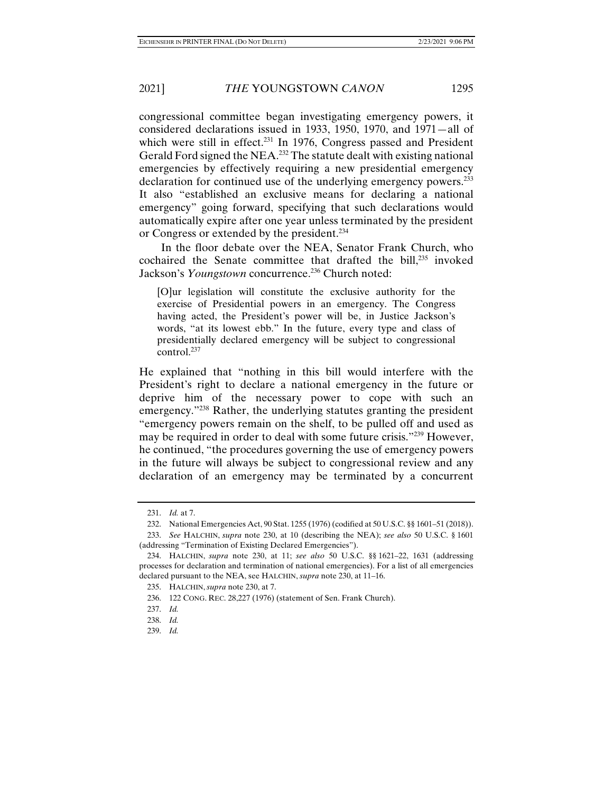congressional committee began investigating emergency powers, it considered declarations issued in 1933, 1950, 1970, and 1971—all of which were still in effect.<sup>231</sup> In 1976, Congress passed and President Gerald Ford signed the NEA.<sup>232</sup> The statute dealt with existing national emergencies by effectively requiring a new presidential emergency declaration for continued use of the underlying emergency powers.<sup>233</sup> It also "established an exclusive means for declaring a national emergency" going forward, specifying that such declarations would automatically expire after one year unless terminated by the president or Congress or extended by the president.234

In the floor debate over the NEA, Senator Frank Church, who cochaired the Senate committee that drafted the bill, $^{235}$  invoked Jackson's *Youngstown* concurrence.<sup>236</sup> Church noted:

[O]ur legislation will constitute the exclusive authority for the exercise of Presidential powers in an emergency. The Congress having acted, the President's power will be, in Justice Jackson's words, "at its lowest ebb." In the future, every type and class of presidentially declared emergency will be subject to congressional control.<sup>237</sup>

He explained that "nothing in this bill would interfere with the President's right to declare a national emergency in the future or deprive him of the necessary power to cope with such an emergency."238 Rather, the underlying statutes granting the president "emergency powers remain on the shelf, to be pulled off and used as may be required in order to deal with some future crisis."239 However, he continued, "the procedures governing the use of emergency powers in the future will always be subject to congressional review and any declaration of an emergency may be terminated by a concurrent

 <sup>231.</sup> *Id.* at 7.

 <sup>232.</sup> National Emergencies Act, 90 Stat. 1255 (1976) (codified at 50 U.S.C. §§ 1601–51 (2018)).

 <sup>233.</sup> *See* HALCHIN, *supra* note 230, at 10 (describing the NEA); *see also* 50 U.S.C. § 1601 (addressing "Termination of Existing Declared Emergencies").

 <sup>234.</sup> HALCHIN, *supra* note 230, at 11; *see also* 50 U.S.C. §§ 1621–22, 1631 (addressing processes for declaration and termination of national emergencies). For a list of all emergencies declared pursuant to the NEA, see HALCHIN, *supra* note 230, at 11–16.

 <sup>235.</sup> HALCHIN, *supra* note 230, at 7.

 <sup>236. 122</sup> CONG. REC. 28,227 (1976) (statement of Sen. Frank Church).

 <sup>237.</sup> *Id.*

 <sup>238.</sup> *Id.*

 <sup>239.</sup> *Id.*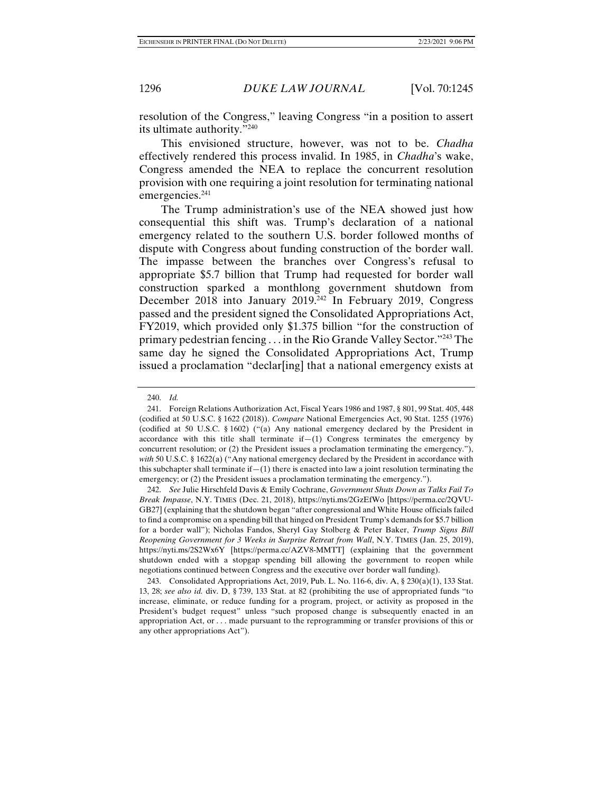resolution of the Congress," leaving Congress "in a position to assert its ultimate authority."240

This envisioned structure, however, was not to be. *Chadha* effectively rendered this process invalid. In 1985, in *Chadha*'s wake, Congress amended the NEA to replace the concurrent resolution provision with one requiring a joint resolution for terminating national emergencies.<sup>241</sup>

The Trump administration's use of the NEA showed just how consequential this shift was. Trump's declaration of a national emergency related to the southern U.S. border followed months of dispute with Congress about funding construction of the border wall. The impasse between the branches over Congress's refusal to appropriate \$5.7 billion that Trump had requested for border wall construction sparked a monthlong government shutdown from December 2018 into January 2019.<sup>242</sup> In February 2019, Congress passed and the president signed the Consolidated Appropriations Act, FY2019, which provided only \$1.375 billion "for the construction of primary pedestrian fencing . . . in the Rio Grande Valley Sector."243 The same day he signed the Consolidated Appropriations Act, Trump issued a proclamation "declar[ing] that a national emergency exists at

 <sup>240.</sup> *Id.*

 <sup>241.</sup> Foreign Relations Authorization Act, Fiscal Years 1986 and 1987, § 801, 99 Stat. 405, 448 (codified at 50 U.S.C. § 1622 (2018)). *Compare* National Emergencies Act, 90 Stat. 1255 (1976) (codified at 50 U.S.C. § 1602) ("(a) Any national emergency declared by the President in accordance with this title shall terminate  $if-(1)$  Congress terminates the emergency by concurrent resolution; or (2) the President issues a proclamation terminating the emergency."), *with* 50 U.S.C. § 1622(a) ("Any national emergency declared by the President in accordance with this subchapter shall terminate if  $-(1)$  there is enacted into law a joint resolution terminating the emergency; or (2) the President issues a proclamation terminating the emergency.").

 <sup>242.</sup> *See* Julie Hirschfeld Davis & Emily Cochrane, *Government Shuts Down as Talks Fail To Break Impasse*, N.Y. TIMES (Dec. 21, 2018), https://nyti.ms/2GzEfWo [https://perma.cc/2QVU-GB27] (explaining that the shutdown began "after congressional and White House officials failed to find a compromise on a spending bill that hinged on President Trump's demands for \$5.7 billion for a border wall"); Nicholas Fandos, Sheryl Gay Stolberg & Peter Baker, *Trump Signs Bill Reopening Government for 3 Weeks in Surprise Retreat from Wall*, N.Y. TIMES (Jan. 25, 2019), https://nyti.ms/2S2Wx6Y [https://perma.cc/AZV8-MMTT] (explaining that the government shutdown ended with a stopgap spending bill allowing the government to reopen while negotiations continued between Congress and the executive over border wall funding).

 <sup>243.</sup> Consolidated Appropriations Act, 2019, Pub. L. No. 116-6, div. A, § 230(a)(1), 133 Stat. 13, 28; *see also id.* div. D, § 739, 133 Stat. at 82 (prohibiting the use of appropriated funds "to increase, eliminate, or reduce funding for a program, project, or activity as proposed in the President's budget request" unless "such proposed change is subsequently enacted in an appropriation Act, or . . . made pursuant to the reprogramming or transfer provisions of this or any other appropriations Act").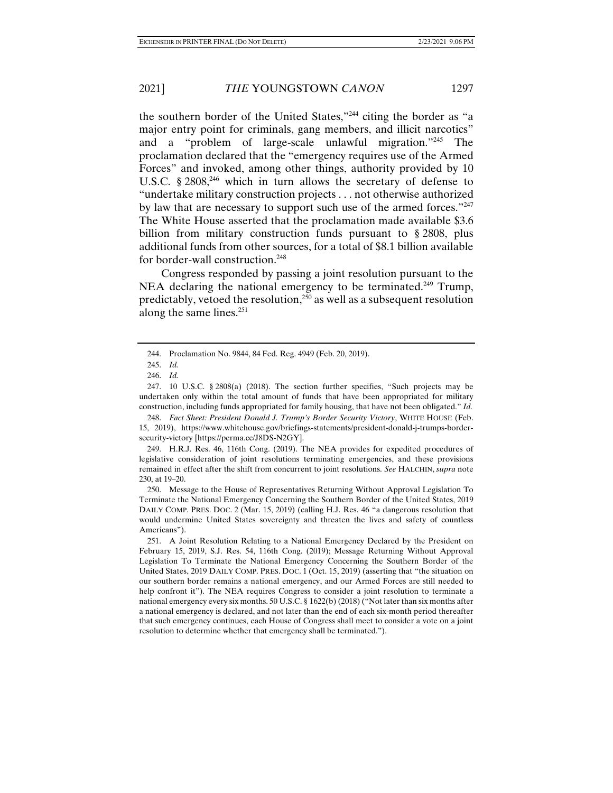the southern border of the United States,"244 citing the border as "a major entry point for criminals, gang members, and illicit narcotics" and a "problem of large-scale unlawful migration."245 The proclamation declared that the "emergency requires use of the Armed Forces" and invoked, among other things, authority provided by 10 U.S.C. § 2808,<sup>246</sup> which in turn allows the secretary of defense to "undertake military construction projects . . . not otherwise authorized by law that are necessary to support such use of the armed forces."<sup>247</sup> The White House asserted that the proclamation made available \$3.6 billion from military construction funds pursuant to § 2808, plus additional funds from other sources, for a total of \$8.1 billion available for border-wall construction.<sup>248</sup>

Congress responded by passing a joint resolution pursuant to the NEA declaring the national emergency to be terminated.<sup>249</sup> Trump, predictably, vetoed the resolution, $^{250}$  as well as a subsequent resolution along the same lines. $251$ 

 248. *Fact Sheet: President Donald J. Trump's Border Security Victory*, WHITE HOUSE (Feb. 15, 2019), https://www.whitehouse.gov/briefings-statements/president-donald-j-trumps-bordersecurity-victory [https://perma.cc/J8DS-N2GY].

 249. H.R.J. Res. 46, 116th Cong. (2019). The NEA provides for expedited procedures of legislative consideration of joint resolutions terminating emergencies, and these provisions remained in effect after the shift from concurrent to joint resolutions. *See* HALCHIN, *supra* note 230, at 19–20.

 250. Message to the House of Representatives Returning Without Approval Legislation To Terminate the National Emergency Concerning the Southern Border of the United States, 2019 DAILY COMP. PRES. DOC. 2 (Mar. 15, 2019) (calling H.J. Res. 46 "a dangerous resolution that would undermine United States sovereignty and threaten the lives and safety of countless Americans").

 251. A Joint Resolution Relating to a National Emergency Declared by the President on February 15, 2019, S.J. Res. 54, 116th Cong. (2019); Message Returning Without Approval Legislation To Terminate the National Emergency Concerning the Southern Border of the United States, 2019 DAILY COMP. PRES. DOC. 1 (Oct. 15, 2019) (asserting that "the situation on our southern border remains a national emergency, and our Armed Forces are still needed to help confront it"). The NEA requires Congress to consider a joint resolution to terminate a national emergency every six months. 50 U.S.C. § 1622(b) (2018) ("Not later than six months after a national emergency is declared, and not later than the end of each six-month period thereafter that such emergency continues, each House of Congress shall meet to consider a vote on a joint resolution to determine whether that emergency shall be terminated.").

 <sup>244.</sup> Proclamation No. 9844, 84 Fed. Reg. 4949 (Feb. 20, 2019).

 <sup>245.</sup> *Id.*

 <sup>246.</sup> *Id.*

 <sup>247. 10</sup> U.S.C. § 2808(a) (2018). The section further specifies, "Such projects may be undertaken only within the total amount of funds that have been appropriated for military construction, including funds appropriated for family housing, that have not been obligated." *Id.*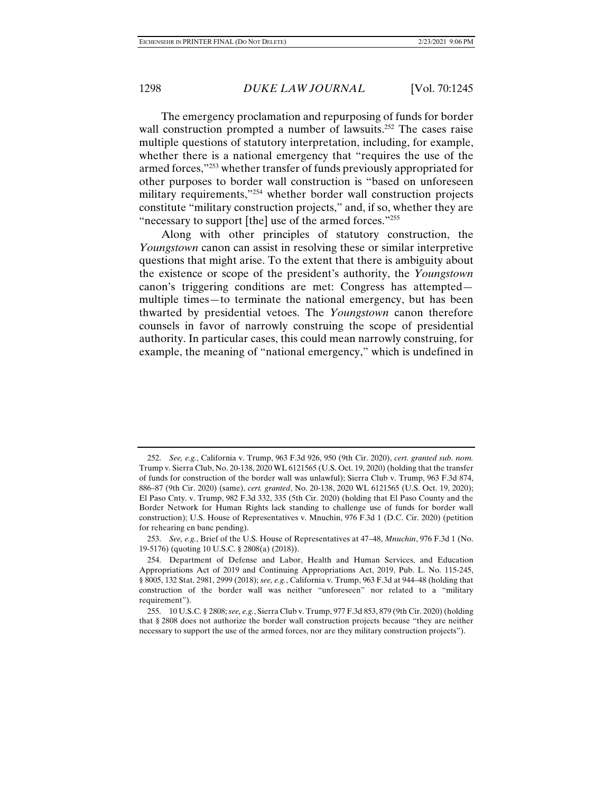The emergency proclamation and repurposing of funds for border wall construction prompted a number of lawsuits.<sup>252</sup> The cases raise multiple questions of statutory interpretation, including, for example, whether there is a national emergency that "requires the use of the armed forces,"253 whether transfer of funds previously appropriated for other purposes to border wall construction is "based on unforeseen military requirements,"<sup>254</sup> whether border wall construction projects constitute "military construction projects," and, if so, whether they are "necessary to support [the] use of the armed forces."255

Along with other principles of statutory construction, the *Youngstown* canon can assist in resolving these or similar interpretive questions that might arise. To the extent that there is ambiguity about the existence or scope of the president's authority, the *Youngstown*  canon's triggering conditions are met: Congress has attempted multiple times—to terminate the national emergency, but has been thwarted by presidential vetoes. The *Youngstown* canon therefore counsels in favor of narrowly construing the scope of presidential authority. In particular cases, this could mean narrowly construing, for example, the meaning of "national emergency," which is undefined in

 <sup>252.</sup> *See, e.g.*, California v. Trump, 963 F.3d 926, 950 (9th Cir. 2020), *cert. granted sub. nom.*  Trump v. Sierra Club, No. 20-138, 2020 WL 6121565 (U.S. Oct. 19, 2020) (holding that the transfer of funds for construction of the border wall was unlawful); Sierra Club v. Trump, 963 F.3d 874, 886–87 (9th Cir. 2020) (same), *cert. granted*, No. 20-138, 2020 WL 6121565 (U.S. Oct. 19, 2020); El Paso Cnty. v. Trump, 982 F.3d 332, 335 (5th Cir. 2020) (holding that El Paso County and the Border Network for Human Rights lack standing to challenge use of funds for border wall construction); U.S. House of Representatives v. Mnuchin, 976 F.3d 1 (D.C. Cir. 2020) (petition for rehearing en banc pending).

 <sup>253.</sup> *See, e.g.*, Brief of the U.S. House of Representatives at 47–48, *Mnuchin*, 976 F.3d 1 (No. 19-5176) (quoting 10 U.S.C. § 2808(a) (2018)).

 <sup>254.</sup> Department of Defense and Labor, Health and Human Services, and Education Appropriations Act of 2019 and Continuing Appropriations Act, 2019, Pub. L. No. 115-245, § 8005, 132 Stat. 2981, 2999 (2018); *see, e.g.*, California v. Trump, 963 F.3d at 944–48 (holding that construction of the border wall was neither "unforeseen" nor related to a "military requirement").

 <sup>255. 10</sup> U.S.C. § 2808; *see, e.g.*, Sierra Club v. Trump, 977 F.3d 853, 879 (9th Cir. 2020) (holding that § 2808 does not authorize the border wall construction projects because "they are neither necessary to support the use of the armed forces, nor are they military construction projects").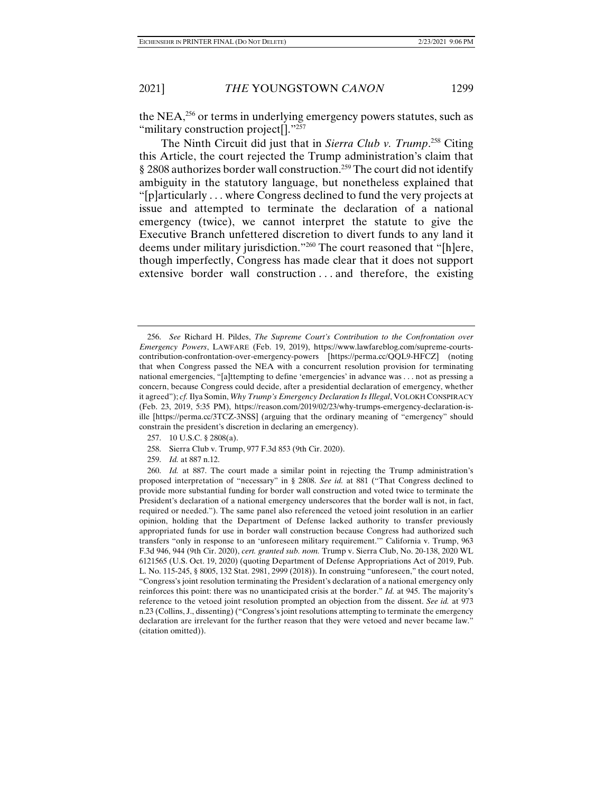the NEA, $^{256}$  or terms in underlying emergency powers statutes, such as "military construction project[]."<sup>257</sup>

The Ninth Circuit did just that in *Sierra Club v. Trump*. 258 Citing this Article, the court rejected the Trump administration's claim that § 2808 authorizes border wall construction.259 The court did not identify ambiguity in the statutory language, but nonetheless explained that "[p]articularly . . . where Congress declined to fund the very projects at issue and attempted to terminate the declaration of a national emergency (twice), we cannot interpret the statute to give the Executive Branch unfettered discretion to divert funds to any land it deems under military jurisdiction."260 The court reasoned that "[h]ere, though imperfectly, Congress has made clear that it does not support extensive border wall construction . . . and therefore, the existing

- 257. 10 U.S.C. § 2808(a).
- 258. Sierra Club v. Trump, 977 F.3d 853 (9th Cir. 2020).
- 259. *Id.* at 887 n.12.

 <sup>256.</sup> *See* Richard H. Pildes, *The Supreme Court's Contribution to the Confrontation over Emergency Powers*, LAWFARE (Feb. 19, 2019), https://www.lawfareblog.com/supreme-courtscontribution-confrontation-over-emergency-powers [https://perma.cc/QQL9-HFCZ] (noting that when Congress passed the NEA with a concurrent resolution provision for terminating national emergencies, "[a]ttempting to define 'emergencies' in advance was . . . not as pressing a concern, because Congress could decide, after a presidential declaration of emergency, whether it agreed"); *cf.* Ilya Somin, *Why Trump's Emergency Declaration Is Illegal*, VOLOKH CONSPIRACY (Feb. 23, 2019, 5:35 PM), https://reason.com/2019/02/23/why-trumps-emergency-declaration-isille [https://perma.cc/3TCZ-3NSS] (arguing that the ordinary meaning of "emergency" should constrain the president's discretion in declaring an emergency).

 <sup>260.</sup> *Id.* at 887. The court made a similar point in rejecting the Trump administration's proposed interpretation of "necessary" in § 2808. *See id.* at 881 ("That Congress declined to provide more substantial funding for border wall construction and voted twice to terminate the President's declaration of a national emergency underscores that the border wall is not, in fact, required or needed."). The same panel also referenced the vetoed joint resolution in an earlier opinion, holding that the Department of Defense lacked authority to transfer previously appropriated funds for use in border wall construction because Congress had authorized such transfers "only in response to an 'unforeseen military requirement.'" California v. Trump, 963 F.3d 946, 944 (9th Cir. 2020), *cert. granted sub. nom.* Trump v. Sierra Club, No. 20-138, 2020 WL 6121565 (U.S. Oct. 19, 2020) (quoting Department of Defense Appropriations Act of 2019, Pub. L. No. 115-245, § 8005, 132 Stat. 2981, 2999 (2018)). In construing "unforeseen," the court noted, "Congress's joint resolution terminating the President's declaration of a national emergency only reinforces this point: there was no unanticipated crisis at the border." *Id.* at 945. The majority's reference to the vetoed joint resolution prompted an objection from the dissent. *See id.* at 973 n.23 (Collins, J., dissenting) ("Congress's joint resolutions attempting to terminate the emergency declaration are irrelevant for the further reason that they were vetoed and never became law." (citation omitted)).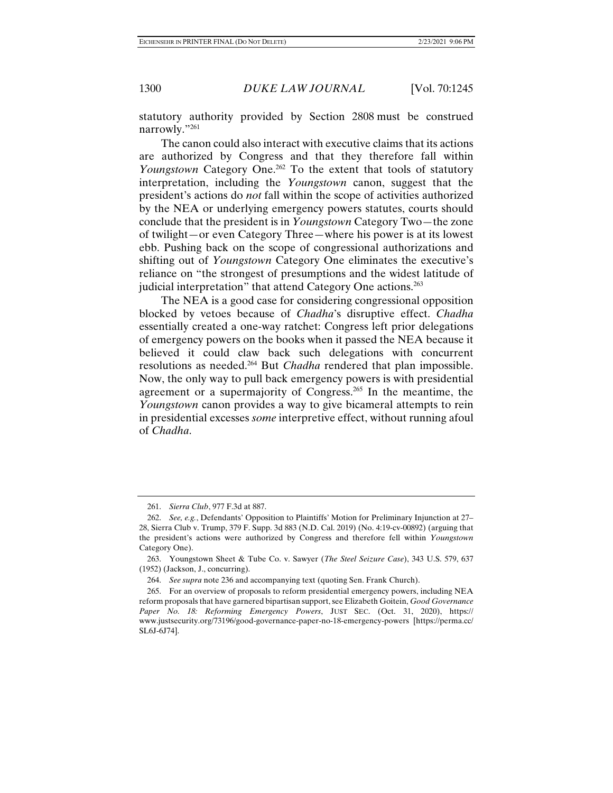statutory authority provided by Section 2808 must be construed narrowly."261

The canon could also interact with executive claims that its actions are authorized by Congress and that they therefore fall within *Youngstown* Category One.262 To the extent that tools of statutory interpretation, including the *Youngstown* canon, suggest that the president's actions do *not* fall within the scope of activities authorized by the NEA or underlying emergency powers statutes, courts should conclude that the president is in *Youngstown* Category Two—the zone of twilight—or even Category Three—where his power is at its lowest ebb. Pushing back on the scope of congressional authorizations and shifting out of *Youngstown* Category One eliminates the executive's reliance on "the strongest of presumptions and the widest latitude of judicial interpretation" that attend Category One actions.<sup>263</sup>

The NEA is a good case for considering congressional opposition blocked by vetoes because of *Chadha*'s disruptive effect. *Chadha* essentially created a one-way ratchet: Congress left prior delegations of emergency powers on the books when it passed the NEA because it believed it could claw back such delegations with concurrent resolutions as needed.264 But *Chadha* rendered that plan impossible. Now, the only way to pull back emergency powers is with presidential agreement or a supermajority of Congress.265 In the meantime, the *Youngstown* canon provides a way to give bicameral attempts to rein in presidential excesses *some* interpretive effect, without running afoul of *Chadha*.

 <sup>261.</sup> *Sierra Club*, 977 F.3d at 887.

 <sup>262.</sup> *See, e.g.*, Defendants' Opposition to Plaintiffs' Motion for Preliminary Injunction at 27– 28, Sierra Club v. Trump, 379 F. Supp. 3d 883 (N.D. Cal. 2019) (No. 4:19-cv-00892) (arguing that the president's actions were authorized by Congress and therefore fell within *Youngstown* Category One).

 <sup>263.</sup> Youngstown Sheet & Tube Co. v. Sawyer (*The Steel Seizure Case*), 343 U.S. 579, 637 (1952) (Jackson, J., concurring).

 <sup>264.</sup> *See supra* note 236 and accompanying text (quoting Sen. Frank Church).

 <sup>265.</sup> For an overview of proposals to reform presidential emergency powers, including NEA reform proposals that have garnered bipartisan support, see Elizabeth Goitein, *Good Governance Paper No. 18: Reforming Emergency Powers*, JUST SEC. (Oct. 31, 2020), https:// www.justsecurity.org/73196/good-governance-paper-no-18-emergency-powers [https://perma.cc/ SL6J-6J74].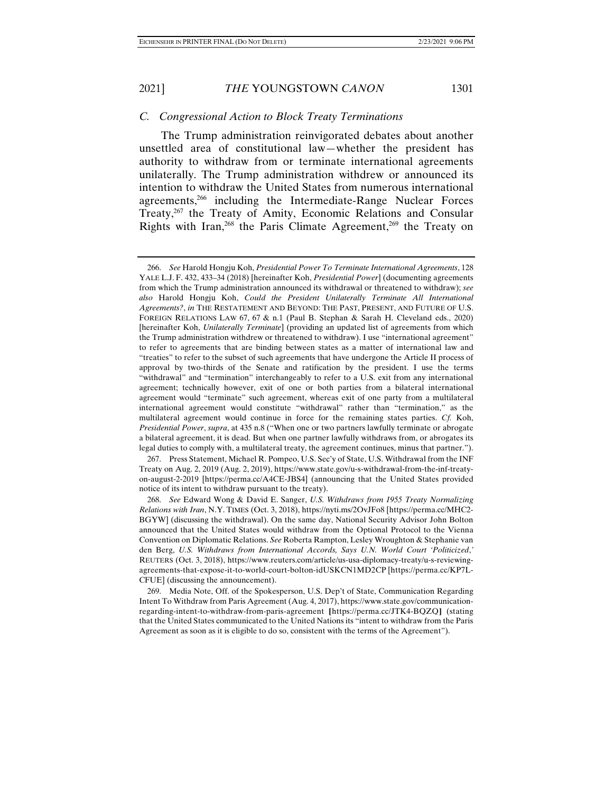### *C. Congressional Action to Block Treaty Terminations*

The Trump administration reinvigorated debates about another unsettled area of constitutional law—whether the president has authority to withdraw from or terminate international agreements unilaterally. The Trump administration withdrew or announced its intention to withdraw the United States from numerous international agreements,<sup>266</sup> including the Intermediate-Range Nuclear Forces Treaty,<sup>267</sup> the Treaty of Amity, Economic Relations and Consular Rights with Iran,<sup>268</sup> the Paris Climate Agreement,<sup>269</sup> the Treaty on

 267. Press Statement, Michael R. Pompeo, U.S. Sec'y of State, U.S. Withdrawal from the INF Treaty on Aug. 2, 2019 (Aug. 2, 2019), https://www.state.gov/u-s-withdrawal-from-the-inf-treatyon-august-2-2019 [https://perma.cc/A4CE-JBS4] (announcing that the United States provided notice of its intent to withdraw pursuant to the treaty).

 268. *See* Edward Wong & David E. Sanger, *U.S. Withdraws from 1955 Treaty Normalizing Relations with Iran*, N.Y. TIMES (Oct. 3, 2018), https://nyti.ms/2OvJFo8 [https://perma.cc/MHC2- BGYW] (discussing the withdrawal). On the same day, National Security Advisor John Bolton announced that the United States would withdraw from the Optional Protocol to the Vienna Convention on Diplomatic Relations. *See* Roberta Rampton, Lesley Wroughton & Stephanie van den Berg, *U.S. Withdraws from International Accords, Says U.N. World Court 'Politicized*,*'* REUTERS (Oct. 3, 2018), https://www.reuters.com/article/us-usa-diplomacy-treaty/u-s-reviewingagreements-that-expose-it-to-world-court-bolton-idUSKCN1MD2CP [https://perma.cc/KP7L-CFUE] (discussing the announcement).

 269. Media Note, Off. of the Spokesperson, U.S. Dep't of State, Communication Regarding Intent To Withdraw from Paris Agreement (Aug. 4, 2017), https://www.state.gov/communicationregarding-intent-to-withdraw-from-paris-agreement **[**https://perma.cc/JTK4-BQZQ**]** (stating that the United States communicated to the United Nations its "intent to withdraw from the Paris Agreement as soon as it is eligible to do so, consistent with the terms of the Agreement").

 <sup>266.</sup> *See* Harold Hongju Koh, *Presidential Power To Terminate International Agreements*, 128 YALE L.J. F. 432, 433–34 (2018) [hereinafter Koh, *Presidential Power*] (documenting agreements from which the Trump administration announced its withdrawal or threatened to withdraw); *see also* Harold Hongju Koh, *Could the President Unilaterally Terminate All International Agreements?*, *in* THE RESTATEMENT AND BEYOND: THE PAST, PRESENT, AND FUTURE OF U.S. FOREIGN RELATIONS LAW 67, 67 & n.1 (Paul B. Stephan & Sarah H. Cleveland eds., 2020) [hereinafter Koh, *Unilaterally Terminate*] (providing an updated list of agreements from which the Trump administration withdrew or threatened to withdraw). I use "international agreement" to refer to agreements that are binding between states as a matter of international law and "treaties" to refer to the subset of such agreements that have undergone the Article II process of approval by two-thirds of the Senate and ratification by the president. I use the terms "withdrawal" and "termination" interchangeably to refer to a U.S. exit from any international agreement; technically however, exit of one or both parties from a bilateral international agreement would "terminate" such agreement, whereas exit of one party from a multilateral international agreement would constitute "withdrawal" rather than "termination," as the multilateral agreement would continue in force for the remaining states parties. *Cf.* Koh, *Presidential Power*, *supra*, at 435 n.8 ("When one or two partners lawfully terminate or abrogate a bilateral agreement, it is dead. But when one partner lawfully withdraws from, or abrogates its legal duties to comply with, a multilateral treaty, the agreement continues, minus that partner.").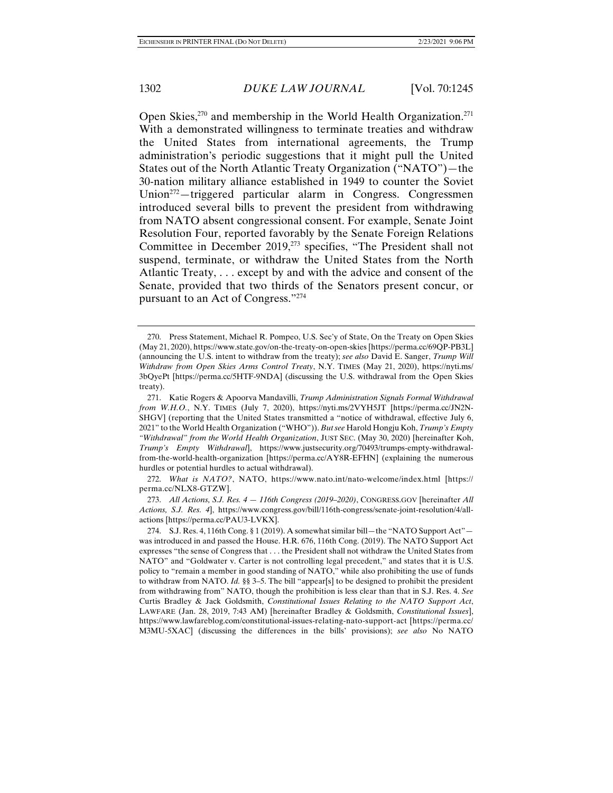Open Skies, $270$  and membership in the World Health Organization.<sup>271</sup> With a demonstrated willingness to terminate treaties and withdraw the United States from international agreements, the Trump administration's periodic suggestions that it might pull the United States out of the North Atlantic Treaty Organization ("NATO")—the 30-nation military alliance established in 1949 to counter the Soviet Union<sup> $272$ </sup>—triggered particular alarm in Congress. Congressmen introduced several bills to prevent the president from withdrawing from NATO absent congressional consent. For example, Senate Joint Resolution Four, reported favorably by the Senate Foreign Relations Committee in December 2019,<sup>273</sup> specifies, "The President shall not suspend, terminate, or withdraw the United States from the North Atlantic Treaty, . . . except by and with the advice and consent of the Senate, provided that two thirds of the Senators present concur, or pursuant to an Act of Congress."274

 272. *What is NATO?*, NATO, https://www.nato.int/nato-welcome/index.html [https:// perma.cc/NLX8-GTZW].

 273. *All Actions, S.J. Res. 4 — 116th Congress (2019–2020)*, CONGRESS.GOV [hereinafter *All Actions, S.J. Res. 4*], https://www.congress.gov/bill/116th-congress/senate-joint-resolution/4/allactions [https://perma.cc/PAU3-LVKX].

 <sup>270.</sup> Press Statement, Michael R. Pompeo, U.S. Sec'y of State, On the Treaty on Open Skies (May 21, 2020), https://www.state.gov/on-the-treaty-on-open-skies [https://perma.cc/69QP-PB3L] (announcing the U.S. intent to withdraw from the treaty); *see also* David E. Sanger, *Trump Will Withdraw from Open Skies Arms Control Treaty*, N.Y. TIMES (May 21, 2020), https://nyti.ms/ 3bQyePt [https://perma.cc/5HTF-9NDA] (discussing the U.S. withdrawal from the Open Skies treaty).

 <sup>271.</sup> Katie Rogers & Apoorva Mandavilli, *Trump Administration Signals Formal Withdrawal from W.H.O.*, N.Y. TIMES (July 7, 2020), https://nyti.ms/2VYH5JT [https://perma.cc/JN2N-SHGV] (reporting that the United States transmitted a "notice of withdrawal, effective July 6, 2021" to the World Health Organization ("WHO")). *But see* Harold Hongju Koh, *Trump's Empty "Withdrawal" from the World Health Organization*, JUST SEC. (May 30, 2020) [hereinafter Koh, *Trump's Empty Withdrawal*], https://www.justsecurity.org/70493/trumps-empty-withdrawalfrom-the-world-health-organization [https://perma.cc/AY8R-EFHN] (explaining the numerous hurdles or potential hurdles to actual withdrawal).

 <sup>274.</sup> S.J. Res. 4, 116th Cong. § 1 (2019). A somewhat similar bill—the "NATO Support Act" was introduced in and passed the House. H.R. 676, 116th Cong. (2019). The NATO Support Act expresses "the sense of Congress that . . . the President shall not withdraw the United States from NATO" and "Goldwater v. Carter is not controlling legal precedent," and states that it is U.S. policy to "remain a member in good standing of NATO," while also prohibiting the use of funds to withdraw from NATO. *Id.* §§ 3–5. The bill "appear[s] to be designed to prohibit the president from withdrawing from" NATO, though the prohibition is less clear than that in S.J. Res. 4. *See*  Curtis Bradley & Jack Goldsmith, *Constitutional Issues Relating to the NATO Support Act*, LAWFARE (Jan. 28, 2019, 7:43 AM) [hereinafter Bradley & Goldsmith, *Constitutional Issues*], https://www.lawfareblog.com/constitutional-issues-relating-nato-support-act [https://perma.cc/ M3MU-5XAC] (discussing the differences in the bills' provisions); *see also* No NATO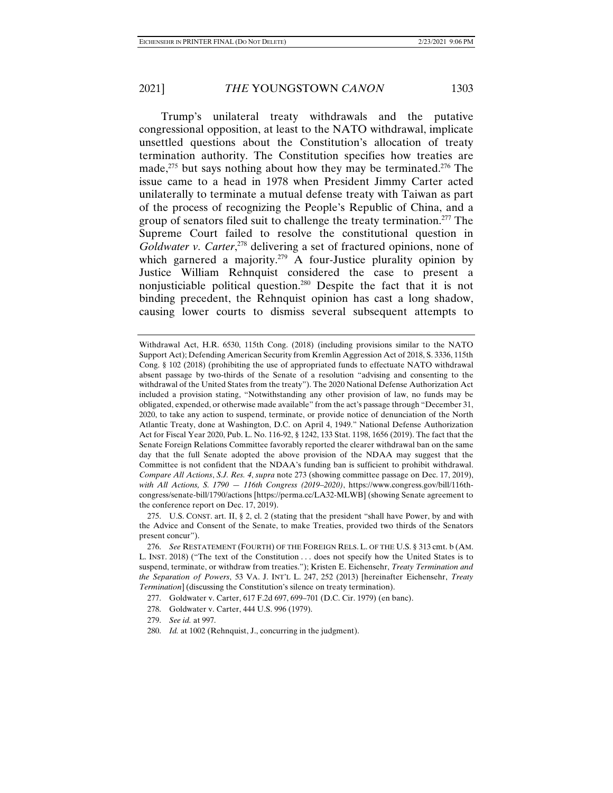Trump's unilateral treaty withdrawals and the putative congressional opposition, at least to the NATO withdrawal, implicate unsettled questions about the Constitution's allocation of treaty termination authority. The Constitution specifies how treaties are made,  $275$  but says nothing about how they may be terminated.  $276$  The issue came to a head in 1978 when President Jimmy Carter acted unilaterally to terminate a mutual defense treaty with Taiwan as part of the process of recognizing the People's Republic of China, and a group of senators filed suit to challenge the treaty termination.277 The Supreme Court failed to resolve the constitutional question in Goldwater v. Carter,<sup>278</sup> delivering a set of fractured opinions, none of which garnered a majority.<sup>279</sup> A four-Justice plurality opinion by Justice William Rehnquist considered the case to present a nonjusticiable political question.280 Despite the fact that it is not binding precedent, the Rehnquist opinion has cast a long shadow, causing lower courts to dismiss several subsequent attempts to

Withdrawal Act, H.R. 6530, 115th Cong. (2018) (including provisions similar to the NATO Support Act); Defending American Security from Kremlin Aggression Act of 2018, S. 3336, 115th Cong. § 102 (2018) (prohibiting the use of appropriated funds to effectuate NATO withdrawal absent passage by two-thirds of the Senate of a resolution "advising and consenting to the withdrawal of the United States from the treaty"). The 2020 National Defense Authorization Act included a provision stating, "Notwithstanding any other provision of law, no funds may be obligated, expended, or otherwise made available" from the act's passage through "December 31, 2020, to take any action to suspend, terminate, or provide notice of denunciation of the North Atlantic Treaty, done at Washington, D.C. on April 4, 1949." National Defense Authorization Act for Fiscal Year 2020, Pub. L. No. 116-92, § 1242, 133 Stat. 1198, 1656 (2019). The fact that the Senate Foreign Relations Committee favorably reported the clearer withdrawal ban on the same day that the full Senate adopted the above provision of the NDAA may suggest that the Committee is not confident that the NDAA's funding ban is sufficient to prohibit withdrawal. *Compare All Actions*, *S.J. Res. 4*, *supra* note 273 (showing committee passage on Dec. 17, 2019), *with All Actions, S. 1790 — 116th Congress (2019–2020)*, https://www.congress.gov/bill/116thcongress/senate-bill/1790/actions [https://perma.cc/LA32-MLWB] (showing Senate agreement to the conference report on Dec. 17, 2019).

 <sup>275.</sup> U.S. CONST. art. II, § 2, cl. 2 (stating that the president "shall have Power, by and with the Advice and Consent of the Senate, to make Treaties, provided two thirds of the Senators present concur").

 <sup>276.</sup> *See* RESTATEMENT (FOURTH) OF THE FOREIGN RELS. L. OF THE U.S. § 313 cmt. b (AM. L. INST. 2018) ("The text of the Constitution . . . does not specify how the United States is to suspend, terminate, or withdraw from treaties."); Kristen E. Eichensehr, *Treaty Termination and the Separation of Powers*, 53 VA. J. INT'L L. 247, 252 (2013) [hereinafter Eichensehr, *Treaty Termination*] (discussing the Constitution's silence on treaty termination).

 <sup>277.</sup> Goldwater v. Carter, 617 F.2d 697, 699–701 (D.C. Cir. 1979) (en banc).

 <sup>278.</sup> Goldwater v. Carter, 444 U.S. 996 (1979).

 <sup>279.</sup> *See id.* at 997.

 <sup>280.</sup> *Id.* at 1002 (Rehnquist, J., concurring in the judgment).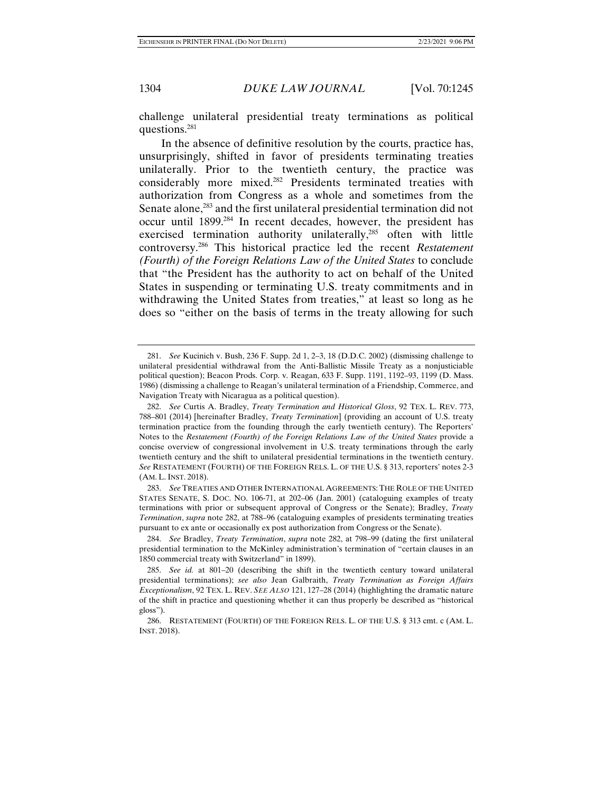challenge unilateral presidential treaty terminations as political questions.281

In the absence of definitive resolution by the courts, practice has, unsurprisingly, shifted in favor of presidents terminating treaties unilaterally. Prior to the twentieth century, the practice was considerably more mixed.282 Presidents terminated treaties with authorization from Congress as a whole and sometimes from the Senate alone,<sup>283</sup> and the first unilateral presidential termination did not occur until 1899.284 In recent decades, however, the president has exercised termination authority unilaterally,<sup>285</sup> often with little controversy.286 This historical practice led the recent *Restatement (Fourth) of the Foreign Relations Law of the United States* to conclude that "the President has the authority to act on behalf of the United States in suspending or terminating U.S. treaty commitments and in withdrawing the United States from treaties," at least so long as he does so "either on the basis of terms in the treaty allowing for such

 <sup>281.</sup> *See* Kucinich v. Bush, 236 F. Supp. 2d 1, 2–3, 18 (D.D.C. 2002) (dismissing challenge to unilateral presidential withdrawal from the Anti-Ballistic Missile Treaty as a nonjusticiable political question); Beacon Prods. Corp. v. Reagan, 633 F. Supp. 1191, 1192–93, 1199 (D. Mass. 1986) (dismissing a challenge to Reagan's unilateral termination of a Friendship, Commerce, and Navigation Treaty with Nicaragua as a political question).

 <sup>282.</sup> *See* Curtis A. Bradley, *Treaty Termination and Historical Gloss*, 92 TEX. L. REV. 773, 788–801 (2014) [hereinafter Bradley, *Treaty Termination*] (providing an account of U.S. treaty termination practice from the founding through the early twentieth century). The Reporters' Notes to the *Restatement (Fourth) of the Foreign Relations Law of the United States provide a* concise overview of congressional involvement in U.S. treaty terminations through the early twentieth century and the shift to unilateral presidential terminations in the twentieth century. *See* RESTATEMENT (FOURTH) OF THE FOREIGN RELS. L. OF THE U.S. § 313, reporters' notes 2-3 (AM. L. INST. 2018).

 <sup>283.</sup> *See* TREATIES AND OTHER INTERNATIONAL AGREEMENTS:THE ROLE OF THE UNITED STATES SENATE, S. DOC. NO. 106-71, at 202–06 (Jan. 2001) (cataloguing examples of treaty terminations with prior or subsequent approval of Congress or the Senate); Bradley, *Treaty Termination*, *supra* note 282, at 788–96 (cataloguing examples of presidents terminating treaties pursuant to ex ante or occasionally ex post authorization from Congress or the Senate).

 <sup>284.</sup> *See* Bradley, *Treaty Termination*, *supra* note 282, at 798–99 (dating the first unilateral presidential termination to the McKinley administration's termination of "certain clauses in an 1850 commercial treaty with Switzerland" in 1899).

 <sup>285.</sup> *See id.* at 801–20 (describing the shift in the twentieth century toward unilateral presidential terminations); *see also* Jean Galbraith, *Treaty Termination as Foreign Affairs Exceptionalism*, 92 TEX. L. REV. *SEE ALSO* 121, 127–28 (2014) (highlighting the dramatic nature of the shift in practice and questioning whether it can thus properly be described as "historical gloss").

 <sup>286.</sup> RESTATEMENT (FOURTH) OF THE FOREIGN RELS. L. OF THE U.S. § 313 cmt. c (AM. L. INST. 2018).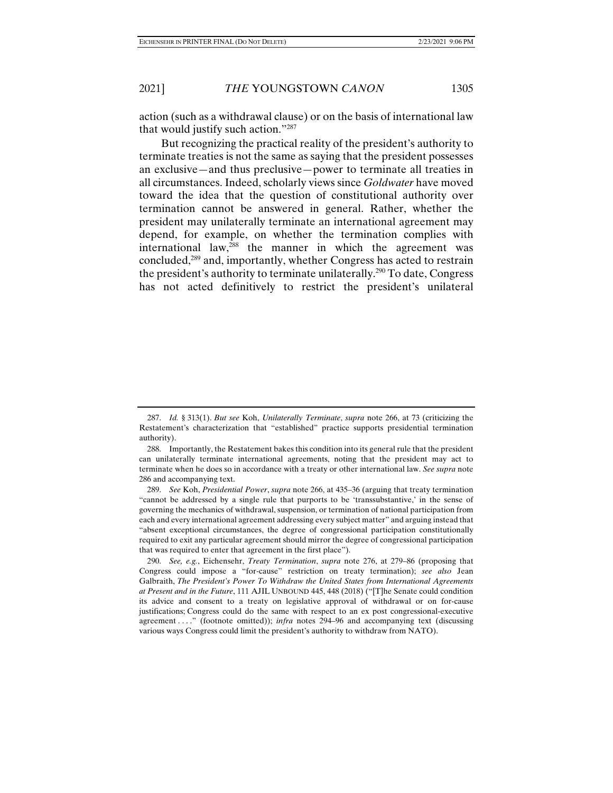action (such as a withdrawal clause) or on the basis of international law that would justify such action."287

But recognizing the practical reality of the president's authority to terminate treaties is not the same as saying that the president possesses an exclusive—and thus preclusive—power to terminate all treaties in all circumstances. Indeed, scholarly views since *Goldwater* have moved toward the idea that the question of constitutional authority over termination cannot be answered in general. Rather, whether the president may unilaterally terminate an international agreement may depend, for example, on whether the termination complies with international law,<sup>288</sup> the manner in which the agreement was concluded,289 and, importantly, whether Congress has acted to restrain the president's authority to terminate unilaterally.290 To date, Congress has not acted definitively to restrict the president's unilateral

 <sup>287.</sup> *Id.* § 313(1). *But see* Koh, *Unilaterally Terminate*, *supra* note 266, at 73 (criticizing the Restatement's characterization that "established" practice supports presidential termination authority).

 <sup>288.</sup> Importantly, the Restatement bakes this condition into its general rule that the president can unilaterally terminate international agreements, noting that the president may act to terminate when he does so in accordance with a treaty or other international law. *See supra* note 286 and accompanying text.

 <sup>289.</sup> *See* Koh, *Presidential Power*, *supra* note 266, at 435–36 (arguing that treaty termination "cannot be addressed by a single rule that purports to be 'transsubstantive,' in the sense of governing the mechanics of withdrawal, suspension, or termination of national participation from each and every international agreement addressing every subject matter" and arguing instead that "absent exceptional circumstances, the degree of congressional participation constitutionally required to exit any particular agreement should mirror the degree of congressional participation that was required to enter that agreement in the first place").

 <sup>290.</sup> *See, e.g.*, Eichensehr, *Treaty Termination*, *supra* note 276, at 279–86 (proposing that Congress could impose a "for-cause" restriction on treaty termination); *see also* Jean Galbraith, *The President's Power To Withdraw the United States from International Agreements at Present and in the Future*, 111 AJIL UNBOUND 445, 448 (2018) ("[T]he Senate could condition its advice and consent to a treaty on legislative approval of withdrawal or on for-cause justifications; Congress could do the same with respect to an ex post congressional-executive agreement . . . ." (footnote omitted)); *infra* notes 294–96 and accompanying text (discussing various ways Congress could limit the president's authority to withdraw from NATO).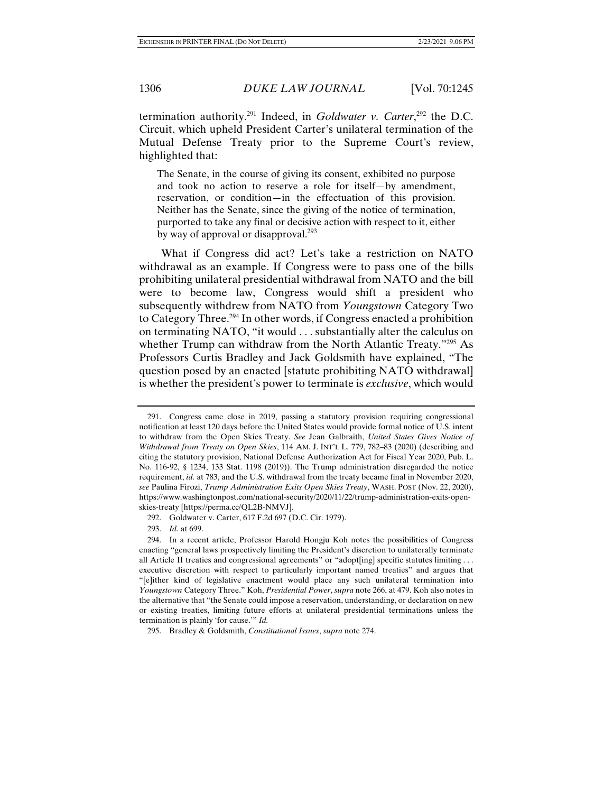termination authority.291 Indeed, in *Goldwater v. Carter*, 292 the D.C. Circuit, which upheld President Carter's unilateral termination of the Mutual Defense Treaty prior to the Supreme Court's review, highlighted that:

The Senate, in the course of giving its consent, exhibited no purpose and took no action to reserve a role for itself—by amendment, reservation, or condition—in the effectuation of this provision. Neither has the Senate, since the giving of the notice of termination, purported to take any final or decisive action with respect to it, either by way of approval or disapproval.<sup>293</sup>

What if Congress did act? Let's take a restriction on NATO withdrawal as an example. If Congress were to pass one of the bills prohibiting unilateral presidential withdrawal from NATO and the bill were to become law, Congress would shift a president who subsequently withdrew from NATO from *Youngstown* Category Two to Category Three.294 In other words, if Congress enacted a prohibition on terminating NATO, "it would . . . substantially alter the calculus on whether Trump can withdraw from the North Atlantic Treaty."<sup>295</sup> As Professors Curtis Bradley and Jack Goldsmith have explained, "The question posed by an enacted [statute prohibiting NATO withdrawal] is whether the president's power to terminate is *exclusive*, which would

 <sup>291.</sup> Congress came close in 2019, passing a statutory provision requiring congressional notification at least 120 days before the United States would provide formal notice of U.S. intent to withdraw from the Open Skies Treaty. *See* Jean Galbraith, *United States Gives Notice of Withdrawal from Treaty on Open Skies*, 114 AM. J. INT'L L. 779, 782–83 (2020) (describing and citing the statutory provision, National Defense Authorization Act for Fiscal Year 2020, Pub. L. No. 116-92, § 1234, 133 Stat. 1198 (2019)). The Trump administration disregarded the notice requirement, *id.* at 783, and the U.S. withdrawal from the treaty became final in November 2020, *see* Paulina Firozi, *Trump Administration Exits Open Skies Treaty*, WASH. POST (Nov. 22, 2020), https://www.washingtonpost.com/national-security/2020/11/22/trump-administration-exits-openskies-treaty [https://perma.cc/QL2B-NMVJ].

 <sup>292.</sup> Goldwater v. Carter, 617 F.2d 697 (D.C. Cir. 1979).

 <sup>293.</sup> *Id.* at 699.

 <sup>294.</sup> In a recent article, Professor Harold Hongju Koh notes the possibilities of Congress enacting "general laws prospectively limiting the President's discretion to unilaterally terminate all Article II treaties and congressional agreements" or "adopt[ing] specific statutes limiting . . . executive discretion with respect to particularly important named treaties" and argues that "[e]ither kind of legislative enactment would place any such unilateral termination into *Youngstown* Category Three." Koh, *Presidential Power*, *supra* note 266, at 479. Koh also notes in the alternative that "the Senate could impose a reservation, understanding, or declaration on new or existing treaties, limiting future efforts at unilateral presidential terminations unless the termination is plainly 'for cause.'" *Id.*

 <sup>295.</sup> Bradley & Goldsmith, *Constitutional Issues*, *supra* note 274.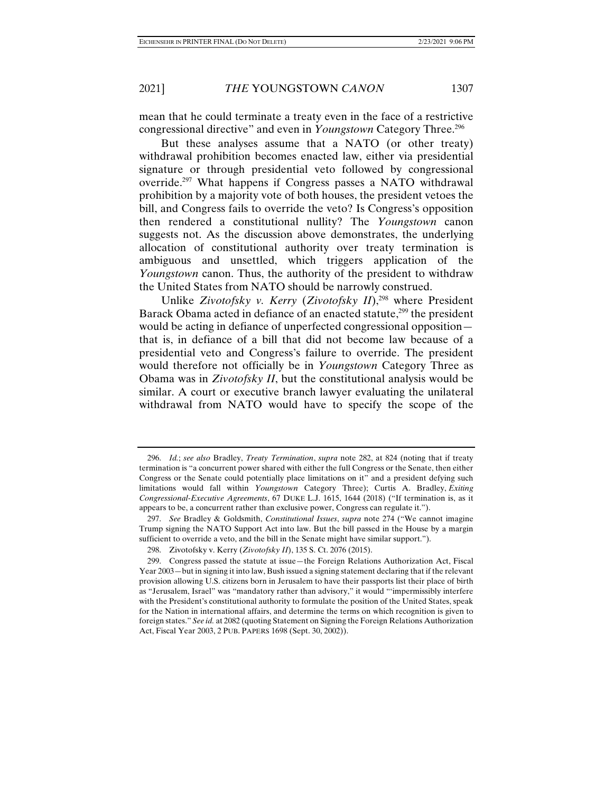mean that he could terminate a treaty even in the face of a restrictive congressional directive" and even in *Youngstown* Category Three.296

But these analyses assume that a NATO (or other treaty) withdrawal prohibition becomes enacted law, either via presidential signature or through presidential veto followed by congressional override.297 What happens if Congress passes a NATO withdrawal prohibition by a majority vote of both houses, the president vetoes the bill, and Congress fails to override the veto? Is Congress's opposition then rendered a constitutional nullity? The *Youngstown* canon suggests not. As the discussion above demonstrates, the underlying allocation of constitutional authority over treaty termination is ambiguous and unsettled, which triggers application of the *Youngstown* canon. Thus, the authority of the president to withdraw the United States from NATO should be narrowly construed.

Unlike *Zivotofsky v. Kerry (Zivotofsky II*),<sup>298</sup> where President Barack Obama acted in defiance of an enacted statute,<sup>299</sup> the president would be acting in defiance of unperfected congressional opposition that is, in defiance of a bill that did not become law because of a presidential veto and Congress's failure to override. The president would therefore not officially be in *Youngstown* Category Three as Obama was in *Zivotofsky II*, but the constitutional analysis would be similar. A court or executive branch lawyer evaluating the unilateral withdrawal from NATO would have to specify the scope of the

 <sup>296.</sup> *Id.*; *see also* Bradley, *Treaty Termination*, *supra* note 282, at 824 (noting that if treaty termination is "a concurrent power shared with either the full Congress or the Senate, then either Congress or the Senate could potentially place limitations on it" and a president defying such limitations would fall within *Youngstown* Category Three); Curtis A. Bradley, *Exiting Congressional-Executive Agreements*, 67 DUKE L.J. 1615, 1644 (2018) ("If termination is, as it appears to be, a concurrent rather than exclusive power, Congress can regulate it.").

 <sup>297.</sup> *See* Bradley & Goldsmith, *Constitutional Issues*, *supra* note 274 ("We cannot imagine Trump signing the NATO Support Act into law. But the bill passed in the House by a margin sufficient to override a veto, and the bill in the Senate might have similar support.").

 <sup>298.</sup> Zivotofsky v. Kerry (*Zivotofsky II*), 135 S. Ct. 2076 (2015).

 <sup>299.</sup> Congress passed the statute at issue—the Foreign Relations Authorization Act, Fiscal Year 2003—but in signing it into law, Bush issued a signing statement declaring that if the relevant provision allowing U.S. citizens born in Jerusalem to have their passports list their place of birth as "Jerusalem, Israel" was "mandatory rather than advisory," it would "'impermissibly interfere with the President's constitutional authority to formulate the position of the United States, speak for the Nation in international affairs, and determine the terms on which recognition is given to foreign states." *See id.* at 2082 (quoting Statement on Signing the Foreign Relations Authorization Act, Fiscal Year 2003, 2 PUB. PAPERS 1698 (Sept. 30, 2002)).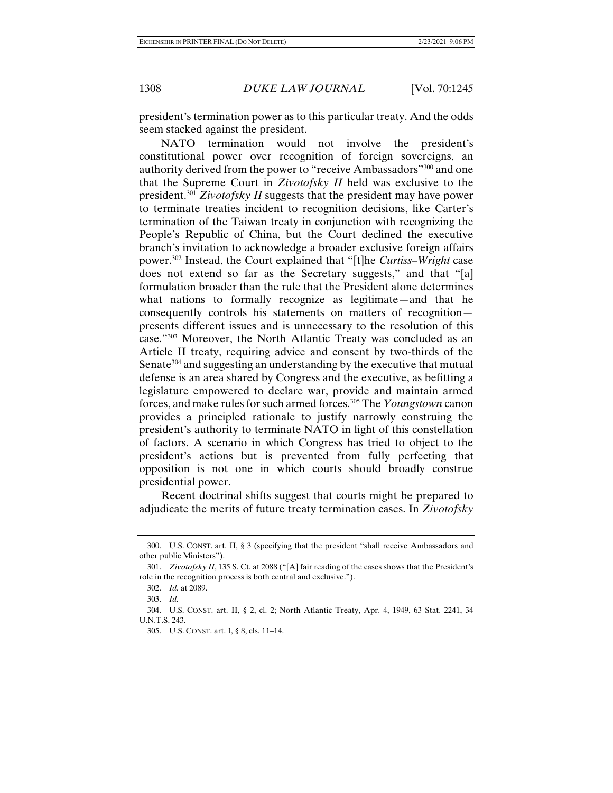president's termination power as to this particular treaty. And the odds seem stacked against the president.

NATO termination would not involve the president's constitutional power over recognition of foreign sovereigns, an authority derived from the power to "receive Ambassadors"300 and one that the Supreme Court in *Zivotofsky II* held was exclusive to the president.301 *Zivotofsky II* suggests that the president may have power to terminate treaties incident to recognition decisions, like Carter's termination of the Taiwan treaty in conjunction with recognizing the People's Republic of China, but the Court declined the executive branch's invitation to acknowledge a broader exclusive foreign affairs power.302 Instead, the Court explained that "[t]he *Curtiss–Wright* case does not extend so far as the Secretary suggests," and that "[a] formulation broader than the rule that the President alone determines what nations to formally recognize as legitimate—and that he consequently controls his statements on matters of recognition presents different issues and is unnecessary to the resolution of this case."303 Moreover, the North Atlantic Treaty was concluded as an Article II treaty, requiring advice and consent by two-thirds of the Senate<sup>304</sup> and suggesting an understanding by the executive that mutual defense is an area shared by Congress and the executive, as befitting a legislature empowered to declare war, provide and maintain armed forces, and make rules for such armed forces.305 The *Youngstown* canon provides a principled rationale to justify narrowly construing the president's authority to terminate NATO in light of this constellation of factors. A scenario in which Congress has tried to object to the president's actions but is prevented from fully perfecting that opposition is not one in which courts should broadly construe presidential power.

Recent doctrinal shifts suggest that courts might be prepared to adjudicate the merits of future treaty termination cases. In *Zivotofsky* 

 <sup>300.</sup> U.S. CONST. art. II, § 3 (specifying that the president "shall receive Ambassadors and other public Ministers").

 <sup>301.</sup> *Zivotofsky II*, 135 S. Ct. at 2088 ("[A] fair reading of the cases shows that the President's role in the recognition process is both central and exclusive.").

 <sup>302.</sup> *Id.* at 2089.

 <sup>303.</sup> *Id.*

 <sup>304.</sup> U.S. CONST. art. II, § 2, cl. 2; North Atlantic Treaty, Apr. 4, 1949, 63 Stat. 2241, 34 U.N.T.S. 243.

 <sup>305.</sup> U.S. CONST. art. I, § 8, cls. 11–14.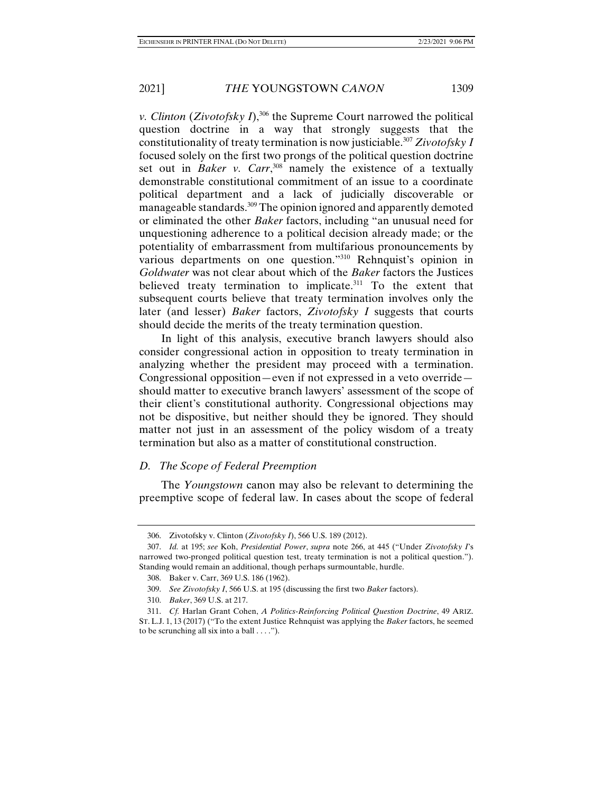*v. Clinton (Zivotofsky I)*,<sup>306</sup> the Supreme Court narrowed the political question doctrine in a way that strongly suggests that the constitutionality of treaty termination is now justiciable.307 *Zivotofsky I*  focused solely on the first two prongs of the political question doctrine set out in *Baker v. Carr*,<sup>308</sup> namely the existence of a textually demonstrable constitutional commitment of an issue to a coordinate political department and a lack of judicially discoverable or manageable standards.<sup>309</sup> The opinion ignored and apparently demoted or eliminated the other *Baker* factors, including "an unusual need for unquestioning adherence to a political decision already made; or the potentiality of embarrassment from multifarious pronouncements by various departments on one question."310 Rehnquist's opinion in *Goldwater* was not clear about which of the *Baker* factors the Justices believed treaty termination to implicate.<sup>311</sup> To the extent that subsequent courts believe that treaty termination involves only the later (and lesser) *Baker* factors, *Zivotofsky I* suggests that courts should decide the merits of the treaty termination question.

In light of this analysis, executive branch lawyers should also consider congressional action in opposition to treaty termination in analyzing whether the president may proceed with a termination. Congressional opposition—even if not expressed in a veto override should matter to executive branch lawyers' assessment of the scope of their client's constitutional authority. Congressional objections may not be dispositive, but neither should they be ignored. They should matter not just in an assessment of the policy wisdom of a treaty termination but also as a matter of constitutional construction.

## *D. The Scope of Federal Preemption*

The *Youngstown* canon may also be relevant to determining the preemptive scope of federal law. In cases about the scope of federal

 <sup>306.</sup> Zivotofsky v. Clinton (*Zivotofsky I*), 566 U.S. 189 (2012).

 <sup>307.</sup> *Id.* at 195; *see* Koh, *Presidential Power*, *supra* note 266, at 445 ("Under *Zivotofsky I*'s narrowed two-pronged political question test, treaty termination is not a political question."). Standing would remain an additional, though perhaps surmountable, hurdle.

 <sup>308.</sup> Baker v. Carr, 369 U.S. 186 (1962).

 <sup>309.</sup> *See Zivotofsky I*, 566 U.S. at 195 (discussing the first two *Baker* factors).

 <sup>310.</sup> *Baker*, 369 U.S. at 217.

 <sup>311.</sup> *Cf.* Harlan Grant Cohen, *A Politics-Reinforcing Political Question Doctrine*, 49 ARIZ. ST. L.J. 1, 13 (2017) ("To the extent Justice Rehnquist was applying the *Baker* factors, he seemed to be scrunching all six into a ball  $\dots$ .").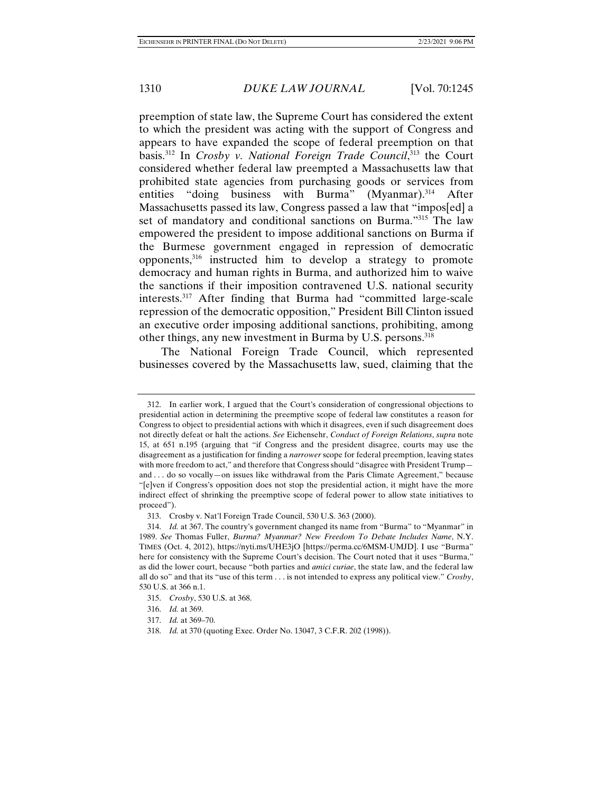preemption of state law, the Supreme Court has considered the extent to which the president was acting with the support of Congress and appears to have expanded the scope of federal preemption on that basis.312 In *Crosby v. National Foreign Trade Council*, 313 the Court considered whether federal law preempted a Massachusetts law that prohibited state agencies from purchasing goods or services from entities "doing business with Burma" (Myanmar).<sup>314</sup> After Massachusetts passed its law, Congress passed a law that "impos[ed] a set of mandatory and conditional sanctions on Burma."315 The law empowered the president to impose additional sanctions on Burma if the Burmese government engaged in repression of democratic opponents,316 instructed him to develop a strategy to promote democracy and human rights in Burma, and authorized him to waive the sanctions if their imposition contravened U.S. national security interests.317 After finding that Burma had "committed large-scale repression of the democratic opposition," President Bill Clinton issued an executive order imposing additional sanctions, prohibiting, among other things, any new investment in Burma by U.S. persons.318

The National Foreign Trade Council, which represented businesses covered by the Massachusetts law, sued, claiming that the

 <sup>312.</sup> In earlier work, I argued that the Court's consideration of congressional objections to presidential action in determining the preemptive scope of federal law constitutes a reason for Congress to object to presidential actions with which it disagrees, even if such disagreement does not directly defeat or halt the actions. *See* Eichensehr, *Conduct of Foreign Relations*, *supra* note 15, at 651 n.195 (arguing that "if Congress and the president disagree, courts may use the disagreement as a justification for finding a *narrower* scope for federal preemption, leaving states with more freedom to act," and therefore that Congress should "disagree with President Trump and . . . do so vocally—on issues like withdrawal from the Paris Climate Agreement," because "[e]ven if Congress's opposition does not stop the presidential action, it might have the more indirect effect of shrinking the preemptive scope of federal power to allow state initiatives to proceed").

 <sup>313.</sup> Crosby v. Nat'l Foreign Trade Council, 530 U.S. 363 (2000).

 <sup>314.</sup> *Id.* at 367. The country's government changed its name from "Burma" to "Myanmar" in 1989. *See* Thomas Fuller, *Burma? Myanmar? New Freedom To Debate Includes Name*, N.Y. TIMES (Oct. 4, 2012), https://nyti.ms/UHE3jO [https://perma.cc/6MSM-UMJD]. I use "Burma" here for consistency with the Supreme Court's decision. The Court noted that it uses "Burma," as did the lower court, because "both parties and *amici curiae*, the state law, and the federal law all do so" and that its "use of this term . . . is not intended to express any political view." *Crosby*, 530 U.S. at 366 n.1.

 <sup>315.</sup> *Crosby*, 530 U.S. at 368.

 <sup>316.</sup> *Id.* at 369.

 <sup>317.</sup> *Id.* at 369–70.

 <sup>318.</sup> *Id.* at 370 (quoting Exec. Order No. 13047, 3 C.F.R. 202 (1998)).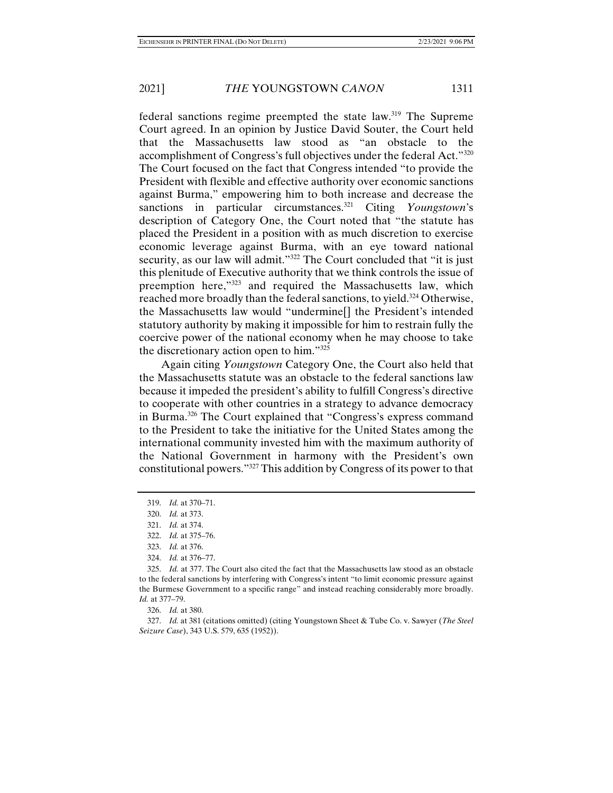federal sanctions regime preempted the state law.319 The Supreme Court agreed. In an opinion by Justice David Souter, the Court held that the Massachusetts law stood as "an obstacle to the accomplishment of Congress's full objectives under the federal Act."320 The Court focused on the fact that Congress intended "to provide the President with flexible and effective authority over economic sanctions against Burma," empowering him to both increase and decrease the sanctions in particular circumstances.<sup>321</sup> Citing *Youngstown*'s description of Category One, the Court noted that "the statute has placed the President in a position with as much discretion to exercise economic leverage against Burma, with an eye toward national security, as our law will admit."<sup>322</sup> The Court concluded that "it is just this plenitude of Executive authority that we think controls the issue of preemption here,"323 and required the Massachusetts law, which reached more broadly than the federal sanctions, to yield.<sup>324</sup> Otherwise, the Massachusetts law would "undermine[] the President's intended statutory authority by making it impossible for him to restrain fully the coercive power of the national economy when he may choose to take the discretionary action open to him."325

Again citing *Youngstown* Category One, the Court also held that the Massachusetts statute was an obstacle to the federal sanctions law because it impeded the president's ability to fulfill Congress's directive to cooperate with other countries in a strategy to advance democracy in Burma.326 The Court explained that "Congress's express command to the President to take the initiative for the United States among the international community invested him with the maximum authority of the National Government in harmony with the President's own constitutional powers."327 This addition by Congress of its power to that

326. *Id.* at 380.

 327. *Id.* at 381 (citations omitted) (citing Youngstown Sheet & Tube Co. v. Sawyer (*The Steel Seizure Case*), 343 U.S. 579, 635 (1952)).

 <sup>319.</sup> *Id.* at 370–71.

 <sup>320.</sup> *Id.* at 373.

 <sup>321.</sup> *Id.* at 374.

 <sup>322.</sup> *Id.* at 375–76.

 <sup>323.</sup> *Id.* at 376.

 <sup>324.</sup> *Id.* at 376–77.

 <sup>325.</sup> *Id.* at 377. The Court also cited the fact that the Massachusetts law stood as an obstacle to the federal sanctions by interfering with Congress's intent "to limit economic pressure against the Burmese Government to a specific range" and instead reaching considerably more broadly. *Id.* at 377–79.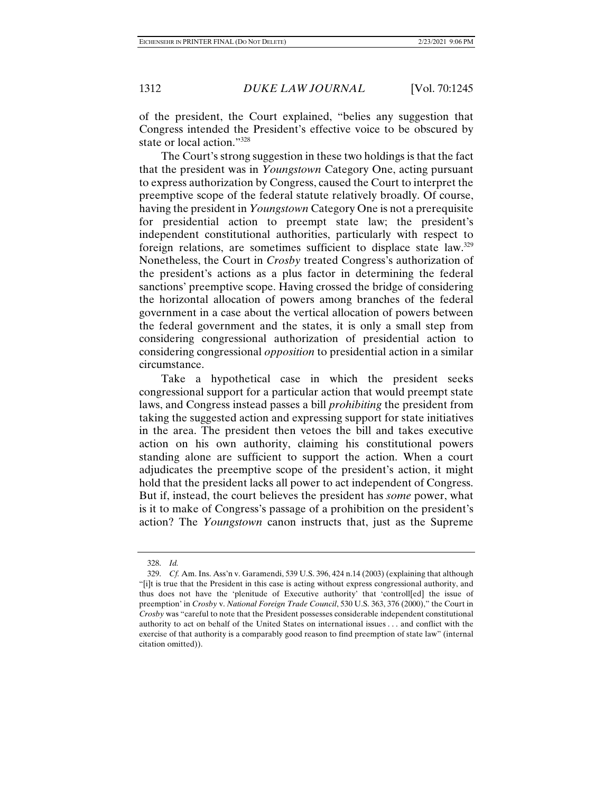of the president, the Court explained, "belies any suggestion that Congress intended the President's effective voice to be obscured by state or local action."328

The Court's strong suggestion in these two holdings is that the fact that the president was in *Youngstown* Category One, acting pursuant to express authorization by Congress, caused the Court to interpret the preemptive scope of the federal statute relatively broadly. Of course, having the president in *Youngstown* Category One is not a prerequisite for presidential action to preempt state law; the president's independent constitutional authorities, particularly with respect to foreign relations, are sometimes sufficient to displace state law.329 Nonetheless, the Court in *Crosby* treated Congress's authorization of the president's actions as a plus factor in determining the federal sanctions' preemptive scope. Having crossed the bridge of considering the horizontal allocation of powers among branches of the federal government in a case about the vertical allocation of powers between the federal government and the states, it is only a small step from considering congressional authorization of presidential action to considering congressional *opposition* to presidential action in a similar circumstance.

Take a hypothetical case in which the president seeks congressional support for a particular action that would preempt state laws, and Congress instead passes a bill *prohibiting* the president from taking the suggested action and expressing support for state initiatives in the area. The president then vetoes the bill and takes executive action on his own authority, claiming his constitutional powers standing alone are sufficient to support the action. When a court adjudicates the preemptive scope of the president's action, it might hold that the president lacks all power to act independent of Congress. But if, instead, the court believes the president has *some* power, what is it to make of Congress's passage of a prohibition on the president's action? The *Youngstown* canon instructs that, just as the Supreme

 <sup>328.</sup> *Id.*

 <sup>329.</sup> *Cf.* Am. Ins. Ass'n v. Garamendi, 539 U.S. 396, 424 n.14 (2003) (explaining that although "[i]t is true that the President in this case is acting without express congressional authority, and thus does not have the 'plenitude of Executive authority' that 'controll[ed] the issue of preemption' in *Crosby* v. *National Foreign Trade Council*, 530 U.S. 363, 376 (2000)," the Court in *Crosby* was "careful to note that the President possesses considerable independent constitutional authority to act on behalf of the United States on international issues . . . and conflict with the exercise of that authority is a comparably good reason to find preemption of state law" (internal citation omitted)).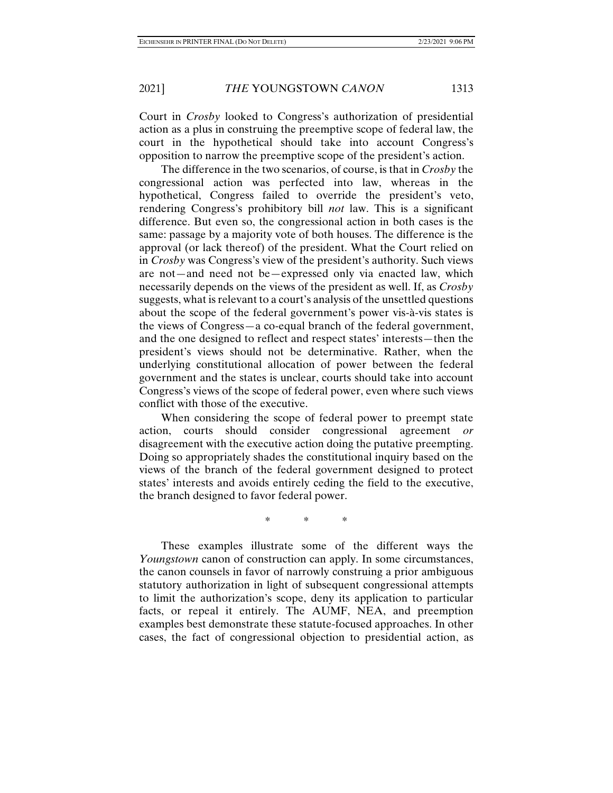Court in *Crosby* looked to Congress's authorization of presidential action as a plus in construing the preemptive scope of federal law, the court in the hypothetical should take into account Congress's opposition to narrow the preemptive scope of the president's action.

The difference in the two scenarios, of course, is that in *Crosby* the congressional action was perfected into law, whereas in the hypothetical, Congress failed to override the president's veto, rendering Congress's prohibitory bill *not* law. This is a significant difference. But even so, the congressional action in both cases is the same: passage by a majority vote of both houses. The difference is the approval (or lack thereof) of the president. What the Court relied on in *Crosby* was Congress's view of the president's authority. Such views are not—and need not be—expressed only via enacted law, which necessarily depends on the views of the president as well. If, as *Crosby* suggests, what is relevant to a court's analysis of the unsettled questions about the scope of the federal government's power vis-à-vis states is the views of Congress—a co-equal branch of the federal government, and the one designed to reflect and respect states' interests—then the president's views should not be determinative. Rather, when the underlying constitutional allocation of power between the federal government and the states is unclear, courts should take into account Congress's views of the scope of federal power, even where such views conflict with those of the executive.

When considering the scope of federal power to preempt state action, courts should consider congressional agreement *or* disagreement with the executive action doing the putative preempting. Doing so appropriately shades the constitutional inquiry based on the views of the branch of the federal government designed to protect states' interests and avoids entirely ceding the field to the executive, the branch designed to favor federal power.

\* \* \*

These examples illustrate some of the different ways the *Youngstown* canon of construction can apply. In some circumstances, the canon counsels in favor of narrowly construing a prior ambiguous statutory authorization in light of subsequent congressional attempts to limit the authorization's scope, deny its application to particular facts, or repeal it entirely. The AUMF, NEA, and preemption examples best demonstrate these statute-focused approaches. In other cases, the fact of congressional objection to presidential action, as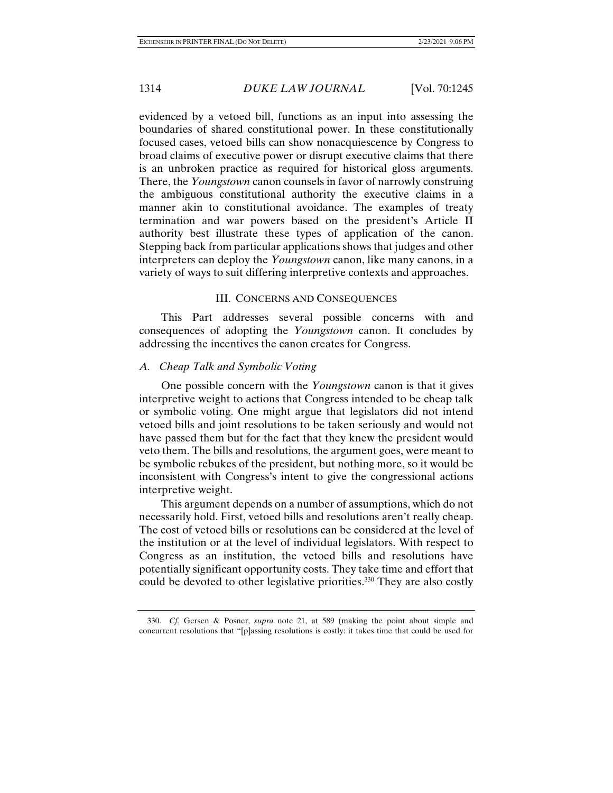evidenced by a vetoed bill, functions as an input into assessing the boundaries of shared constitutional power. In these constitutionally focused cases, vetoed bills can show nonacquiescence by Congress to broad claims of executive power or disrupt executive claims that there is an unbroken practice as required for historical gloss arguments. There, the *Youngstown* canon counsels in favor of narrowly construing the ambiguous constitutional authority the executive claims in a manner akin to constitutional avoidance. The examples of treaty termination and war powers based on the president's Article II authority best illustrate these types of application of the canon. Stepping back from particular applications shows that judges and other interpreters can deploy the *Youngstown* canon, like many canons, in a variety of ways to suit differing interpretive contexts and approaches.

# III. CONCERNS AND CONSEQUENCES

This Part addresses several possible concerns with and consequences of adopting the *Youngstown* canon. It concludes by addressing the incentives the canon creates for Congress.

## *A. Cheap Talk and Symbolic Voting*

One possible concern with the *Youngstown* canon is that it gives interpretive weight to actions that Congress intended to be cheap talk or symbolic voting. One might argue that legislators did not intend vetoed bills and joint resolutions to be taken seriously and would not have passed them but for the fact that they knew the president would veto them. The bills and resolutions, the argument goes, were meant to be symbolic rebukes of the president, but nothing more, so it would be inconsistent with Congress's intent to give the congressional actions interpretive weight.

This argument depends on a number of assumptions, which do not necessarily hold. First, vetoed bills and resolutions aren't really cheap. The cost of vetoed bills or resolutions can be considered at the level of the institution or at the level of individual legislators. With respect to Congress as an institution, the vetoed bills and resolutions have potentially significant opportunity costs. They take time and effort that could be devoted to other legislative priorities.<sup>330</sup> They are also costly

 <sup>330.</sup> *Cf.* Gersen & Posner, *supra* note 21, at 589 (making the point about simple and concurrent resolutions that "[p]assing resolutions is costly: it takes time that could be used for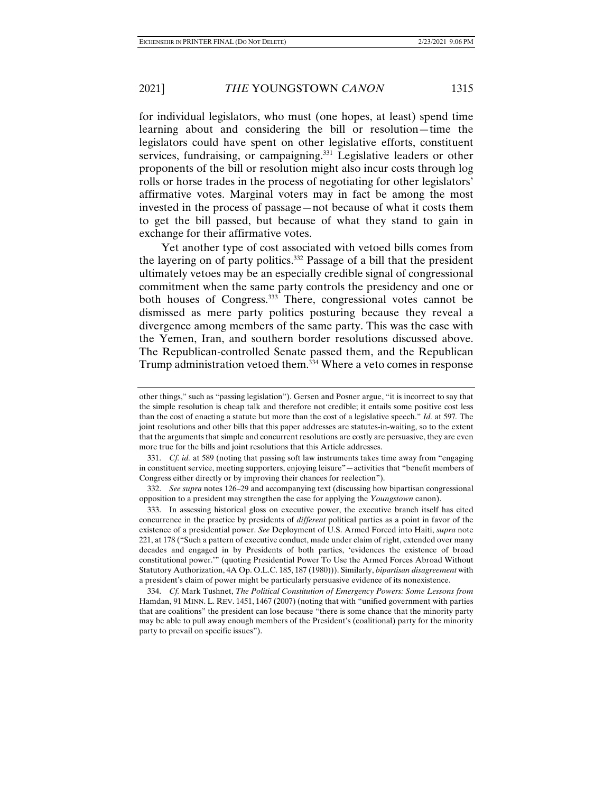rolls or horse trades in the process of negotiating for other legislators' affirmative votes. Marginal voters may in fact be among the most invested in the process of passage—not because of what it costs them to get the bill passed, but because of what they stand to gain in exchange for their affirmative votes.

Yet another type of cost associated with vetoed bills comes from the layering on of party politics.332 Passage of a bill that the president ultimately vetoes may be an especially credible signal of congressional commitment when the same party controls the presidency and one or both houses of Congress.333 There, congressional votes cannot be dismissed as mere party politics posturing because they reveal a divergence among members of the same party. This was the case with the Yemen, Iran, and southern border resolutions discussed above. The Republican-controlled Senate passed them, and the Republican Trump administration vetoed them.<sup>334</sup> Where a veto comes in response

 332. *See supra* notes 126–29 and accompanying text (discussing how bipartisan congressional opposition to a president may strengthen the case for applying the *Youngstown* canon).

 333. In assessing historical gloss on executive power, the executive branch itself has cited concurrence in the practice by presidents of *different* political parties as a point in favor of the existence of a presidential power. *See* Deployment of U.S. Armed Forced into Haiti, *supra* note 221, at 178 ("Such a pattern of executive conduct, made under claim of right, extended over many decades and engaged in by Presidents of both parties, 'evidences the existence of broad constitutional power.'" (quoting Presidential Power To Use the Armed Forces Abroad Without Statutory Authorization, 4A Op. O.L.C. 185, 187 (1980))). Similarly, *bipartisan disagreement* with a president's claim of power might be particularly persuasive evidence of its nonexistence.

 334. *Cf.* Mark Tushnet, *The Political Constitution of Emergency Powers: Some Lessons from*  Hamdan, 91 MINN. L. REV. 1451, 1467 (2007) (noting that with "unified government with parties that are coalitions" the president can lose because "there is some chance that the minority party may be able to pull away enough members of the President's (coalitional) party for the minority party to prevail on specific issues").

other things," such as "passing legislation"). Gersen and Posner argue, "it is incorrect to say that the simple resolution is cheap talk and therefore not credible; it entails some positive cost less than the cost of enacting a statute but more than the cost of a legislative speech." *Id.* at 597*.* The joint resolutions and other bills that this paper addresses are statutes-in-waiting, so to the extent that the arguments that simple and concurrent resolutions are costly are persuasive, they are even more true for the bills and joint resolutions that this Article addresses.

 <sup>331.</sup> *Cf. id.* at 589 (noting that passing soft law instruments takes time away from "engaging in constituent service, meeting supporters, enjoying leisure"—activities that "benefit members of Congress either directly or by improving their chances for reelection").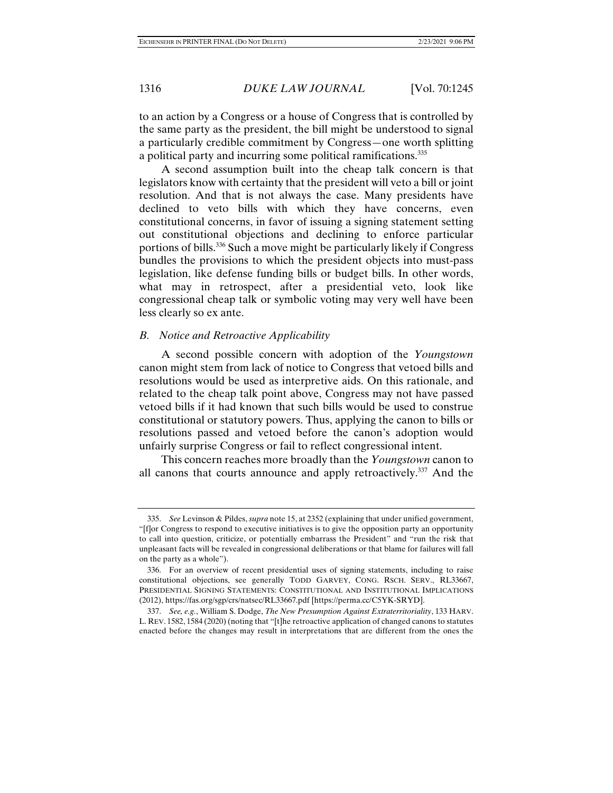to an action by a Congress or a house of Congress that is controlled by the same party as the president, the bill might be understood to signal a particularly credible commitment by Congress—one worth splitting a political party and incurring some political ramifications.335

A second assumption built into the cheap talk concern is that legislators know with certainty that the president will veto a bill or joint resolution. And that is not always the case. Many presidents have declined to veto bills with which they have concerns, even constitutional concerns, in favor of issuing a signing statement setting out constitutional objections and declining to enforce particular portions of bills.336 Such a move might be particularly likely if Congress bundles the provisions to which the president objects into must-pass legislation, like defense funding bills or budget bills. In other words, what may in retrospect, after a presidential veto, look like congressional cheap talk or symbolic voting may very well have been less clearly so ex ante.

### *B. Notice and Retroactive Applicability*

A second possible concern with adoption of the *Youngstown*  canon might stem from lack of notice to Congress that vetoed bills and resolutions would be used as interpretive aids. On this rationale, and related to the cheap talk point above, Congress may not have passed vetoed bills if it had known that such bills would be used to construe constitutional or statutory powers. Thus, applying the canon to bills or resolutions passed and vetoed before the canon's adoption would unfairly surprise Congress or fail to reflect congressional intent.

This concern reaches more broadly than the *Youngstown* canon to all canons that courts announce and apply retroactively.337 And the

 <sup>335.</sup> *See* Levinson & Pildes, *supra* note 15, at 2352 (explaining that under unified government, "[f]or Congress to respond to executive initiatives is to give the opposition party an opportunity to call into question, criticize, or potentially embarrass the President" and "run the risk that unpleasant facts will be revealed in congressional deliberations or that blame for failures will fall on the party as a whole").

 <sup>336.</sup> For an overview of recent presidential uses of signing statements, including to raise constitutional objections, see generally TODD GARVEY, CONG. RSCH. SERV., RL33667, PRESIDENTIAL SIGNING STATEMENTS: CONSTITUTIONAL AND INSTITUTIONAL IMPLICATIONS (2012), https://fas.org/sgp/crs/natsec/RL33667.pdf [https://perma.cc/C5YK-SRYD].

 <sup>337.</sup> *See, e.g.*, William S. Dodge, *The New Presumption Against Extraterritoriality*, 133 HARV. L. REV. 1582, 1584 (2020)(noting that "[t]he retroactive application of changed canons to statutes enacted before the changes may result in interpretations that are different from the ones the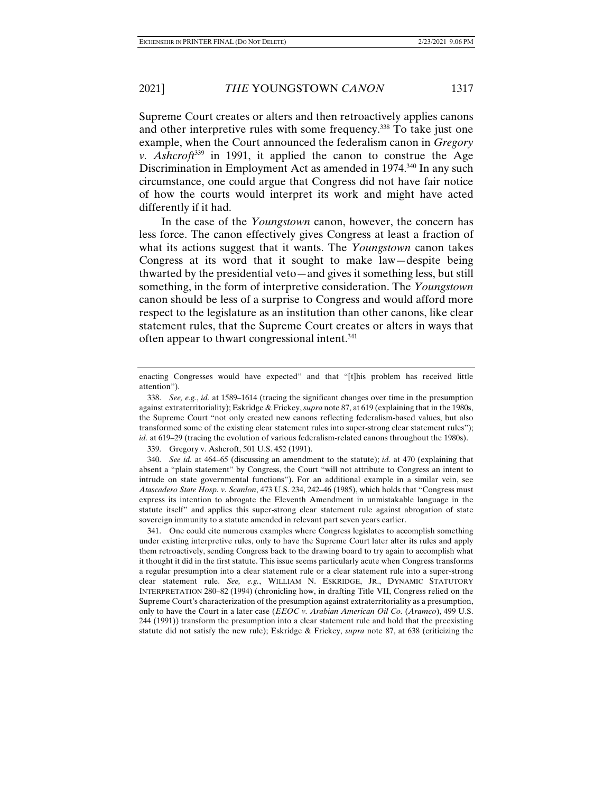Supreme Court creates or alters and then retroactively applies canons and other interpretive rules with some frequency.<sup>338</sup> To take just one example, when the Court announced the federalism canon in *Gregory v. Ashcroft*339 in 1991, it applied the canon to construe the Age Discrimination in Employment Act as amended in 1974.<sup>340</sup> In any such circumstance, one could argue that Congress did not have fair notice of how the courts would interpret its work and might have acted differently if it had.

In the case of the *Youngstown* canon, however, the concern has less force. The canon effectively gives Congress at least a fraction of what its actions suggest that it wants. The *Youngstown* canon takes Congress at its word that it sought to make law—despite being thwarted by the presidential veto—and gives it something less, but still something, in the form of interpretive consideration. The *Youngstown*  canon should be less of a surprise to Congress and would afford more respect to the legislature as an institution than other canons, like clear statement rules, that the Supreme Court creates or alters in ways that often appear to thwart congressional intent.<sup>341</sup>

339. Gregory v. Ashcroft, 501 U.S. 452 (1991).

 340. *See id.* at 464–65 (discussing an amendment to the statute); *id.* at 470 (explaining that absent a "plain statement" by Congress, the Court "will not attribute to Congress an intent to intrude on state governmental functions"). For an additional example in a similar vein, see *Atascadero State Hosp. v. Scanlon*, 473 U.S. 234, 242–46 (1985), which holds that "Congress must express its intention to abrogate the Eleventh Amendment in unmistakable language in the statute itself" and applies this super-strong clear statement rule against abrogation of state sovereign immunity to a statute amended in relevant part seven years earlier.

 341. One could cite numerous examples where Congress legislates to accomplish something under existing interpretive rules, only to have the Supreme Court later alter its rules and apply them retroactively, sending Congress back to the drawing board to try again to accomplish what it thought it did in the first statute. This issue seems particularly acute when Congress transforms a regular presumption into a clear statement rule or a clear statement rule into a super-strong clear statement rule. *See, e.g.*, WILLIAM N. ESKRIDGE, JR., DYNAMIC STATUTORY INTERPRETATION 280–82 (1994) (chronicling how, in drafting Title VII, Congress relied on the Supreme Court's characterization of the presumption against extraterritoriality as a presumption, only to have the Court in a later case (*EEOC v. Arabian American Oil Co.* (*Aramco*), 499 U.S. 244 (1991)) transform the presumption into a clear statement rule and hold that the preexisting statute did not satisfy the new rule); Eskridge & Frickey, *supra* note 87, at 638 (criticizing the

enacting Congresses would have expected" and that "[t]his problem has received little attention").

 <sup>338.</sup> *See, e.g.*, *id.* at 1589–1614 (tracing the significant changes over time in the presumption against extraterritoriality); Eskridge & Frickey, *supra* note 87, at 619 (explaining that in the 1980s, the Supreme Court "not only created new canons reflecting federalism-based values, but also transformed some of the existing clear statement rules into super-strong clear statement rules"); *id.* at 619–29 (tracing the evolution of various federalism-related canons throughout the 1980s).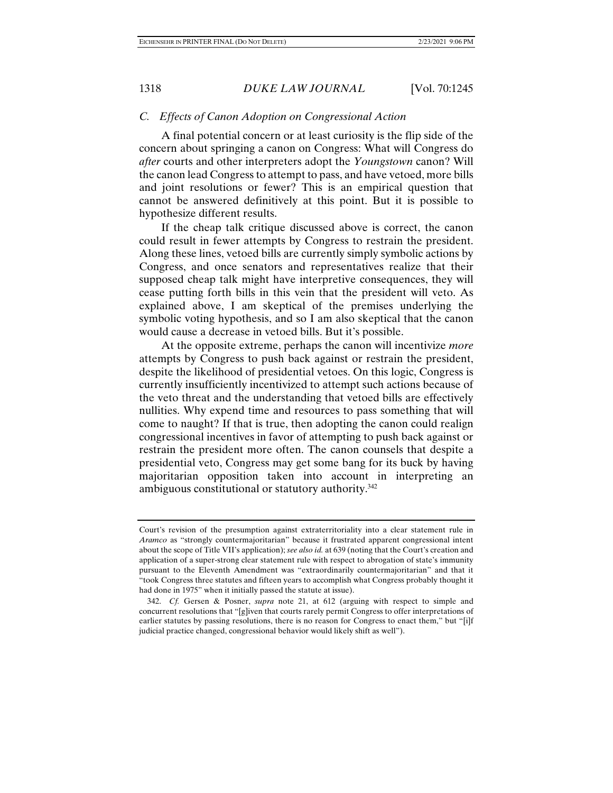## *C. Effects of Canon Adoption on Congressional Action*

A final potential concern or at least curiosity is the flip side of the concern about springing a canon on Congress: What will Congress do *after* courts and other interpreters adopt the *Youngstown* canon? Will the canon lead Congress to attempt to pass, and have vetoed, more bills and joint resolutions or fewer? This is an empirical question that cannot be answered definitively at this point. But it is possible to hypothesize different results.

If the cheap talk critique discussed above is correct, the canon could result in fewer attempts by Congress to restrain the president. Along these lines, vetoed bills are currently simply symbolic actions by Congress, and once senators and representatives realize that their supposed cheap talk might have interpretive consequences, they will cease putting forth bills in this vein that the president will veto. As explained above, I am skeptical of the premises underlying the symbolic voting hypothesis, and so I am also skeptical that the canon would cause a decrease in vetoed bills. But it's possible.

At the opposite extreme, perhaps the canon will incentivize *more*  attempts by Congress to push back against or restrain the president, despite the likelihood of presidential vetoes. On this logic, Congress is currently insufficiently incentivized to attempt such actions because of the veto threat and the understanding that vetoed bills are effectively nullities. Why expend time and resources to pass something that will come to naught? If that is true, then adopting the canon could realign congressional incentives in favor of attempting to push back against or restrain the president more often. The canon counsels that despite a presidential veto, Congress may get some bang for its buck by having majoritarian opposition taken into account in interpreting an ambiguous constitutional or statutory authority.342

Court's revision of the presumption against extraterritoriality into a clear statement rule in *Aramco* as "strongly countermajoritarian" because it frustrated apparent congressional intent about the scope of Title VII's application); *see also id.* at 639 (noting that the Court's creation and application of a super-strong clear statement rule with respect to abrogation of state's immunity pursuant to the Eleventh Amendment was "extraordinarily countermajoritarian" and that it "took Congress three statutes and fifteen years to accomplish what Congress probably thought it had done in 1975" when it initially passed the statute at issue).

 <sup>342.</sup> *Cf.* Gersen & Posner, *supra* note 21, at 612 (arguing with respect to simple and concurrent resolutions that "[g]iven that courts rarely permit Congress to offer interpretations of earlier statutes by passing resolutions, there is no reason for Congress to enact them," but "[i]f judicial practice changed, congressional behavior would likely shift as well").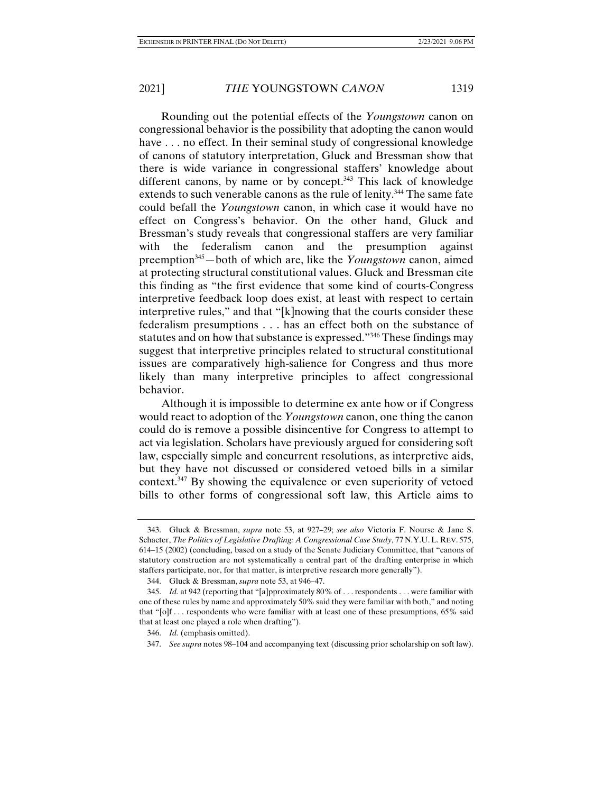Rounding out the potential effects of the *Youngstown* canon on congressional behavior is the possibility that adopting the canon would have . . . no effect. In their seminal study of congressional knowledge of canons of statutory interpretation, Gluck and Bressman show that there is wide variance in congressional staffers' knowledge about different canons, by name or by concept.<sup>343</sup> This lack of knowledge extends to such venerable canons as the rule of lenity.<sup>344</sup> The same fate could befall the *Youngstown* canon, in which case it would have no effect on Congress's behavior. On the other hand, Gluck and Bressman's study reveals that congressional staffers are very familiar with the federalism canon and the presumption against preemption345—both of which are, like the *Youngstown* canon, aimed at protecting structural constitutional values. Gluck and Bressman cite this finding as "the first evidence that some kind of courts-Congress interpretive feedback loop does exist, at least with respect to certain interpretive rules," and that "[k]nowing that the courts consider these federalism presumptions . . . has an effect both on the substance of statutes and on how that substance is expressed."346 These findings may suggest that interpretive principles related to structural constitutional issues are comparatively high-salience for Congress and thus more likely than many interpretive principles to affect congressional behavior.

Although it is impossible to determine ex ante how or if Congress would react to adoption of the *Youngstown* canon, one thing the canon could do is remove a possible disincentive for Congress to attempt to act via legislation. Scholars have previously argued for considering soft law, especially simple and concurrent resolutions, as interpretive aids, but they have not discussed or considered vetoed bills in a similar context. $347$  By showing the equivalence or even superiority of vetoed bills to other forms of congressional soft law, this Article aims to

 <sup>343.</sup> Gluck & Bressman, *supra* note 53, at 927–29; *see also* Victoria F. Nourse & Jane S. Schacter, *The Politics of Legislative Drafting: A Congressional Case Study*, 77 N.Y.U. L. REV. 575, 614–15 (2002) (concluding, based on a study of the Senate Judiciary Committee, that "canons of statutory construction are not systematically a central part of the drafting enterprise in which staffers participate, nor, for that matter, is interpretive research more generally").

 <sup>344.</sup> Gluck & Bressman, *supra* note 53, at 946–47.

 <sup>345.</sup> *Id.* at 942 (reporting that "[a]pproximately 80% of . . . respondents . . . were familiar with one of these rules by name and approximately 50% said they were familiar with both," and noting that "[o]f . . . respondents who were familiar with at least one of these presumptions, 65% said that at least one played a role when drafting").

 <sup>346.</sup> *Id.* (emphasis omitted).

 <sup>347.</sup> *See supra* notes 98–104 and accompanying text (discussing prior scholarship on soft law).